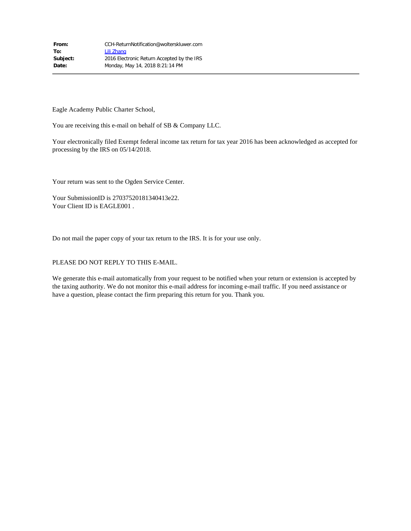| From:    | CCH-ReturnNotification@wolterskluwer.com   |
|----------|--------------------------------------------|
| To:      | Lili Zhang                                 |
| Subject: | 2016 Electronic Return Accepted by the IRS |
| Date:    | Monday, May 14, 2018 8:21:14 PM            |

Eagle Academy Public Charter School,

You are receiving this e-mail on behalf of SB & Company LLC.

Your electronically filed Exempt federal income tax return for tax year 2016 has been acknowledged as accepted for processing by the IRS on 05/14/2018.

Your return was sent to the Ogden Service Center.

Your SubmissionID is 27037520181340413e22. Your Client ID is EAGLE001.

Do not mail the paper copy of your tax return to the IRS. It is for your use only.

#### PLEASE DO NOT REPLY TO THIS E-MAIL.

We generate this e-mail automatically from your request to be notified when your return or extension is accepted by the taxing authority. We do not monitor this e-mail address for incoming e-mail traffic. If you need assistance or have a question, please contact the firm preparing this return for you. Thank you.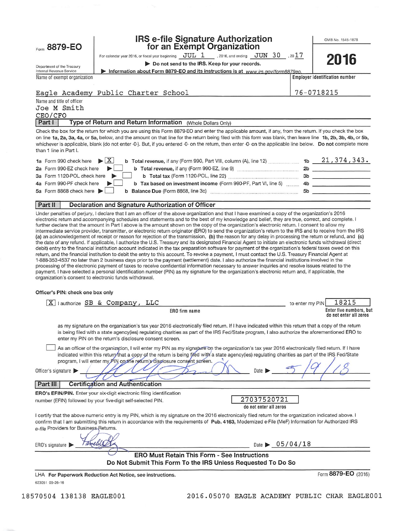Form 8879-EO

# IRS e-file Signature Authorization<br>for an Exempt Organization

OMB No. 1545-1878

2016

|  | or an Exomple organization |  |  |  |
|--|----------------------------|--|--|--|
|  | $TTTT$ 1                   |  |  |  |

For calendar year 2016, or fiscal year beginning  $JUL$  1 . 2016, and ending  $JUN$  30 , 20 1 7

Do not send to the IRS. Keep for your records.

Department of the Treasury Internal Revenue Service Name of exempt organization

Information about Form 8879-EO and its instructions is at www.irs.gov/form8879eo Employer identification number

| Eagle Academy Public Charter School                                                                                                                                                                                                                                                                                                                                                                                                                                                                             | 76-0718215                      |
|-----------------------------------------------------------------------------------------------------------------------------------------------------------------------------------------------------------------------------------------------------------------------------------------------------------------------------------------------------------------------------------------------------------------------------------------------------------------------------------------------------------------|---------------------------------|
| Name and title of officer                                                                                                                                                                                                                                                                                                                                                                                                                                                                                       |                                 |
| Joe M Smith                                                                                                                                                                                                                                                                                                                                                                                                                                                                                                     |                                 |
| CEO/CFO                                                                                                                                                                                                                                                                                                                                                                                                                                                                                                         |                                 |
| Part I<br>Type of Return and Return Information<br>(Whole Dollars Only)                                                                                                                                                                                                                                                                                                                                                                                                                                         |                                 |
| Check the box for the return for which you are using this Form 8879-EO and enter the applicable amount, if any, from the return. If you check the box<br>on line 1a, 2a, 3a, 4a, or 5a, below, and the amount on that line for the return being filed with this form was blank, then leave line 1b, 2b, 3b, 4b, or 5b,<br>whichever is applicable, blank (do not enter -0-). But, if you entered -0- on the return, then enter -0- on the applicable line below. Do not complete more<br>than 1 line in Part I. |                                 |
| $\blacktriangleright$ $X$<br>b Total revenue, if any (Form 990, Part VIII, column (A), line 12)<br>1a Form 990 check here                                                                                                                                                                                                                                                                                                                                                                                       | 21, 374, 343.<br>1 <sub>b</sub> |

| $\blacksquare$ $\blacksquare$ $\blacksquare$ $\blacksquare$ $\blacksquare$ $\blacksquare$ $\blacksquare$ $\blacksquare$ $\blacksquare$ $\blacksquare$ $\blacksquare$ $\blacksquare$ $\blacksquare$ $\blacksquare$ $\blacksquare$ $\blacksquare$ $\blacksquare$ $\blacksquare$ $\blacksquare$ $\blacksquare$ $\blacksquare$ $\blacksquare$ $\blacksquare$ $\blacksquare$ $\blacksquare$ $\blacksquare$ $\blacksquare$ $\blacksquare$ $\blacksquare$ $\blacksquare$ $\blacksquare$ $\blacks$<br>$D$ Total reventue, if any (Form 330, Fart VIII, Column ( $\gamma$ ), line iz $D$ and $D$ and $D$ and $D$ and $D$ are $D$ |     |  |
|-------------------------------------------------------------------------------------------------------------------------------------------------------------------------------------------------------------------------------------------------------------------------------------------------------------------------------------------------------------------------------------------------------------------------------------------------------------------------------------------------------------------------------------------------------------------------------------------------------------------------|-----|--|
| 2a Form 990-EZ check here<br><b>b</b> Total revenue, if any (Form 990-EZ, line 9)                                                                                                                                                                                                                                                                                                                                                                                                                                                                                                                                       | 2b  |  |
| 3a Form 1120-POL check here $\blacktriangleright$<br><b>b</b> Total tax (Form 1120-POL, line 22)                                                                                                                                                                                                                                                                                                                                                                                                                                                                                                                        | 3b  |  |
| 4a Form 990-PF check here $\blacktriangleright$<br>b Tax based on investment income (Form 990-PF, Part VI, line 5) 4b                                                                                                                                                                                                                                                                                                                                                                                                                                                                                                   |     |  |
| 5a Form 8868 check here $\blacktriangleright$<br>b Balance Due (Form 8868, line 3c)                                                                                                                                                                                                                                                                                                                                                                                                                                                                                                                                     | .5b |  |
|                                                                                                                                                                                                                                                                                                                                                                                                                                                                                                                                                                                                                         |     |  |

#### Part II Declaration and Signature Authorization of Officer

Under penalties of perjury, I declare that I am an officer of the above organization and that I have examined a copy of the organization's 2016 electronic return and accompanying schedules and statements and to the best of my knowledge and belief, they are true, correct, and complete. I further declare that the amount in Part I above is the amount shown on the copy of the organization's electronic return. I consent to allow my intermediate service provider, transmitter, or electronic return originator (ERO) to send the organization's return to the IRS and to receive from the IRS (a) an acknowledgement of receipt or reason for rejection of the transmission, (b) the reason for any delay in processing the return or refund, and (c) the date of any refund. If applicable, I authorize the U.S. Treasury and its designated Financial Agent to initiate an electronic funds withdrawal (direct debit) entry to the financial institution account indicated in the tax preparation software for payment of the organization's federal taxes owed on this return, and the financial institution to debit the entry to this account. To revoke a payment, I must contact the U.S. Treasury Financial Agent at 1-888-353-4537 no later than 2 business days prior to the payment (settlement) date. I also authorize the financial institutions involved in the processing of the electronic payment of taxes to receive confidential information necessary to answer inquiries and resolve issues related to the payment. I have selected a personal identification number (PIN) as my signature for the organization's electronic return and, if applicable, the organization's consent to electronic funds withdrawal.

#### Officer's PIN: check one box only

| lauthorize SB & Company, LLC<br> X                                                                                                                                                                                                                                                                                                                                                                      | 18215<br>to enter my PIN                          |
|---------------------------------------------------------------------------------------------------------------------------------------------------------------------------------------------------------------------------------------------------------------------------------------------------------------------------------------------------------------------------------------------------------|---------------------------------------------------|
| ERO firm name                                                                                                                                                                                                                                                                                                                                                                                           | Enter five numbers, but<br>do not enter all zeros |
| as my signature on the organization's tax year 2016 electronically filed return. If I have indicated within this return that a copy of the return<br>is being filed with a state agency(ies) regulating charities as part of the IRS Fed/State program, I also authorize the aforementioned ERO to<br>enter my PIN on the return's disclosure consent screen.                                           |                                                   |
| As an officer of the organization, I will enter my PIN as my signature on the organization's tax year 2016 electronically filed return. If I have<br>indicated within this return that a copy of the return is being filed with a state agency(ies) regulating charities as part of the IRS Fed/State<br>program, I will enter my PIN on the return's disclosure consent sereen.<br>Officer's signature | Date D                                            |
| <b>Certification and Authentication</b><br><b>Part III</b>                                                                                                                                                                                                                                                                                                                                              |                                                   |
| <b>ERO's EFIN/PIN.</b> Enter your six-digit electronic filing identification<br>number (EFIN) followed by your five-digit self-selected PIN.                                                                                                                                                                                                                                                            | 27037520721<br>do not enter all zeros             |
| I certify that the above numeric entry is my PIN, which is my signature on the 2016 electronically filed return for the organization indicated above. I<br>confirm that I am submitting this return in accordance with the requirements of Pub. 4163, Modernized e-File (MeF) Information for Authorized IRS<br>e-file Providers for Business Returns.                                                  |                                                   |
| ERO's signature                                                                                                                                                                                                                                                                                                                                                                                         | Date $\triangleright$ 05/04/18                    |
| <b>ERO Must Retain This Form - See Instructions</b>                                                                                                                                                                                                                                                                                                                                                     |                                                   |
| Do Not Submit This Form To the IRS Unless Requested To Do So                                                                                                                                                                                                                                                                                                                                            |                                                   |
| LHA For Paperwork Reduction Act Notice, see instructions.                                                                                                                                                                                                                                                                                                                                               | Form 8879-EO (2016)                               |

623051 09-26-16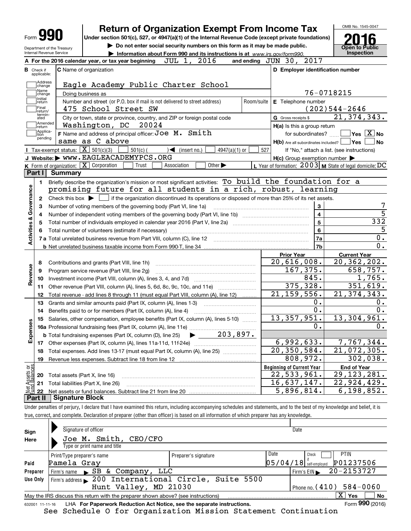|                                                   | <b>Return of Organization Exempt From Income Tax</b>                                                                                                |            |                                                  | OMB No. 1545-0047                                          |
|---------------------------------------------------|-----------------------------------------------------------------------------------------------------------------------------------------------------|------------|--------------------------------------------------|------------------------------------------------------------|
| Form                                              | Under section 501(c), 527, or 4947(a)(1) of the Internal Revenue Code (except private foundations)                                                  |            |                                                  |                                                            |
| Department of the Treasury                        | Do not enter social security numbers on this form as it may be made public.                                                                         |            |                                                  | <b>Open to Public</b>                                      |
| Internal Revenue Service                          | Information about Form 990 and its instructions is at www.irs.gov/form990.                                                                          |            |                                                  | <b>Inspection</b>                                          |
|                                                   | 2016<br>JUL 1,<br>A For the 2016 calendar year, or tax year beginning                                                                               |            | 2017<br>and ending $JUN$ 30,                     |                                                            |
| <b>B</b> Check if<br>applicable:                  | C Name of organization                                                                                                                              |            | D Employer identification number                 |                                                            |
| Address<br>change                                 | Eagle Academy Public Charter School                                                                                                                 |            |                                                  |                                                            |
| Name<br>change                                    | Doing business as                                                                                                                                   |            |                                                  | 76-0718215                                                 |
| Initial<br>return                                 | Number and street (or P.O. box if mail is not delivered to street address)                                                                          | Room/suite | E Telephone number                               |                                                            |
| Final<br>return/<br>termin-                       | 475 School Street SW                                                                                                                                |            |                                                  | $(202)544 - 2646$                                          |
| ated<br>Amended                                   | City or town, state or province, country, and ZIP or foreign postal code                                                                            |            | G Gross receipts \$                              | 21, 374, 343.                                              |
| return<br>Applica-                                | Washington, DC<br>20024                                                                                                                             |            | H(a) Is this a group return                      |                                                            |
| tion<br>pending                                   | F Name and address of principal officer: Joe M. Smith<br>same as C above                                                                            |            | for subordinates?                                | $\overline{\mathsf{Yes}}$ $\overline{\mathsf{X}}$ No<br>No |
| Tax-exempt status: $\boxed{\mathbf{X}}$ 501(c)(3) | $501(c)$ (<br>$\sqrt{\frac{1}{1}}$ (insert no.)<br>$4947(a)(1)$ or                                                                                  | 527        | $H(b)$ Are all subordinates included? $\Box$ Yes | If "No," attach a list. (see instructions)                 |
|                                                   | J Website: WWW.EAGLEACADEMYPCS.ORG                                                                                                                  |            | H(c) Group exemption number                      |                                                            |
| K Form of organization: X Corporation             | Other $\blacktriangleright$<br>Trust<br>Association                                                                                                 |            |                                                  | L Year of formation: $2003$ M State of legal domicile: DC  |
| Part I<br><b>Summary</b>                          |                                                                                                                                                     |            |                                                  |                                                            |
| 1.                                                | Briefly describe the organization's mission or most significant activities: To build the foundation for a                                           |            |                                                  |                                                            |
|                                                   | promising future for all students in a rich, robust, learning                                                                                       |            |                                                  |                                                            |
| 2                                                 | Check this box $\blacktriangleright$ $\blacksquare$ if the organization discontinued its operations or disposed of more than 25% of its net assets. |            |                                                  |                                                            |
| з                                                 | Number of voting members of the governing body (Part VI, line 1a)                                                                                   |            | 3                                                |                                                            |
| Activities & Governance<br>4                      |                                                                                                                                                     |            | $\overline{\mathbf{4}}$                          |                                                            |
| 5                                                 |                                                                                                                                                     |            | 5                                                | 332                                                        |
| 6                                                 |                                                                                                                                                     |            | 6                                                |                                                            |
|                                                   |                                                                                                                                                     |            | 7a                                               | $\mathbf 0$ .                                              |
|                                                   |                                                                                                                                                     |            | 7 <sub>b</sub>                                   | $\overline{0}$ .                                           |
|                                                   |                                                                                                                                                     |            | <b>Prior Year</b>                                |                                                            |
| 8                                                 |                                                                                                                                                     |            | $\overline{20,616,008}$ .                        |                                                            |
|                                                   |                                                                                                                                                     |            |                                                  | <b>Current Year</b>                                        |
|                                                   | Contributions and grants (Part VIII, line 1h)                                                                                                       |            |                                                  | $\overline{20, 362, 202}$ .                                |
| 9                                                 | Program service revenue (Part VIII, line 2g)                                                                                                        |            | 167, 375.                                        | 658,757.                                                   |
| 10                                                |                                                                                                                                                     |            | 845.                                             | 1,765.                                                     |
| 11                                                | Other revenue (Part VIII, column (A), lines 5, 6d, 8c, 9c, 10c, and 11e)                                                                            |            | 375, 328.                                        | 351,619.                                                   |
| 12                                                | Total revenue - add lines 8 through 11 (must equal Part VIII, column (A), line 12)                                                                  |            | 21, 159, 556.                                    | 21, 374, 343.                                              |
| 13                                                | Grants and similar amounts paid (Part IX, column (A), lines 1-3)                                                                                    |            | 0.                                               | 0.                                                         |
| 14                                                | Benefits paid to or for members (Part IX, column (A), line 4)                                                                                       |            | $\overline{0}$ .                                 | 0.                                                         |
| w                                                 | 15 Salaries, other compensation, employee benefits (Part IX, column (A), lines 5-10)                                                                |            | 13,357,951.                                      | 13,304,961.                                                |
|                                                   | 16a Professional fundraising fees (Part IX, column (A), line 11e)                                                                                   |            | 0.                                               | 0.                                                         |
|                                                   | $\blacktriangleright$ 203,897.<br><b>b</b> Total fundraising expenses (Part IX, column (D), line 25)                                                |            |                                                  |                                                            |
| 17                                                |                                                                                                                                                     |            | 6,992,633.                                       | 7,767,344.                                                 |
| 18                                                | Total expenses. Add lines 13-17 (must equal Part IX, column (A), line 25)                                                                           |            | $\overline{20, 350, 584}$ .                      | 21,072,305.                                                |
| Revenue<br>19                                     |                                                                                                                                                     |            | 808,972.                                         | 302,038.                                                   |
|                                                   |                                                                                                                                                     |            | <b>Beginning of Current Year</b>                 | <b>End of Year</b>                                         |
| Expense<br>20                                     | Total assets (Part X, line 16)                                                                                                                      |            | 22,533,961.                                      | $\overline{29,123,281}$ .                                  |
| t Assets or<br>d Balances<br>21<br>22             | Total liabilities (Part X, line 26)                                                                                                                 |            | 16,637,147.<br>5,896,814.                        | 22,924,429.<br>6, 198, 852.                                |

true, correct, and complete. Declaration of preparer (other than officer) is based on all information of which preparer has any knowledge.

| Sign            | Signature of officer                                                                                             |                      | Date                                            |  |  |  |  |  |
|-----------------|------------------------------------------------------------------------------------------------------------------|----------------------|-------------------------------------------------|--|--|--|--|--|
| Here            | Joe M. Smith, CEO/CFO                                                                                            |                      |                                                 |  |  |  |  |  |
|                 | Type or print name and title                                                                                     |                      |                                                 |  |  |  |  |  |
|                 | Print/Type preparer's name                                                                                       | Preparer's signature | Date<br><b>PTIN</b><br>Check                    |  |  |  |  |  |
| Paid            | Pamela Gray                                                                                                      |                      | P01237506<br>$05/04/18$ self-employed           |  |  |  |  |  |
| Preparer        | Firm's name SB & Company, LLC                                                                                    |                      | 20-2153727<br>Firm's $EIN$                      |  |  |  |  |  |
| Use Only        | Firm's address 200 International Circle, Suite 5500                                                              |                      |                                                 |  |  |  |  |  |
|                 | Hunt Valley, MD 21030                                                                                            |                      | $584 - 0060$<br>$^{\prime}$ Phone no. ( $410$ ) |  |  |  |  |  |
|                 | $\mathbf{x}$<br>∣ Yes<br>No<br>May the IRS discuss this return with the preparer shown above? (see instructions) |                      |                                                 |  |  |  |  |  |
| 632001 11-11-16 | LHA For Paperwork Reduction Act Notice, see the separate instructions.                                           |                      | Form 990 (2016)                                 |  |  |  |  |  |
|                 |                                                                                                                  |                      |                                                 |  |  |  |  |  |

See Schedule O for Organization Mission Statement Continuation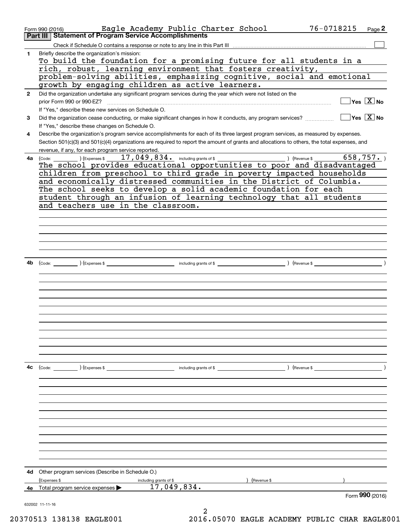|              | Eagle Academy Public Charter School<br>Form 990 (2016)                                                                                       | 76-0718215    | Page $2$         |
|--------------|----------------------------------------------------------------------------------------------------------------------------------------------|---------------|------------------|
|              | Part III   Statement of Program Service Accomplishments                                                                                      |               |                  |
|              |                                                                                                                                              |               |                  |
| 1            | Briefly describe the organization's mission:                                                                                                 |               |                  |
|              | To build the foundation for a promising future for all students in a                                                                         |               |                  |
|              | rich, robust, learning environment that fosters creativity,                                                                                  |               |                  |
|              | problem-solving abilities, emphasizing cognitive, social and emotional                                                                       |               |                  |
|              | growth by engaging children as active learners.                                                                                              |               |                  |
| $\mathbf{2}$ | Did the organization undertake any significant program services during the year which were not listed on the                                 |               |                  |
|              | prior Form 990 or 990-EZ?                                                                                                                    |               | $Yes \; X \; No$ |
|              | If "Yes," describe these new services on Schedule O.                                                                                         |               |                  |
| 3            |                                                                                                                                              |               |                  |
|              | If "Yes," describe these changes on Schedule O.                                                                                              |               |                  |
| 4            | Describe the organization's program service accomplishments for each of its three largest program services, as measured by expenses.         |               |                  |
|              | Section 501(c)(3) and 501(c)(4) organizations are required to report the amount of grants and allocations to others, the total expenses, and |               |                  |
|              | revenue, if any, for each program service reported.                                                                                          |               |                  |
| 4a           | (Code: ) (Expenses $17,049,834$ including grants of \$                                                                                       |               | 658,757.         |
|              | The school provides educational opportunities to poor and disadvantaged                                                                      |               |                  |
|              | children from preschool to third grade in poverty impacted households                                                                        |               |                  |
|              | and economically distressed communities in the District of Columbia.                                                                         |               |                  |
|              | The school seeks to develop a solid academic foundation for each                                                                             |               |                  |
|              | student through an infusion of learning technology that all students                                                                         |               |                  |
|              | and teachers use in the classroom.                                                                                                           |               |                  |
|              |                                                                                                                                              |               |                  |
|              |                                                                                                                                              |               |                  |
|              |                                                                                                                                              |               |                  |
|              |                                                                                                                                              |               |                  |
|              |                                                                                                                                              |               |                  |
|              |                                                                                                                                              |               |                  |
|              |                                                                                                                                              |               |                  |
| 4b           |                                                                                                                                              |               |                  |
|              |                                                                                                                                              |               |                  |
|              |                                                                                                                                              |               |                  |
|              |                                                                                                                                              |               |                  |
|              |                                                                                                                                              |               |                  |
|              |                                                                                                                                              |               |                  |
|              |                                                                                                                                              |               |                  |
|              |                                                                                                                                              |               |                  |
|              |                                                                                                                                              |               |                  |
|              |                                                                                                                                              |               |                  |
|              |                                                                                                                                              |               |                  |
|              |                                                                                                                                              |               |                  |
|              |                                                                                                                                              |               |                  |
| 4с           |                                                                                                                                              | ) (Revenue \$ |                  |
|              |                                                                                                                                              |               |                  |
|              |                                                                                                                                              |               |                  |
|              |                                                                                                                                              |               |                  |
|              |                                                                                                                                              |               |                  |
|              |                                                                                                                                              |               |                  |
|              |                                                                                                                                              |               |                  |
|              |                                                                                                                                              |               |                  |
|              |                                                                                                                                              |               |                  |
|              |                                                                                                                                              |               |                  |
|              |                                                                                                                                              |               |                  |
|              |                                                                                                                                              |               |                  |
|              |                                                                                                                                              |               |                  |
| 4d           | Other program services (Describe in Schedule O.)                                                                                             |               |                  |
|              | (Expenses \$<br>(Revenue \$<br>including grants of \$                                                                                        |               |                  |
|              | 17,049,834.<br>4e Total program service expenses $\blacktriangleright$                                                                       |               |                  |
|              |                                                                                                                                              |               | Form 990 (2016)  |
|              | 632002 11-11-16                                                                                                                              |               |                  |
|              |                                                                                                                                              |               |                  |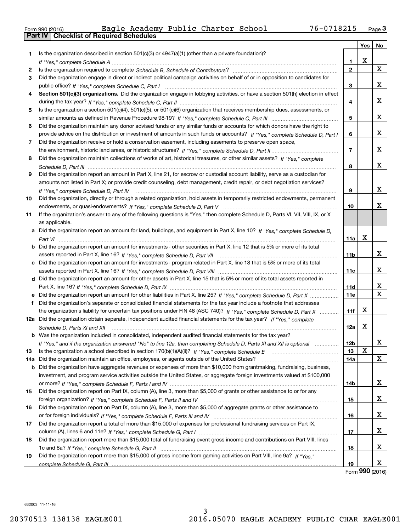|  | Form 990 (2016) |  |
|--|-----------------|--|

|       |                                                                                                                                                    |              | Yes | No |
|-------|----------------------------------------------------------------------------------------------------------------------------------------------------|--------------|-----|----|
| 1     | Is the organization described in section $501(c)(3)$ or $4947(a)(1)$ (other than a private foundation)?                                            |              |     |    |
|       |                                                                                                                                                    | 1.           | X   |    |
| 2     |                                                                                                                                                    | $\mathbf{2}$ |     | X  |
| З.    | Did the organization engage in direct or indirect political campaign activities on behalf of or in opposition to candidates for                    |              |     |    |
|       |                                                                                                                                                    | 3            |     | x  |
| 4     | Section 501(c)(3) organizations. Did the organization engage in lobbying activities, or have a section 501(h) election in effect                   |              |     |    |
|       |                                                                                                                                                    | 4            |     | x  |
| 5     | Is the organization a section 501(c)(4), 501(c)(5), or 501(c)(6) organization that receives membership dues, assessments, or                       |              |     |    |
|       |                                                                                                                                                    | 5            |     | x  |
| 6     | Did the organization maintain any donor advised funds or any similar funds or accounts for which donors have the right to                          |              |     |    |
|       | provide advice on the distribution or investment of amounts in such funds or accounts? If "Yes," complete Schedule D, Part I                       | 6            |     | x  |
| 7     | Did the organization receive or hold a conservation easement, including easements to preserve open space,                                          |              |     |    |
|       |                                                                                                                                                    | 7            |     | x  |
| 8     | Did the organization maintain collections of works of art, historical treasures, or other similar assets? If "Yes," complete                       |              |     |    |
|       |                                                                                                                                                    | 8            |     | x  |
| 9     | Did the organization report an amount in Part X, line 21, for escrow or custodial account liability, serve as a custodian for                      |              |     |    |
|       | amounts not listed in Part X; or provide credit counseling, debt management, credit repair, or debt negotiation services?                          |              |     |    |
|       | If "Yes," complete Schedule D, Part IV                                                                                                             | 9            |     | x  |
| 10    | Did the organization, directly or through a related organization, hold assets in temporarily restricted endowments, permanent                      |              |     |    |
|       |                                                                                                                                                    | 10           |     | x  |
| 11    | If the organization's answer to any of the following questions is "Yes," then complete Schedule D, Parts VI, VIII, VIII, IX, or X                  |              |     |    |
|       | as applicable.                                                                                                                                     |              |     |    |
|       | a Did the organization report an amount for land, buildings, and equipment in Part X, line 10? If "Yes," complete Schedule D,                      |              |     |    |
|       |                                                                                                                                                    | 11a          | X   |    |
|       | <b>b</b> Did the organization report an amount for investments - other securities in Part X, line 12 that is 5% or more of its total               |              |     |    |
|       |                                                                                                                                                    | 11b          |     | x  |
|       | c Did the organization report an amount for investments - program related in Part X, line 13 that is 5% or more of its total                       |              |     |    |
|       |                                                                                                                                                    | 11c          |     | x  |
|       | d Did the organization report an amount for other assets in Part X, line 15 that is 5% or more of its total assets reported in                     |              |     | х  |
|       |                                                                                                                                                    | 11d          |     | X  |
|       | e Did the organization report an amount for other liabilities in Part X, line 25? If "Yes," complete Schedule D, Part X                            | <b>11e</b>   |     |    |
|       | f Did the organization's separate or consolidated financial statements for the tax year include a footnote that addresses                          |              | X   |    |
|       | the organization's liability for uncertain tax positions under FIN 48 (ASC 740)? If "Yes," complete Schedule D, Part X                             | 11f          |     |    |
|       | 12a Did the organization obtain separate, independent audited financial statements for the tax year? If "Yes," complete                            | 12a          | X   |    |
|       | Schedule D, Parts XI and XII<br><b>b</b> Was the organization included in consolidated, independent audited financial statements for the tax year? |              |     |    |
|       |                                                                                                                                                    | 12b          |     | X  |
| 13    | If "Yes," and if the organization answered "No" to line 12a, then completing Schedule D, Parts XI and XII is optional                              | 13           | X   |    |
| 14a l | Did the organization maintain an office, employees, or agents outside of the United States?                                                        | 14a          |     | X  |
|       | <b>b</b> Did the organization have aggregate revenues or expenses of more than \$10,000 from grantmaking, fundraising, business,                   |              |     |    |
|       | investment, and program service activities outside the United States, or aggregate foreign investments valued at \$100,000                         |              |     |    |
|       |                                                                                                                                                    | 14b          |     | x  |
| 15    | Did the organization report on Part IX, column (A), line 3, more than \$5,000 of grants or other assistance to or for any                          |              |     |    |
|       |                                                                                                                                                    | 15           |     | х  |
| 16    | Did the organization report on Part IX, column (A), line 3, more than \$5,000 of aggregate grants or other assistance to                           |              |     |    |
|       |                                                                                                                                                    | 16           |     | x  |
| 17    | Did the organization report a total of more than \$15,000 of expenses for professional fundraising services on Part IX,                            |              |     |    |
|       |                                                                                                                                                    | 17           |     | x  |
| 18    | Did the organization report more than \$15,000 total of fundraising event gross income and contributions on Part VIII, lines                       |              |     |    |
|       |                                                                                                                                                    | 18           |     | х  |
| 19    | Did the organization report more than \$15,000 of gross income from gaming activities on Part VIII, line 9a? If "Yes."                             |              |     |    |
|       |                                                                                                                                                    | 19           |     | X  |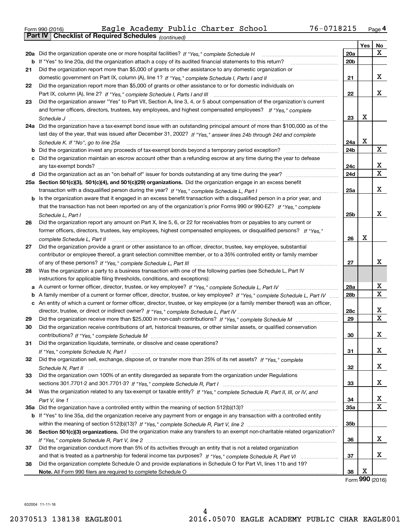| Form 990 (2016) |                                                            |  | Eagle Academy Public Charter School | 76-0718215 | Page 4 |
|-----------------|------------------------------------------------------------|--|-------------------------------------|------------|--------|
|                 | <b>Part IV Checklist of Required Schedules</b> (continued) |  |                                     |            |        |

|    | Parl IV I<br>Crieckist of Required Scriedules (continued)                                                                         |                 |     |    |
|----|-----------------------------------------------------------------------------------------------------------------------------------|-----------------|-----|----|
|    |                                                                                                                                   |                 | Yes | No |
|    | 20a Did the organization operate one or more hospital facilities? If "Yes," complete Schedule H                                   | 20a             |     | x  |
|    | <b>b</b> If "Yes" to line 20a, did the organization attach a copy of its audited financial statements to this return?             | 20 <sub>b</sub> |     |    |
| 21 | Did the organization report more than \$5,000 of grants or other assistance to any domestic organization or                       |                 |     |    |
|    |                                                                                                                                   | 21              |     | х  |
| 22 | Did the organization report more than \$5,000 of grants or other assistance to or for domestic individuals on                     |                 |     |    |
|    |                                                                                                                                   | 22              |     | х  |
| 23 | Did the organization answer "Yes" to Part VII, Section A, line 3, 4, or 5 about compensation of the organization's current        |                 |     |    |
|    | and former officers, directors, trustees, key employees, and highest compensated employees? If "Yes," complete                    |                 |     |    |
|    |                                                                                                                                   | 23              | х   |    |
|    | 24a Did the organization have a tax-exempt bond issue with an outstanding principal amount of more than \$100,000 as of the       |                 |     |    |
|    | last day of the year, that was issued after December 31, 2002? If "Yes," answer lines 24b through 24d and complete                |                 |     |    |
|    | Schedule K. If "No", go to line 25a                                                                                               | 24a             | X   |    |
|    | <b>b</b> Did the organization invest any proceeds of tax-exempt bonds beyond a temporary period exception?                        | 24b             |     | x  |
|    | c Did the organization maintain an escrow account other than a refunding escrow at any time during the year to defease            |                 |     |    |
|    |                                                                                                                                   | 24c             |     | х  |
|    |                                                                                                                                   | 24d             |     | х  |
|    | 25a Section 501(c)(3), 501(c)(4), and 501(c)(29) organizations. Did the organization engage in an excess benefit                  |                 |     |    |
|    |                                                                                                                                   | 25a             |     | х  |
|    | b Is the organization aware that it engaged in an excess benefit transaction with a disqualified person in a prior year, and      |                 |     |    |
|    | that the transaction has not been reported on any of the organization's prior Forms 990 or 990-EZ? If "Yes," complete             |                 |     |    |
|    | Schedule L, Part I                                                                                                                | 25b             |     | х  |
| 26 | Did the organization report any amount on Part X, line 5, 6, or 22 for receivables from or payables to any current or             |                 |     |    |
|    | former officers, directors, trustees, key employees, highest compensated employees, or disqualified persons? If "Yes."            |                 |     |    |
|    |                                                                                                                                   | 26              | X   |    |
| 27 | Did the organization provide a grant or other assistance to an officer, director, trustee, key employee, substantial              |                 |     |    |
|    | contributor or employee thereof, a grant selection committee member, or to a 35% controlled entity or family member               |                 |     |    |
|    |                                                                                                                                   | 27              |     | x  |
| 28 | Was the organization a party to a business transaction with one of the following parties (see Schedule L, Part IV                 |                 |     |    |
|    | instructions for applicable filing thresholds, conditions, and exceptions):                                                       |                 |     |    |
|    | a A current or former officer, director, trustee, or key employee? If "Yes," complete Schedule L, Part IV                         | 28a             |     | х  |
|    | b A family member of a current or former officer, director, trustee, or key employee? If "Yes," complete Schedule L, Part IV      | 28b             |     | х  |
|    | c An entity of which a current or former officer, director, trustee, or key employee (or a family member thereof) was an officer, |                 |     |    |
|    |                                                                                                                                   | 28c             |     | х  |
| 29 |                                                                                                                                   | 29              |     | X  |
| 30 | Did the organization receive contributions of art, historical treasures, or other similar assets, or qualified conservation       |                 |     |    |
|    |                                                                                                                                   | 30              |     | х  |
| 31 | Did the organization liquidate, terminate, or dissolve and cease operations?                                                      |                 |     |    |
|    |                                                                                                                                   | 31              |     | x  |
| 32 | Did the organization sell, exchange, dispose of, or transfer more than 25% of its net assets? If "Yes," complete                  |                 |     |    |
|    |                                                                                                                                   | 32              |     | х  |
| 33 | Did the organization own 100% of an entity disregarded as separate from the organization under Regulations                        |                 |     |    |
|    |                                                                                                                                   | 33              |     | х  |
| 34 | Was the organization related to any tax-exempt or taxable entity? If "Yes," complete Schedule R, Part II, III, or IV, and         |                 |     |    |
|    |                                                                                                                                   | 34              |     | х  |
|    |                                                                                                                                   |                 |     | Χ  |
|    | 35a Did the organization have a controlled entity within the meaning of section 512(b)(13)?                                       | 35a             |     |    |
|    | b If "Yes" to line 35a, did the organization receive any payment from or engage in any transaction with a controlled entity       |                 |     |    |
|    |                                                                                                                                   | 35b             |     |    |
| 36 | Section 501(c)(3) organizations. Did the organization make any transfers to an exempt non-charitable related organization?        |                 |     | х  |
|    |                                                                                                                                   | 36              |     |    |
| 37 | Did the organization conduct more than 5% of its activities through an entity that is not a related organization                  |                 |     | x  |
|    |                                                                                                                                   | 37              |     |    |
| 38 | Did the organization complete Schedule O and provide explanations in Schedule O for Part VI, lines 11b and 19?                    |                 | X   |    |
|    |                                                                                                                                   | 38              |     |    |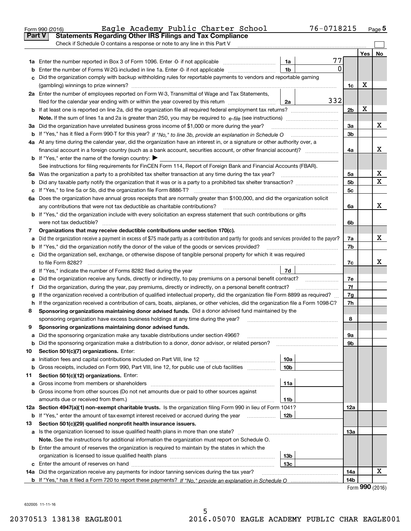|        | 76-0718215<br>Eagle Academy Public Charter School<br>Form 990 (2016)                                                                            |                |     | $_{\text{Page}}$ 5 |  |  |  |  |
|--------|-------------------------------------------------------------------------------------------------------------------------------------------------|----------------|-----|--------------------|--|--|--|--|
| Part V | <b>Statements Regarding Other IRS Filings and Tax Compliance</b>                                                                                |                |     |                    |  |  |  |  |
|        | Check if Schedule O contains a response or note to any line in this Part V                                                                      |                |     |                    |  |  |  |  |
|        |                                                                                                                                                 |                | Yes | No                 |  |  |  |  |
|        | 77<br>1a                                                                                                                                        |                |     |                    |  |  |  |  |
| b      | 0<br>1 <sub>b</sub><br>Enter the number of Forms W-2G included in line 1a. Enter -0- if not applicable                                          |                |     |                    |  |  |  |  |
| c      | Did the organization comply with backup withholding rules for reportable payments to vendors and reportable gaming                              |                |     |                    |  |  |  |  |
|        |                                                                                                                                                 | 1c             | х   |                    |  |  |  |  |
|        | 2a Enter the number of employees reported on Form W-3, Transmittal of Wage and Tax Statements,                                                  |                |     |                    |  |  |  |  |
|        | 332<br>filed for the calendar year ending with or within the year covered by this return<br>2a                                                  |                |     |                    |  |  |  |  |
|        |                                                                                                                                                 | 2 <sub>b</sub> | X   |                    |  |  |  |  |
|        |                                                                                                                                                 |                |     |                    |  |  |  |  |
|        | 3a Did the organization have unrelated business gross income of \$1,000 or more during the year?                                                | 3a             |     | х                  |  |  |  |  |
|        |                                                                                                                                                 | 3 <sub>b</sub> |     |                    |  |  |  |  |
|        | 4a At any time during the calendar year, did the organization have an interest in, or a signature or other authority over, a                    |                |     |                    |  |  |  |  |
|        |                                                                                                                                                 | 4a             |     | x                  |  |  |  |  |
|        | <b>b</b> If "Yes," enter the name of the foreign country: $\blacktriangleright$                                                                 |                |     |                    |  |  |  |  |
|        | See instructions for filing requirements for FinCEN Form 114, Report of Foreign Bank and Financial Accounts (FBAR).                             |                |     |                    |  |  |  |  |
|        |                                                                                                                                                 | 5a             |     | х                  |  |  |  |  |
| b      | Did any taxable party notify the organization that it was or is a party to a prohibited tax shelter transaction?                                | 5 <sub>b</sub> |     | х                  |  |  |  |  |
|        |                                                                                                                                                 | 5c             |     |                    |  |  |  |  |
|        | 6a Does the organization have annual gross receipts that are normally greater than \$100,000, and did the organization solicit                  |                |     |                    |  |  |  |  |
|        |                                                                                                                                                 | 6a             |     | x                  |  |  |  |  |
|        | <b>b</b> If "Yes," did the organization include with every solicitation an express statement that such contributions or gifts                   |                |     |                    |  |  |  |  |
|        |                                                                                                                                                 | 6b             |     |                    |  |  |  |  |
| 7      | Organizations that may receive deductible contributions under section 170(c).                                                                   |                |     |                    |  |  |  |  |
| a      | Did the organization receive a payment in excess of \$75 made partly as a contribution and partly for goods and services provided to the payor? | 7a             |     | x                  |  |  |  |  |
|        | <b>b</b> If "Yes," did the organization notify the donor of the value of the goods or services provided?                                        | 7b             |     |                    |  |  |  |  |
|        | c Did the organization sell, exchange, or otherwise dispose of tangible personal property for which it was required                             |                |     |                    |  |  |  |  |
|        |                                                                                                                                                 | 7c             |     | x                  |  |  |  |  |
|        | 7d                                                                                                                                              |                |     |                    |  |  |  |  |
| е      |                                                                                                                                                 | 7e             |     |                    |  |  |  |  |
| f      | Did the organization, during the year, pay premiums, directly or indirectly, on a personal benefit contract?                                    | 7f             |     |                    |  |  |  |  |
| g      | If the organization received a contribution of qualified intellectual property, did the organization file Form 8899 as required?                | 7g             |     |                    |  |  |  |  |
|        | h If the organization received a contribution of cars, boats, airplanes, or other vehicles, did the organization file a Form 1098-C?            | 7h             |     |                    |  |  |  |  |
| 8      | Sponsoring organizations maintaining donor advised funds. Did a donor advised fund maintained by the                                            |                |     |                    |  |  |  |  |
|        | sponsoring organization have excess business holdings at any time during the year?                                                              | 8              |     |                    |  |  |  |  |
|        | Sponsoring organizations maintaining donor advised funds.                                                                                       |                |     |                    |  |  |  |  |
| а      | Did the sponsoring organization make any taxable distributions under section 4966?                                                              | 9а             |     |                    |  |  |  |  |
| b      | Did the sponsoring organization make a distribution to a donor, donor advisor, or related person?                                               | 9b             |     |                    |  |  |  |  |
| 10     | Section 501(c)(7) organizations. Enter:                                                                                                         |                |     |                    |  |  |  |  |
| а      | 10a<br>Initiation fees and capital contributions included on Part VIII, line 12 <i>manuarrouus</i> manuations of the late                       |                |     |                    |  |  |  |  |
| b      | 10 <sub>b</sub><br>Gross receipts, included on Form 990, Part VIII, line 12, for public use of club facilities                                  |                |     |                    |  |  |  |  |
| 11     | Section 501(c)(12) organizations. Enter:                                                                                                        |                |     |                    |  |  |  |  |
| а      | 11a<br>Gross income from members or shareholders                                                                                                |                |     |                    |  |  |  |  |
|        | b Gross income from other sources (Do not net amounts due or paid to other sources against                                                      |                |     |                    |  |  |  |  |
|        | amounts due or received from them.)<br>11b                                                                                                      |                |     |                    |  |  |  |  |
|        | 12a Section 4947(a)(1) non-exempt charitable trusts. Is the organization filing Form 990 in lieu of Form 1041?                                  | 12a            |     |                    |  |  |  |  |
|        | 12 <sub>b</sub><br><b>b</b> If "Yes," enter the amount of tax-exempt interest received or accrued during the year <i>manument</i>               |                |     |                    |  |  |  |  |
| 13     | Section 501(c)(29) qualified nonprofit health insurance issuers.                                                                                |                |     |                    |  |  |  |  |
|        |                                                                                                                                                 | 13а            |     |                    |  |  |  |  |
| a      |                                                                                                                                                 |                |     |                    |  |  |  |  |
|        | Note. See the instructions for additional information the organization must report on Schedule O.                                               |                |     |                    |  |  |  |  |
|        | <b>b</b> Enter the amount of reserves the organization is required to maintain by the states in which the                                       |                |     |                    |  |  |  |  |
|        | 13b                                                                                                                                             |                |     |                    |  |  |  |  |
|        | 13с                                                                                                                                             |                |     | x                  |  |  |  |  |
|        | 14a Did the organization receive any payments for indoor tanning services during the tax year?                                                  | 14a            |     |                    |  |  |  |  |
|        |                                                                                                                                                 | 14b            |     |                    |  |  |  |  |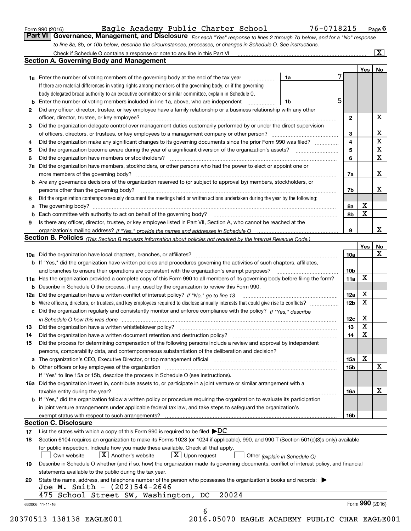|  | Form 990 (2016) |
|--|-----------------|
|  |                 |

| Form 990 (2016) |                                                                                                                  | Eagle Academy Public Charter School |  | 76-0718215                                                                                                                    | $P$ <sub>age</sub> $6$ |
|-----------------|------------------------------------------------------------------------------------------------------------------|-------------------------------------|--|-------------------------------------------------------------------------------------------------------------------------------|------------------------|
|                 |                                                                                                                  |                                     |  | Part VI   Governance, Management, and Disclosure For each "Yes" response to lines 2 through 7b below, and for a "No" response |                        |
|                 | to line 8a, 8b, or 10b below, describe the circumstances, processes, or changes in Schedule O. See instructions. |                                     |  |                                                                                                                               |                        |

|    |                                                                                                                                                                                                                                |                 | Yes   No    |                         |
|----|--------------------------------------------------------------------------------------------------------------------------------------------------------------------------------------------------------------------------------|-----------------|-------------|-------------------------|
|    | <b>1a</b> Enter the number of voting members of the governing body at the end of the tax year<br>1a                                                                                                                            |                 |             |                         |
|    | If there are material differences in voting rights among members of the governing body, or if the governing                                                                                                                    |                 |             |                         |
|    | body delegated broad authority to an executive committee or similar committee, explain in Schedule O.                                                                                                                          |                 |             |                         |
| b  | Enter the number of voting members included in line 1a, above, who are independent<br>1b                                                                                                                                       | 5               |             |                         |
| 2  | Did any officer, director, trustee, or key employee have a family relationship or a business relationship with any other                                                                                                       |                 |             |                         |
|    | officer, director, trustee, or key employee?                                                                                                                                                                                   | $\mathbf{2}$    |             | X                       |
| 3  | Did the organization delegate control over management duties customarily performed by or under the direct supervision                                                                                                          |                 |             |                         |
|    |                                                                                                                                                                                                                                | 3               |             | $\mathbf{X}$            |
| 4  | Did the organization make any significant changes to its governing documents since the prior Form 990 was filed?                                                                                                               | 4               |             | $\overline{\texttt{x}}$ |
| 5  |                                                                                                                                                                                                                                | 5               |             | $\overline{\mathbf{x}}$ |
| 6  | Did the organization have members or stockholders?                                                                                                                                                                             | 6               |             | $\overline{\mathbf{x}}$ |
| 7a | Did the organization have members, stockholders, or other persons who had the power to elect or appoint one or                                                                                                                 |                 |             |                         |
|    |                                                                                                                                                                                                                                | 7a              |             | X                       |
|    | <b>b</b> Are any governance decisions of the organization reserved to (or subject to approval by) members, stockholders, or                                                                                                    |                 |             |                         |
|    | persons other than the governing body?                                                                                                                                                                                         | 7b              |             | X                       |
| 8  | Did the organization contemporaneously document the meetings held or written actions undertaken during the year by the following:                                                                                              |                 |             |                         |
| a  |                                                                                                                                                                                                                                | 8а              | X           |                         |
|    |                                                                                                                                                                                                                                | 8b              | X           |                         |
| 9  | Is there any officer, director, trustee, or key employee listed in Part VII, Section A, who cannot be reached at the                                                                                                           |                 |             |                         |
|    |                                                                                                                                                                                                                                | 9               |             | X                       |
|    | Section B. Policies <sub>(This</sub> Section B requests information about policies not required by the Internal Revenue Code.)                                                                                                 |                 |             |                         |
|    |                                                                                                                                                                                                                                |                 | Yes         | No                      |
|    |                                                                                                                                                                                                                                |                 |             | X                       |
|    |                                                                                                                                                                                                                                | 10a             |             |                         |
|    | <b>b</b> If "Yes," did the organization have written policies and procedures governing the activities of such chapters, affiliates,                                                                                            |                 |             |                         |
|    |                                                                                                                                                                                                                                | 10 <sub>b</sub> |             |                         |
|    | 11a Has the organization provided a complete copy of this Form 990 to all members of its governing body before filing the form?                                                                                                | 11a             | X           |                         |
|    | <b>b</b> Describe in Schedule O the process, if any, used by the organization to review this Form 990.                                                                                                                         |                 |             |                         |
|    |                                                                                                                                                                                                                                | 12a             | X           |                         |
| b  |                                                                                                                                                                                                                                | 12 <sub>b</sub> | X           |                         |
|    | c Did the organization regularly and consistently monitor and enforce compliance with the policy? If "Yes," describe                                                                                                           |                 |             |                         |
|    | in Schedule O how this was done measured and the control of the control of the state of the control of the control of the control of the control of the control of the control of the control of the control of the control of | 12c             | X           |                         |
| 13 |                                                                                                                                                                                                                                | 13              | $\mathbf x$ |                         |
| 14 |                                                                                                                                                                                                                                | 14              | X           |                         |
| 15 | Did the process for determining compensation of the following persons include a review and approval by independent                                                                                                             |                 |             |                         |
|    | persons, comparability data, and contemporaneous substantiation of the deliberation and decision?                                                                                                                              |                 |             |                         |
|    |                                                                                                                                                                                                                                | 15a             | X           |                         |
|    |                                                                                                                                                                                                                                | 15b             |             | $\mathbf X$             |
|    | If "Yes" to line 15a or 15b, describe the process in Schedule O (see instructions).                                                                                                                                            |                 |             |                         |
|    | 16a Did the organization invest in, contribute assets to, or participate in a joint venture or similar arrangement with a                                                                                                      |                 |             |                         |
|    | taxable entity during the year?                                                                                                                                                                                                | 16a             |             | X                       |
|    | b If "Yes," did the organization follow a written policy or procedure requiring the organization to evaluate its participation                                                                                                 |                 |             |                         |
|    | in joint venture arrangements under applicable federal tax law, and take steps to safeguard the organization's                                                                                                                 |                 |             |                         |
|    |                                                                                                                                                                                                                                | 16b             |             |                         |
|    | <b>Section C. Disclosure</b>                                                                                                                                                                                                   |                 |             |                         |
| 17 | List the states with which a copy of this Form 990 is required to be filed $\blacktriangleright DC$                                                                                                                            |                 |             |                         |
| 18 | Section 6104 requires an organization to make its Forms 1023 (or 1024 if applicable), 990, and 990-T (Section 501(c)(3)s only) available                                                                                       |                 |             |                         |
|    | for public inspection. Indicate how you made these available. Check all that apply.                                                                                                                                            |                 |             |                         |
|    | $\lfloor x \rfloor$ Upon request<br>$\vert X \vert$ Another's website<br>Own website<br>Other (explain in Schedule O)                                                                                                          |                 |             |                         |
| 19 | Describe in Schedule O whether (and if so, how) the organization made its governing documents, conflict of interest policy, and financial                                                                                      |                 |             |                         |
|    | statements available to the public during the tax year.                                                                                                                                                                        |                 |             |                         |
| 20 | State the name, address, and telephone number of the person who possesses the organization's books and records:                                                                                                                |                 |             |                         |
|    | Joe M. Smith - (202)544-2646                                                                                                                                                                                                   |                 |             |                         |
|    | 20024<br>475 School Street SW, Washington, DC                                                                                                                                                                                  |                 |             |                         |
|    |                                                                                                                                                                                                                                |                 |             |                         |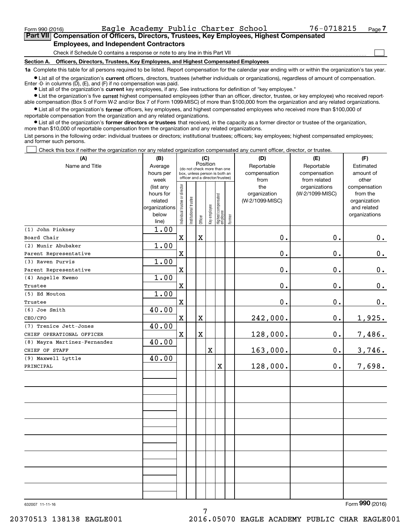$\mathcal{L}^{\text{max}}$ 

| Form 990 (2016) |                                                                                            | Eagle Academy Public Charter School |  | 76-0718215 | Page 7 |
|-----------------|--------------------------------------------------------------------------------------------|-------------------------------------|--|------------|--------|
|                 | Part VII Compensation of Officers, Directors, Trustees, Key Employees, Highest Compensated |                                     |  |            |        |
|                 | <b>Employees, and Independent Contractors</b>                                              |                                     |  |            |        |

Check if Schedule O contains a response or note to any line in this Part VII

**Section A. Officers, Directors, Trustees, Key Employees, and Highest Compensated Employees**

**1a**  Complete this table for all persons required to be listed. Report compensation for the calendar year ending with or within the organization's tax year.

**•** List all of the organization's current officers, directors, trustees (whether individuals or organizations), regardless of amount of compensation. Enter -0- in columns  $(D)$ ,  $(E)$ , and  $(F)$  if no compensation was paid.

● List all of the organization's **current** key employees, if any. See instructions for definition of "key employee."

**•** List the organization's five current highest compensated employees (other than an officer, director, trustee, or key employee) who received report-

 $\bullet$  List all of the organization's **former** officers, key employees, and highest compensated employees who received more than \$100,000 of able compensation (Box 5 of Form W-2 and/or Box 7 of Form 1099-MISC) of more than \$100,000 from the organization and any related organizations. reportable compensation from the organization and any related organizations.

**•** List all of the organization's former directors or trustees that received, in the capacity as a former director or trustee of the organization, more than \$10,000 of reportable compensation from the organization and any related organizations.

List persons in the following order: individual trustees or directors; institutional trustees; officers; key employees; highest compensated employees; and former such persons.

Check this box if neither the organization nor any related organization compensated any current officer, director, or trustee.  $\mathcal{L}^{\text{max}}$ 

| Position<br>Name and Title<br>Reportable<br>Reportable<br>Average<br>Estimated<br>(do not check more than one<br>hours per<br>compensation<br>compensation<br>amount of<br>box, unless person is both an<br>officer and a director/trustee)<br>week<br>from<br>from related<br>other<br>ndividual trustee or director<br>the<br>organizations<br>compensation<br>(list any<br>hours for<br>organization<br>(W-2/1099-MISC)<br>from the<br>Highest compensated<br> employee<br>nstitutional trustee<br>(W-2/1099-MISC)<br>related<br>organization<br>Key employee<br>organizations<br>and related<br>below<br>organizations<br>Former<br>Officer<br>line)<br>1.00<br>(1) John Pinkney<br>$\mathbf X$<br>$\mathbf 0$ .<br>$\mathbf 0$ .<br>X<br>$0$ .<br>Board Chair<br>1.00<br>(2) Munir Abubaker<br>$\mathbf X$<br>$\mathbf 0$ .<br>$\mathbf 0$ .<br>0.<br>Parent Representative<br>1.00<br>(3) Raven Purvis<br>0.<br>$\mathbf X$<br>$\mathbf 0$ .<br>$0_{.}$<br>Parent Representative<br>1.00<br>(4) Angelle Kwemo<br>$\mathbf X$<br>$\mathfrak o$ .<br>$\mathbf 0$ .<br>0.<br>Trustee<br>1.00<br>(5) Ed Mouton<br>$\mathbf X$<br>$\mathbf 0$ .<br>$\mathbf 0$ .<br>$0_{.}$<br>Trustee<br>40.00<br>(6) Joe Smith<br>$\mathbf X$<br>1,925.<br>X<br>242,000.<br>$\mathbf 0$ .<br>CEO/CFO<br>40.00<br>(7) Trenice Jett-Jones<br>128,000.<br>$\mathbf x$<br>$\overline{\textbf{X}}$<br>$\mathbf 0$ .<br>7,486.<br>CHIEF OPERATIONAL OFFICER<br>40.00<br>(8) Mayra Martinez-Fernandez<br>3,746.<br>X<br>163,000.<br>0.<br>CHIEF OF STAFF<br>40.00<br>(9) Maxwell Lyttle<br>7,698.<br>128,000.<br>$\mathbf X$<br>$\mathbf 0$ .<br>PRINCIPAL | (A) | (B) | (C) |  |  |  |  |  | (D) | (E) | (F) |
|----------------------------------------------------------------------------------------------------------------------------------------------------------------------------------------------------------------------------------------------------------------------------------------------------------------------------------------------------------------------------------------------------------------------------------------------------------------------------------------------------------------------------------------------------------------------------------------------------------------------------------------------------------------------------------------------------------------------------------------------------------------------------------------------------------------------------------------------------------------------------------------------------------------------------------------------------------------------------------------------------------------------------------------------------------------------------------------------------------------------------------------------------------------------------------------------------------------------------------------------------------------------------------------------------------------------------------------------------------------------------------------------------------------------------------------------------------------------------------------------------------------------------------------------------------------------------------------------------------------------------------------|-----|-----|-----|--|--|--|--|--|-----|-----|-----|
|                                                                                                                                                                                                                                                                                                                                                                                                                                                                                                                                                                                                                                                                                                                                                                                                                                                                                                                                                                                                                                                                                                                                                                                                                                                                                                                                                                                                                                                                                                                                                                                                                                        |     |     |     |  |  |  |  |  |     |     |     |
|                                                                                                                                                                                                                                                                                                                                                                                                                                                                                                                                                                                                                                                                                                                                                                                                                                                                                                                                                                                                                                                                                                                                                                                                                                                                                                                                                                                                                                                                                                                                                                                                                                        |     |     |     |  |  |  |  |  |     |     |     |
|                                                                                                                                                                                                                                                                                                                                                                                                                                                                                                                                                                                                                                                                                                                                                                                                                                                                                                                                                                                                                                                                                                                                                                                                                                                                                                                                                                                                                                                                                                                                                                                                                                        |     |     |     |  |  |  |  |  |     |     |     |
|                                                                                                                                                                                                                                                                                                                                                                                                                                                                                                                                                                                                                                                                                                                                                                                                                                                                                                                                                                                                                                                                                                                                                                                                                                                                                                                                                                                                                                                                                                                                                                                                                                        |     |     |     |  |  |  |  |  |     |     |     |
|                                                                                                                                                                                                                                                                                                                                                                                                                                                                                                                                                                                                                                                                                                                                                                                                                                                                                                                                                                                                                                                                                                                                                                                                                                                                                                                                                                                                                                                                                                                                                                                                                                        |     |     |     |  |  |  |  |  |     |     |     |
|                                                                                                                                                                                                                                                                                                                                                                                                                                                                                                                                                                                                                                                                                                                                                                                                                                                                                                                                                                                                                                                                                                                                                                                                                                                                                                                                                                                                                                                                                                                                                                                                                                        |     |     |     |  |  |  |  |  |     |     |     |
|                                                                                                                                                                                                                                                                                                                                                                                                                                                                                                                                                                                                                                                                                                                                                                                                                                                                                                                                                                                                                                                                                                                                                                                                                                                                                                                                                                                                                                                                                                                                                                                                                                        |     |     |     |  |  |  |  |  |     |     |     |
|                                                                                                                                                                                                                                                                                                                                                                                                                                                                                                                                                                                                                                                                                                                                                                                                                                                                                                                                                                                                                                                                                                                                                                                                                                                                                                                                                                                                                                                                                                                                                                                                                                        |     |     |     |  |  |  |  |  |     |     |     |
|                                                                                                                                                                                                                                                                                                                                                                                                                                                                                                                                                                                                                                                                                                                                                                                                                                                                                                                                                                                                                                                                                                                                                                                                                                                                                                                                                                                                                                                                                                                                                                                                                                        |     |     |     |  |  |  |  |  |     |     |     |
|                                                                                                                                                                                                                                                                                                                                                                                                                                                                                                                                                                                                                                                                                                                                                                                                                                                                                                                                                                                                                                                                                                                                                                                                                                                                                                                                                                                                                                                                                                                                                                                                                                        |     |     |     |  |  |  |  |  |     |     |     |
|                                                                                                                                                                                                                                                                                                                                                                                                                                                                                                                                                                                                                                                                                                                                                                                                                                                                                                                                                                                                                                                                                                                                                                                                                                                                                                                                                                                                                                                                                                                                                                                                                                        |     |     |     |  |  |  |  |  |     |     |     |
|                                                                                                                                                                                                                                                                                                                                                                                                                                                                                                                                                                                                                                                                                                                                                                                                                                                                                                                                                                                                                                                                                                                                                                                                                                                                                                                                                                                                                                                                                                                                                                                                                                        |     |     |     |  |  |  |  |  |     |     |     |
|                                                                                                                                                                                                                                                                                                                                                                                                                                                                                                                                                                                                                                                                                                                                                                                                                                                                                                                                                                                                                                                                                                                                                                                                                                                                                                                                                                                                                                                                                                                                                                                                                                        |     |     |     |  |  |  |  |  |     |     |     |
|                                                                                                                                                                                                                                                                                                                                                                                                                                                                                                                                                                                                                                                                                                                                                                                                                                                                                                                                                                                                                                                                                                                                                                                                                                                                                                                                                                                                                                                                                                                                                                                                                                        |     |     |     |  |  |  |  |  |     |     |     |
|                                                                                                                                                                                                                                                                                                                                                                                                                                                                                                                                                                                                                                                                                                                                                                                                                                                                                                                                                                                                                                                                                                                                                                                                                                                                                                                                                                                                                                                                                                                                                                                                                                        |     |     |     |  |  |  |  |  |     |     |     |
|                                                                                                                                                                                                                                                                                                                                                                                                                                                                                                                                                                                                                                                                                                                                                                                                                                                                                                                                                                                                                                                                                                                                                                                                                                                                                                                                                                                                                                                                                                                                                                                                                                        |     |     |     |  |  |  |  |  |     |     |     |
|                                                                                                                                                                                                                                                                                                                                                                                                                                                                                                                                                                                                                                                                                                                                                                                                                                                                                                                                                                                                                                                                                                                                                                                                                                                                                                                                                                                                                                                                                                                                                                                                                                        |     |     |     |  |  |  |  |  |     |     |     |
|                                                                                                                                                                                                                                                                                                                                                                                                                                                                                                                                                                                                                                                                                                                                                                                                                                                                                                                                                                                                                                                                                                                                                                                                                                                                                                                                                                                                                                                                                                                                                                                                                                        |     |     |     |  |  |  |  |  |     |     |     |
|                                                                                                                                                                                                                                                                                                                                                                                                                                                                                                                                                                                                                                                                                                                                                                                                                                                                                                                                                                                                                                                                                                                                                                                                                                                                                                                                                                                                                                                                                                                                                                                                                                        |     |     |     |  |  |  |  |  |     |     |     |
|                                                                                                                                                                                                                                                                                                                                                                                                                                                                                                                                                                                                                                                                                                                                                                                                                                                                                                                                                                                                                                                                                                                                                                                                                                                                                                                                                                                                                                                                                                                                                                                                                                        |     |     |     |  |  |  |  |  |     |     |     |
|                                                                                                                                                                                                                                                                                                                                                                                                                                                                                                                                                                                                                                                                                                                                                                                                                                                                                                                                                                                                                                                                                                                                                                                                                                                                                                                                                                                                                                                                                                                                                                                                                                        |     |     |     |  |  |  |  |  |     |     |     |
|                                                                                                                                                                                                                                                                                                                                                                                                                                                                                                                                                                                                                                                                                                                                                                                                                                                                                                                                                                                                                                                                                                                                                                                                                                                                                                                                                                                                                                                                                                                                                                                                                                        |     |     |     |  |  |  |  |  |     |     |     |
|                                                                                                                                                                                                                                                                                                                                                                                                                                                                                                                                                                                                                                                                                                                                                                                                                                                                                                                                                                                                                                                                                                                                                                                                                                                                                                                                                                                                                                                                                                                                                                                                                                        |     |     |     |  |  |  |  |  |     |     |     |
|                                                                                                                                                                                                                                                                                                                                                                                                                                                                                                                                                                                                                                                                                                                                                                                                                                                                                                                                                                                                                                                                                                                                                                                                                                                                                                                                                                                                                                                                                                                                                                                                                                        |     |     |     |  |  |  |  |  |     |     |     |
|                                                                                                                                                                                                                                                                                                                                                                                                                                                                                                                                                                                                                                                                                                                                                                                                                                                                                                                                                                                                                                                                                                                                                                                                                                                                                                                                                                                                                                                                                                                                                                                                                                        |     |     |     |  |  |  |  |  |     |     |     |
|                                                                                                                                                                                                                                                                                                                                                                                                                                                                                                                                                                                                                                                                                                                                                                                                                                                                                                                                                                                                                                                                                                                                                                                                                                                                                                                                                                                                                                                                                                                                                                                                                                        |     |     |     |  |  |  |  |  |     |     |     |
|                                                                                                                                                                                                                                                                                                                                                                                                                                                                                                                                                                                                                                                                                                                                                                                                                                                                                                                                                                                                                                                                                                                                                                                                                                                                                                                                                                                                                                                                                                                                                                                                                                        |     |     |     |  |  |  |  |  |     |     |     |
|                                                                                                                                                                                                                                                                                                                                                                                                                                                                                                                                                                                                                                                                                                                                                                                                                                                                                                                                                                                                                                                                                                                                                                                                                                                                                                                                                                                                                                                                                                                                                                                                                                        |     |     |     |  |  |  |  |  |     |     |     |
|                                                                                                                                                                                                                                                                                                                                                                                                                                                                                                                                                                                                                                                                                                                                                                                                                                                                                                                                                                                                                                                                                                                                                                                                                                                                                                                                                                                                                                                                                                                                                                                                                                        |     |     |     |  |  |  |  |  |     |     |     |
|                                                                                                                                                                                                                                                                                                                                                                                                                                                                                                                                                                                                                                                                                                                                                                                                                                                                                                                                                                                                                                                                                                                                                                                                                                                                                                                                                                                                                                                                                                                                                                                                                                        |     |     |     |  |  |  |  |  |     |     |     |
|                                                                                                                                                                                                                                                                                                                                                                                                                                                                                                                                                                                                                                                                                                                                                                                                                                                                                                                                                                                                                                                                                                                                                                                                                                                                                                                                                                                                                                                                                                                                                                                                                                        |     |     |     |  |  |  |  |  |     |     |     |
|                                                                                                                                                                                                                                                                                                                                                                                                                                                                                                                                                                                                                                                                                                                                                                                                                                                                                                                                                                                                                                                                                                                                                                                                                                                                                                                                                                                                                                                                                                                                                                                                                                        |     |     |     |  |  |  |  |  |     |     |     |
|                                                                                                                                                                                                                                                                                                                                                                                                                                                                                                                                                                                                                                                                                                                                                                                                                                                                                                                                                                                                                                                                                                                                                                                                                                                                                                                                                                                                                                                                                                                                                                                                                                        |     |     |     |  |  |  |  |  |     |     |     |
|                                                                                                                                                                                                                                                                                                                                                                                                                                                                                                                                                                                                                                                                                                                                                                                                                                                                                                                                                                                                                                                                                                                                                                                                                                                                                                                                                                                                                                                                                                                                                                                                                                        |     |     |     |  |  |  |  |  |     |     |     |
|                                                                                                                                                                                                                                                                                                                                                                                                                                                                                                                                                                                                                                                                                                                                                                                                                                                                                                                                                                                                                                                                                                                                                                                                                                                                                                                                                                                                                                                                                                                                                                                                                                        |     |     |     |  |  |  |  |  |     |     |     |
|                                                                                                                                                                                                                                                                                                                                                                                                                                                                                                                                                                                                                                                                                                                                                                                                                                                                                                                                                                                                                                                                                                                                                                                                                                                                                                                                                                                                                                                                                                                                                                                                                                        |     |     |     |  |  |  |  |  |     |     |     |
|                                                                                                                                                                                                                                                                                                                                                                                                                                                                                                                                                                                                                                                                                                                                                                                                                                                                                                                                                                                                                                                                                                                                                                                                                                                                                                                                                                                                                                                                                                                                                                                                                                        |     |     |     |  |  |  |  |  |     |     |     |
|                                                                                                                                                                                                                                                                                                                                                                                                                                                                                                                                                                                                                                                                                                                                                                                                                                                                                                                                                                                                                                                                                                                                                                                                                                                                                                                                                                                                                                                                                                                                                                                                                                        |     |     |     |  |  |  |  |  |     |     |     |
|                                                                                                                                                                                                                                                                                                                                                                                                                                                                                                                                                                                                                                                                                                                                                                                                                                                                                                                                                                                                                                                                                                                                                                                                                                                                                                                                                                                                                                                                                                                                                                                                                                        |     |     |     |  |  |  |  |  |     |     |     |
|                                                                                                                                                                                                                                                                                                                                                                                                                                                                                                                                                                                                                                                                                                                                                                                                                                                                                                                                                                                                                                                                                                                                                                                                                                                                                                                                                                                                                                                                                                                                                                                                                                        |     |     |     |  |  |  |  |  |     |     |     |

7

632007 11-11-16

Form (2016) **990**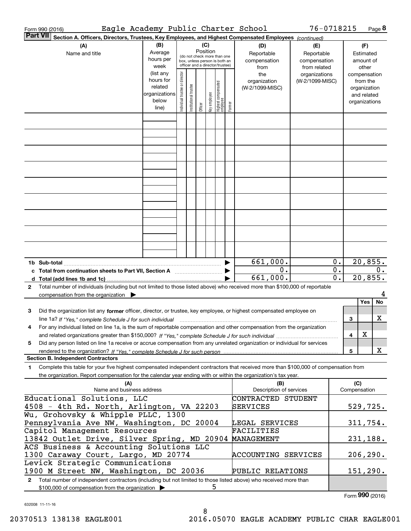| <b>Part VII</b><br>Section A. Officers, Directors, Trustees, Key Employees, and Highest Compensated Employees (continued)                                                                                                                                                                  |                             |                                                                          |
|--------------------------------------------------------------------------------------------------------------------------------------------------------------------------------------------------------------------------------------------------------------------------------------------|-----------------------------|--------------------------------------------------------------------------|
|                                                                                                                                                                                                                                                                                            |                             |                                                                          |
| (C)<br>(B)<br>(A)<br>(D)<br>(E)<br>Position<br>Average<br>Reportable<br>Name and title<br>Reportable<br>(do not check more than one<br>hours per<br>compensation<br>compensation<br>box, unless person is both an<br>officer and a director/trustee)<br>week<br>from related<br>from       |                             | (F)<br>Estimated<br>amount of<br>other                                   |
| (list any<br>Individual trustee or director<br>the<br>organizations<br>hours for<br>organization<br>(W-2/1099-MISC)<br>Highest compensated<br>employee<br>trustee<br>related<br>(W-2/1099-MISC)<br>organizations<br>Key employee<br>Institutional t<br>below<br>Former<br>Officer<br>line) |                             | compensation<br>from the<br>organization<br>and related<br>organizations |
|                                                                                                                                                                                                                                                                                            |                             |                                                                          |
|                                                                                                                                                                                                                                                                                            |                             |                                                                          |
|                                                                                                                                                                                                                                                                                            |                             |                                                                          |
|                                                                                                                                                                                                                                                                                            |                             |                                                                          |
|                                                                                                                                                                                                                                                                                            |                             |                                                                          |
|                                                                                                                                                                                                                                                                                            |                             |                                                                          |
|                                                                                                                                                                                                                                                                                            |                             |                                                                          |
|                                                                                                                                                                                                                                                                                            |                             |                                                                          |
|                                                                                                                                                                                                                                                                                            |                             |                                                                          |
| 661,000.<br>0.<br>c Total from continuation sheets to Part VII, Section A                                                                                                                                                                                                                  | $0$ .<br>$\overline{0}$ .   | 20,855.<br>0.                                                            |
| 661,000.<br>d Total (add lines 1b and 1c).                                                                                                                                                                                                                                                 | $\overline{\mathfrak{o}}$ . | 20,855.                                                                  |
| Total number of individuals (including but not limited to those listed above) who received more than \$100,000 of reportable<br>2<br>compensation from the organization $\blacktriangleright$                                                                                              |                             |                                                                          |
|                                                                                                                                                                                                                                                                                            |                             | No<br>Yes                                                                |
| Did the organization list any former officer, director, or trustee, key employee, or highest compensated employee on<br>з<br>line 1a? If "Yes," complete Schedule J for such individual manufactured contained and the Ves," complete Schedule J for such individual                       | 3                           | x                                                                        |
| For any individual listed on line 1a, is the sum of reportable compensation and other compensation from the organization<br>4                                                                                                                                                              | 4                           | X                                                                        |
| Did any person listed on line 1a receive or accrue compensation from any unrelated organization or individual for services<br>5                                                                                                                                                            | 5                           | x                                                                        |
| <b>Section B. Independent Contractors</b>                                                                                                                                                                                                                                                  |                             |                                                                          |
| Complete this table for your five highest compensated independent contractors that received more than \$100,000 of compensation from<br>1<br>the organization. Report compensation for the calendar year ending with or within the organization's tax year.                                |                             |                                                                          |
| (A)<br>(B)<br>Name and business address<br>Description of services                                                                                                                                                                                                                         | (C)<br>Compensation         |                                                                          |
| Educational Solutions, LLC<br>CONTRACTED STUDENT<br>4508 - 4th Rd. North, Arlington, VA 22203<br>SERVICES                                                                                                                                                                                  |                             | 529,725.                                                                 |
| Wu, Grohovsky & Whipple PLLC, 1300                                                                                                                                                                                                                                                         |                             |                                                                          |
| Pennsylvania Ave NW, Washington, DC 20004<br>LEGAL SERVICES                                                                                                                                                                                                                                |                             | 311,754.                                                                 |
| Capitol Management Resources<br>FACILITIES<br>13842 Outlet Drive, Silver Spring, MD 20904<br>MANAGEMENT                                                                                                                                                                                    |                             | 231,188.                                                                 |
| ACS Business & Accounting Solutions LLC<br>1300 Caraway Court, Largo, MD 20774<br>ACCOUNTING SERVICES                                                                                                                                                                                      |                             | 206, 290.                                                                |
| Levick Strategic Communications<br>1900 M Street NW, Washington, DC 20036<br>PUBLIC RELATIONS                                                                                                                                                                                              |                             | 151, 290.                                                                |
| Total number of independent contractors (including but not limited to those listed above) who received more than<br>$\mathbf{2}$<br>ל<br>\$100,000 of compensation from the organization >                                                                                                 |                             |                                                                          |

632008 11-11-16

Form (2016) **990**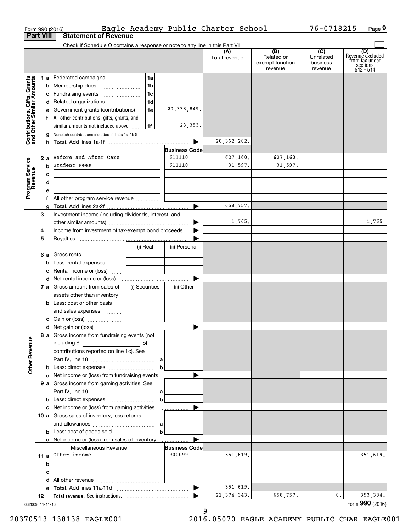| <b>Part VIII</b>                                          | Form 990 (2016)<br><b>Statement of Revenue</b>                                                                            |                |                      | Eagle Academy Public Charter School |                                                 | 76-0718215                                         | Page 9                                                             |
|-----------------------------------------------------------|---------------------------------------------------------------------------------------------------------------------------|----------------|----------------------|-------------------------------------|-------------------------------------------------|----------------------------------------------------|--------------------------------------------------------------------|
|                                                           | Check if Schedule O contains a response or note to any line in this Part VIII                                             |                |                      |                                     |                                                 |                                                    |                                                                    |
|                                                           |                                                                                                                           |                |                      | (A)<br>Total revenue                | (B)<br>Related or<br>exempt function<br>revenue | $\overline{C}$<br>Unrelated<br>business<br>revenue | (D)<br>Revenue excluded<br>from tax under<br>sections<br>512 - 514 |
|                                                           | 1 a Federated campaigns                                                                                                   | 1a             |                      |                                     |                                                 |                                                    |                                                                    |
| Contributions, Gifts, Grants<br>and Other Similar Amounts |                                                                                                                           | 1 <sub>b</sub> |                      |                                     |                                                 |                                                    |                                                                    |
|                                                           | c Fundraising events                                                                                                      | 1c             |                      |                                     |                                                 |                                                    |                                                                    |
|                                                           | d Related organizations                                                                                                   | 1d             |                      |                                     |                                                 |                                                    |                                                                    |
|                                                           | e Government grants (contributions)                                                                                       | 1e             | 20, 338, 849.        |                                     |                                                 |                                                    |                                                                    |
|                                                           | f All other contributions, gifts, grants, and                                                                             |                |                      |                                     |                                                 |                                                    |                                                                    |
|                                                           | similar amounts not included above                                                                                        | 1f             | 23,353.              |                                     |                                                 |                                                    |                                                                    |
|                                                           | Noncash contributions included in lines 1a-1f: \$<br>g                                                                    |                |                      |                                     |                                                 |                                                    |                                                                    |
|                                                           |                                                                                                                           |                |                      | 20, 362, 202.                       |                                                 |                                                    |                                                                    |
|                                                           |                                                                                                                           |                | <b>Business Code</b> |                                     |                                                 |                                                    |                                                                    |
|                                                           | 2 a Before and After Care                                                                                                 |                | 611110               | 627,160.                            | 627,160.                                        |                                                    |                                                                    |
|                                                           | <b>b</b> Student Fees                                                                                                     |                | 611110               | 31,597.                             | 31,597.                                         |                                                    |                                                                    |
|                                                           | с<br><u> 2000 - Jan Barbara (j. 1918)</u>                                                                                 |                |                      |                                     |                                                 |                                                    |                                                                    |
|                                                           | d<br><u> 1989 - Johann John Stein, mars ar yn y brenin y brenin y brenin y brenin y brenin y brenin y brenin y brenin</u> |                |                      |                                     |                                                 |                                                    |                                                                    |
| Program Service<br>Revenue                                | е                                                                                                                         |                |                      |                                     |                                                 |                                                    |                                                                    |
|                                                           | f All other program service revenue                                                                                       |                |                      |                                     |                                                 |                                                    |                                                                    |
|                                                           | g                                                                                                                         |                |                      | 658.757.                            |                                                 |                                                    |                                                                    |
| З                                                         | Investment income (including dividends, interest, and                                                                     |                |                      |                                     |                                                 |                                                    |                                                                    |
|                                                           |                                                                                                                           |                |                      | 1,765.                              |                                                 |                                                    | 1,765.                                                             |
| 4                                                         | Income from investment of tax-exempt bond proceeds                                                                        |                |                      |                                     |                                                 |                                                    |                                                                    |
| 5                                                         |                                                                                                                           |                |                      |                                     |                                                 |                                                    |                                                                    |
|                                                           |                                                                                                                           | (i) Real       | (ii) Personal        |                                     |                                                 |                                                    |                                                                    |
|                                                           | <b>6 a</b> Gross rents                                                                                                    |                |                      |                                     |                                                 |                                                    |                                                                    |
|                                                           | <b>b</b> Less: rental expenses                                                                                            |                |                      |                                     |                                                 |                                                    |                                                                    |
|                                                           | Rental income or (loss)<br>c                                                                                              |                |                      |                                     |                                                 |                                                    |                                                                    |
|                                                           |                                                                                                                           |                |                      |                                     |                                                 |                                                    |                                                                    |
|                                                           | 7 a Gross amount from sales of                                                                                            | (i) Securities | (ii) Other           |                                     |                                                 |                                                    |                                                                    |
|                                                           | assets other than inventory                                                                                               |                |                      |                                     |                                                 |                                                    |                                                                    |
|                                                           | <b>b</b> Less: cost or other basis                                                                                        |                |                      |                                     |                                                 |                                                    |                                                                    |
|                                                           | and sales expenses                                                                                                        |                |                      |                                     |                                                 |                                                    |                                                                    |
|                                                           |                                                                                                                           |                |                      |                                     |                                                 |                                                    |                                                                    |
|                                                           |                                                                                                                           |                |                      |                                     |                                                 |                                                    |                                                                    |
|                                                           | 8 a Gross income from fundraising events (not                                                                             |                |                      |                                     |                                                 |                                                    |                                                                    |
|                                                           |                                                                                                                           |                |                      |                                     |                                                 |                                                    |                                                                    |
|                                                           | contributions reported on line 1c). See                                                                                   |                |                      |                                     |                                                 |                                                    |                                                                    |
|                                                           |                                                                                                                           |                |                      |                                     |                                                 |                                                    |                                                                    |
| <b>Other Revenue</b>                                      |                                                                                                                           | $\mathbf b$    |                      |                                     |                                                 |                                                    |                                                                    |
|                                                           | c Net income or (loss) from fundraising events                                                                            |                | .                    |                                     |                                                 |                                                    |                                                                    |
|                                                           | 9 a Gross income from gaming activities. See                                                                              |                |                      |                                     |                                                 |                                                    |                                                                    |
|                                                           |                                                                                                                           |                |                      |                                     |                                                 |                                                    |                                                                    |
|                                                           |                                                                                                                           |                | $\mathbf b$          |                                     |                                                 |                                                    |                                                                    |
|                                                           |                                                                                                                           |                |                      |                                     |                                                 |                                                    |                                                                    |
|                                                           | 10 a Gross sales of inventory, less returns                                                                               |                |                      |                                     |                                                 |                                                    |                                                                    |
|                                                           |                                                                                                                           |                |                      |                                     |                                                 |                                                    |                                                                    |
|                                                           |                                                                                                                           |                | $\mathbf b$          |                                     |                                                 |                                                    |                                                                    |
|                                                           |                                                                                                                           |                |                      |                                     |                                                 |                                                    |                                                                    |
|                                                           | Miscellaneous Revenue                                                                                                     |                | <b>Business Code</b> |                                     |                                                 |                                                    |                                                                    |
|                                                           | 11 a Other income                                                                                                         |                | 900099               | 351,619.                            |                                                 |                                                    | 351,619.                                                           |
|                                                           |                                                                                                                           |                |                      |                                     |                                                 |                                                    |                                                                    |
|                                                           | b<br><u> 1989 - Johann Stein, marwolaethau a bhann an t-Amhair an t-Amhair an t-Amhair an t-Amhair an t-Amhair an t-A</u> |                |                      |                                     |                                                 |                                                    |                                                                    |
|                                                           | с                                                                                                                         |                |                      |                                     |                                                 |                                                    |                                                                    |
|                                                           | d                                                                                                                         |                |                      | 351,619.                            |                                                 |                                                    |                                                                    |
|                                                           |                                                                                                                           |                |                      | 21, 374, 343.                       | 658,757.                                        | 0.                                                 | 353,384.                                                           |
| 12                                                        |                                                                                                                           |                |                      |                                     |                                                 |                                                    |                                                                    |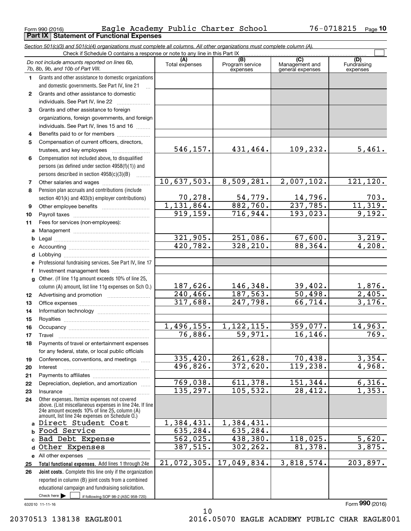**Part IX Statement of Functional Expenses**

|              | Section 501(c)(3) and 501(c)(4) organizations must complete all columns. All other organizations must complete column (A).<br>Check if Schedule O contains a response or note to any line in this Part IX |                         |                             |                                    |                                 |
|--------------|-----------------------------------------------------------------------------------------------------------------------------------------------------------------------------------------------------------|-------------------------|-----------------------------|------------------------------------|---------------------------------|
|              | Do not include amounts reported on lines 6b,                                                                                                                                                              | (A)                     | (B)                         | (C)                                | (D)                             |
|              | 7b, 8b, 9b, and 10b of Part VIII.                                                                                                                                                                         | Total expenses          | Program service<br>expenses | Management and<br>general expenses | Fundraising<br>expenses         |
| 1.           | Grants and other assistance to domestic organizations                                                                                                                                                     |                         |                             |                                    |                                 |
|              | and domestic governments. See Part IV, line 21                                                                                                                                                            |                         |                             |                                    |                                 |
| $\mathbf{2}$ | Grants and other assistance to domestic                                                                                                                                                                   |                         |                             |                                    |                                 |
|              | individuals. See Part IV, line 22                                                                                                                                                                         |                         |                             |                                    |                                 |
| 3            | Grants and other assistance to foreign                                                                                                                                                                    |                         |                             |                                    |                                 |
|              | organizations, foreign governments, and foreign                                                                                                                                                           |                         |                             |                                    |                                 |
|              | individuals. See Part IV, lines 15 and 16                                                                                                                                                                 |                         |                             |                                    |                                 |
| 4            | Benefits paid to or for members                                                                                                                                                                           |                         |                             |                                    |                                 |
| 5            | Compensation of current officers, directors,                                                                                                                                                              |                         |                             |                                    |                                 |
|              | trustees, and key employees                                                                                                                                                                               | 546,157.                | 431,464.                    | 109,232.                           | 5,461.                          |
| 6            | Compensation not included above, to disqualified                                                                                                                                                          |                         |                             |                                    |                                 |
|              | persons (as defined under section 4958(f)(1)) and                                                                                                                                                         |                         |                             |                                    |                                 |
|              | persons described in section 4958(c)(3)(B)<br>1.1.1.1.1.1.1                                                                                                                                               |                         |                             |                                    |                                 |
| 7            |                                                                                                                                                                                                           | 10,637,503.             | 8,509,281.                  | 2,007,102.                         | 121, 120.                       |
| 8            | Pension plan accruals and contributions (include                                                                                                                                                          |                         |                             |                                    |                                 |
|              | section 401(k) and 403(b) employer contributions)                                                                                                                                                         | 70, 278.                | 54, 779.                    | 14,796.                            | 703.                            |
| 9            |                                                                                                                                                                                                           | 1,131,864.              | 882,760.                    | 237,785.                           | 11,319.                         |
| 10           |                                                                                                                                                                                                           | $\overline{919, 159}$ . | $\overline{716}$ , 944.     | 193,023.                           | 9,192.                          |
| 11           | Fees for services (non-employees):                                                                                                                                                                        |                         |                             |                                    |                                 |
|              |                                                                                                                                                                                                           |                         |                             |                                    |                                 |
| b            |                                                                                                                                                                                                           | 321,905.                | 251,086.                    | 67,600.                            | 3,219.                          |
| c            |                                                                                                                                                                                                           | 420,782.                | 328,210.                    | 88,364.                            | 4,208.                          |
| d            |                                                                                                                                                                                                           |                         |                             |                                    |                                 |
| е            | Professional fundraising services. See Part IV, line 17                                                                                                                                                   |                         |                             |                                    |                                 |
| f            | Investment management fees                                                                                                                                                                                |                         |                             |                                    |                                 |
|              | g Other. (If line 11g amount exceeds 10% of line 25,                                                                                                                                                      |                         |                             |                                    |                                 |
|              | column (A) amount, list line 11g expenses on Sch 0.)                                                                                                                                                      | 187,626.                | 146,348.                    | 39,402.                            |                                 |
| 12           |                                                                                                                                                                                                           | $240, 466$ .            | $\overline{187,}563.$       | 50,498.                            | $\frac{1,876}{2,405}$<br>3,176. |
| 13           |                                                                                                                                                                                                           | 317,688.                | 247,798.                    | 66,714.                            |                                 |
| 14           |                                                                                                                                                                                                           |                         |                             |                                    |                                 |
| 15           |                                                                                                                                                                                                           |                         |                             |                                    |                                 |
| 16           |                                                                                                                                                                                                           | 1,496,155.              | 1, 122, 115.                | 359,077.                           | 14,963.                         |
| 17           |                                                                                                                                                                                                           | 76,886.                 | 59,971.                     | 16, 146.                           | 769.                            |
| 18           | Payments of travel or entertainment expenses                                                                                                                                                              |                         |                             |                                    |                                 |
|              | for any federal, state, or local public officials                                                                                                                                                         |                         |                             |                                    |                                 |
| 19           | Conferences, conventions, and meetings                                                                                                                                                                    | 335,420.                | 261,628.                    | 70,438.                            | 3,354.                          |
| 20           | Interest                                                                                                                                                                                                  | 496,826.                | 372,620.                    | 119,238.                           | 4,968.                          |
| 21           |                                                                                                                                                                                                           |                         |                             |                                    |                                 |
| 22           | Depreciation, depletion, and amortization                                                                                                                                                                 | 769,038.                | 611,378.                    | 151,344.                           | 6,316.                          |
| 23           | Insurance                                                                                                                                                                                                 | 135,297.                | 105,532.                    | 28,412.                            | 1,353.                          |
| 24           | Other expenses. Itemize expenses not covered<br>above. (List miscellaneous expenses in line 24e. If line<br>24e amount exceeds 10% of line 25, column (A)                                                 |                         |                             |                                    |                                 |
|              | amount, list line 24e expenses on Schedule O.)                                                                                                                                                            |                         |                             |                                    |                                 |
|              | a Direct Student Cost                                                                                                                                                                                     | 1,384,431.              | 1,384,431.                  |                                    |                                 |
| b            | Food Service                                                                                                                                                                                              | 635,284.                | 635,284.                    |                                    |                                 |
|              | Bad Debt Expense                                                                                                                                                                                          | 562,025.                | 438,380.                    | 118,025.                           | 5,620.                          |
| d            | Other Expenses                                                                                                                                                                                            | 387,515.                | 302,262.                    | 81,378.                            | 3,875.                          |
|              | e All other expenses                                                                                                                                                                                      |                         |                             |                                    |                                 |
| 25           | Total functional expenses. Add lines 1 through 24e                                                                                                                                                        | 21,072,305.             | 17,049,834.                 | 3,818,574.                         | 203,897.                        |
| 26           | Joint costs. Complete this line only if the organization                                                                                                                                                  |                         |                             |                                    |                                 |
|              | reported in column (B) joint costs from a combined                                                                                                                                                        |                         |                             |                                    |                                 |
|              | educational campaign and fundraising solicitation.<br>Check here $\blacktriangleright$                                                                                                                    |                         |                             |                                    |                                 |
|              | if following SOP 98-2 (ASC 958-720)                                                                                                                                                                       |                         |                             |                                    |                                 |

632010 11-11-16

20370513 138138 EAGLE001 2016.05070 EAGLE ACADEMY PUBLIC CHAR EAGLE001

10

Form (2016) **990**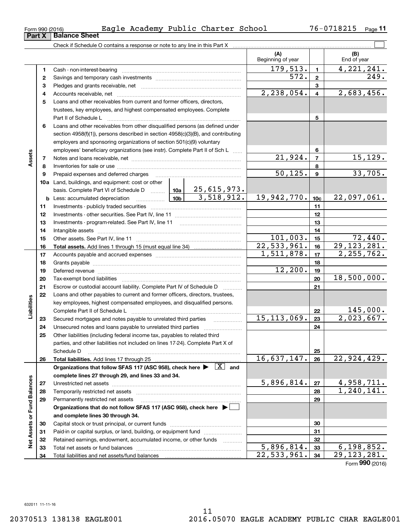| Check if Schedule O contains a response or note to any line in this Part X |
|----------------------------------------------------------------------------|
|                                                                            |
|                                                                            |
|                                                                            |

 $\mathcal{L}^{\text{max}}$ 

|                             |              |                                                                                                                                                                                                                                |                 |                         | (A)<br>Beginning of year |                 | (B)<br>End of year |
|-----------------------------|--------------|--------------------------------------------------------------------------------------------------------------------------------------------------------------------------------------------------------------------------------|-----------------|-------------------------|--------------------------|-----------------|--------------------|
|                             | 1            |                                                                                                                                                                                                                                |                 |                         | 179,513.                 | $\mathbf{1}$    | 4, 221, 241.       |
|                             | $\mathbf{2}$ |                                                                                                                                                                                                                                |                 |                         | 572.                     | $\mathbf{2}$    | 249.               |
|                             | з            |                                                                                                                                                                                                                                |                 | 3                       |                          |                 |                    |
|                             | 4            |                                                                                                                                                                                                                                | 2,238,054.      | $\overline{\mathbf{4}}$ | 2,683,456.               |                 |                    |
|                             | 5            | Loans and other receivables from current and former officers, directors,                                                                                                                                                       |                 |                         |                          |                 |                    |
|                             |              | trustees, key employees, and highest compensated employees. Complete                                                                                                                                                           |                 |                         |                          |                 |                    |
|                             |              |                                                                                                                                                                                                                                |                 | 5                       |                          |                 |                    |
|                             | 6            | Loans and other receivables from other disqualified persons (as defined under                                                                                                                                                  |                 |                         |                          |                 |                    |
|                             |              | section $4958(f)(1)$ , persons described in section $4958(c)(3)(B)$ , and contributing                                                                                                                                         |                 |                         |                          |                 |                    |
|                             |              | employers and sponsoring organizations of section 501(c)(9) voluntary                                                                                                                                                          |                 |                         |                          |                 |                    |
|                             |              | employees' beneficiary organizations (see instr). Complete Part II of Sch L                                                                                                                                                    |                 |                         |                          | 6               |                    |
| Assets                      | 7            |                                                                                                                                                                                                                                |                 |                         | 21,924.                  | $\overline{7}$  | 15, 129.           |
|                             | 8            |                                                                                                                                                                                                                                |                 |                         |                          | 8               |                    |
|                             | 9            | Prepaid expenses and deferred charges                                                                                                                                                                                          |                 |                         | 50, 125.                 | 9               | 33,705.            |
|                             |              | <b>10a</b> Land, buildings, and equipment: cost or other                                                                                                                                                                       |                 |                         |                          |                 |                    |
|                             |              | basis. Complete Part VI of Schedule D  10a                                                                                                                                                                                     |                 | 25,615,973.             |                          |                 |                    |
|                             | b            | Less: accumulated depreciation<br>. 1                                                                                                                                                                                          | 10 <sub>b</sub> | 3,518,912.              | 19,942,770.              | 10 <sub>c</sub> | 22,097,061.        |
|                             | 11           |                                                                                                                                                                                                                                |                 |                         |                          | 11              |                    |
|                             | 12           |                                                                                                                                                                                                                                |                 |                         |                          | 12              |                    |
|                             | 13           |                                                                                                                                                                                                                                |                 |                         |                          | 13              |                    |
|                             | 14           |                                                                                                                                                                                                                                |                 |                         |                          | 14              |                    |
|                             | 15           |                                                                                                                                                                                                                                |                 |                         | 101,003.                 | 15              | 72,440.            |
|                             | 16           |                                                                                                                                                                                                                                |                 |                         | $\overline{22,533,961.}$ | 16              | 29, 123, 281.      |
|                             | 17           |                                                                                                                                                                                                                                | 1, 511, 878.    | 17                      | 2, 255, 762.             |                 |                    |
|                             | 18           |                                                                                                                                                                                                                                |                 | 18                      |                          |                 |                    |
|                             | 19           | Deferred revenue manual contracts and contracts are all the manual contracts and contracts are all the manual contracts are all the manual contracts are contracted and contract are contracted and contract are contracted an |                 |                         | 12,200.                  | 19              |                    |
|                             | 20           |                                                                                                                                                                                                                                |                 |                         |                          | 20              | 18,500,000.        |
|                             | 21           | Escrow or custodial account liability. Complete Part IV of Schedule D                                                                                                                                                          |                 |                         |                          | 21              |                    |
|                             | 22           | Loans and other payables to current and former officers, directors, trustees,                                                                                                                                                  |                 |                         |                          |                 |                    |
| Liabilities                 |              | key employees, highest compensated employees, and disqualified persons.                                                                                                                                                        |                 |                         |                          | 22              | 145,000.           |
|                             | 23           | Secured mortgages and notes payable to unrelated third parties                                                                                                                                                                 |                 |                         | 15, 113, 069.            | 23              | 2,023,667.         |
|                             | 24           |                                                                                                                                                                                                                                |                 |                         |                          | 24              |                    |
|                             | 25           | Other liabilities (including federal income tax, payables to related third                                                                                                                                                     |                 |                         |                          |                 |                    |
|                             |              | parties, and other liabilities not included on lines 17-24). Complete Part X of                                                                                                                                                |                 |                         |                          |                 |                    |
|                             |              | Schedule D                                                                                                                                                                                                                     |                 |                         |                          | 25              |                    |
|                             | 26           | Total liabilities. Add lines 17 through 25                                                                                                                                                                                     |                 |                         | 16,637,147.              | 26              | 22,924,429.        |
|                             |              | Organizations that follow SFAS 117 (ASC 958), check here $\blacktriangleright \begin{array}{ c } \hline X & \text{and} \end{array}$                                                                                            |                 |                         |                          |                 |                    |
|                             |              | complete lines 27 through 29, and lines 33 and 34.                                                                                                                                                                             |                 |                         |                          |                 |                    |
|                             | 27           |                                                                                                                                                                                                                                |                 |                         | 5,896,814.               | 27              | 4,958,711.         |
|                             | 28           | Temporarily restricted net assets                                                                                                                                                                                              |                 |                         |                          | 28              | 1,240,141.         |
|                             | 29           | Permanently restricted net assets                                                                                                                                                                                              |                 |                         |                          | 29              |                    |
| Net Assets or Fund Balances |              | Organizations that do not follow SFAS 117 (ASC 958), check here ▶ □                                                                                                                                                            |                 |                         |                          |                 |                    |
|                             |              | and complete lines 30 through 34.                                                                                                                                                                                              |                 |                         |                          |                 |                    |
|                             | 30           |                                                                                                                                                                                                                                |                 |                         | 30                       |                 |                    |
|                             | 31           | Paid-in or capital surplus, or land, building, or equipment fund                                                                                                                                                               |                 |                         |                          | 31              |                    |
|                             | 32           | Retained earnings, endowment, accumulated income, or other funds                                                                                                                                                               |                 | .                       |                          | 32              |                    |
|                             | 33           | Total net assets or fund balances                                                                                                                                                                                              |                 |                         | 5,896,814.               | 33              | 6, 198, 852.       |
|                             | 34           |                                                                                                                                                                                                                                |                 |                         | 22,533,961.              | 34              | 29, 123, 281.      |

Form (2016) **990**

**Part X Balance Sheet**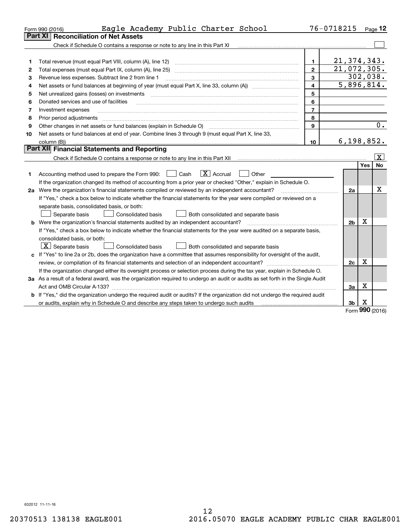|    | Eagle Academy Public Charter School<br>Form 990 (2016)                                                                          |                | 76-0718215     |                 | Page 12                 |
|----|---------------------------------------------------------------------------------------------------------------------------------|----------------|----------------|-----------------|-------------------------|
|    | <b>Reconciliation of Net Assets</b><br>Part XI                                                                                  |                |                |                 |                         |
|    | Check if Schedule O contains a response or note to any line in this Part XI                                                     |                |                |                 |                         |
|    |                                                                                                                                 |                |                |                 |                         |
| 1  | Total revenue (must equal Part VIII, column (A), line 12)                                                                       | 1.             | 21, 374, 343.  |                 |                         |
| 2  | Total expenses (must equal Part IX, column (A), line 25)                                                                        | $\overline{2}$ | 21,072,305.    |                 |                         |
| 3  | Revenue less expenses. Subtract line 2 from line 1                                                                              | 3              |                |                 | 302,038.                |
| 4  |                                                                                                                                 | 4              | 5,896,814.     |                 |                         |
| 5  | Net unrealized gains (losses) on investments                                                                                    | 5              |                |                 |                         |
| 6  | Donated services and use of facilities                                                                                          | 6              |                |                 |                         |
| 7  | Investment expenses                                                                                                             | $\overline{7}$ |                |                 |                         |
| 8  | Prior period adjustments                                                                                                        | 8              |                |                 |                         |
| 9  |                                                                                                                                 | 9              |                |                 | 0.                      |
| 10 | Net assets or fund balances at end of year. Combine lines 3 through 9 (must equal Part X, line 33,                              |                |                |                 |                         |
|    | column (B))                                                                                                                     | 10             | 6, 198, 852.   |                 |                         |
|    | Part XII Financial Statements and Reporting                                                                                     |                |                |                 |                         |
|    |                                                                                                                                 |                |                |                 | $\overline{\mathbf{X}}$ |
|    |                                                                                                                                 |                |                | Yes             | <b>No</b>               |
| 1  | $\boxed{\mathbf{X}}$ Accrual<br>Accounting method used to prepare the Form 990: <u>II</u> Cash<br>Other                         |                |                |                 |                         |
|    | If the organization changed its method of accounting from a prior year or checked "Other," explain in Schedule O.               |                |                |                 |                         |
|    | 2a Were the organization's financial statements compiled or reviewed by an independent accountant?                              |                | 2a             |                 | x                       |
|    | If "Yes," check a box below to indicate whether the financial statements for the year were compiled or reviewed on a            |                |                |                 |                         |
|    | separate basis, consolidated basis, or both:                                                                                    |                |                |                 |                         |
|    | Separate basis<br><b>Consolidated basis</b><br>Both consolidated and separate basis                                             |                |                |                 |                         |
|    | <b>b</b> Were the organization's financial statements audited by an independent accountant?                                     |                | 2 <sub>b</sub> | х               |                         |
|    | If "Yes," check a box below to indicate whether the financial statements for the year were audited on a separate basis,         |                |                |                 |                         |
|    | consolidated basis, or both:                                                                                                    |                |                |                 |                         |
|    | $ \mathbf{X} $ Separate basis<br><b>Consolidated basis</b><br>Both consolidated and separate basis                              |                |                |                 |                         |
|    | c If "Yes" to line 2a or 2b, does the organization have a committee that assumes responsibility for oversight of the audit,     |                |                |                 |                         |
|    |                                                                                                                                 |                | 2c             | x               |                         |
|    | If the organization changed either its oversight process or selection process during the tax year, explain in Schedule O.       |                |                |                 |                         |
|    | 3a As a result of a federal award, was the organization required to undergo an audit or audits as set forth in the Single Audit |                |                |                 |                         |
|    |                                                                                                                                 |                | За             | х               |                         |
|    | b If "Yes," did the organization undergo the required audit or audits? If the organization did not undergo the required audit   |                |                |                 |                         |
|    | or audits, explain why in Schedule O and describe any steps taken to undergo such audits                                        |                | 3b             | х<br><b>nnn</b> |                         |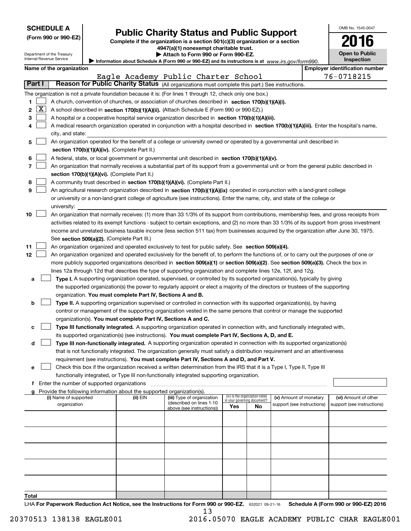| <b>SCHEDULE A</b> |                         |                                                        |                                             |                                                                                                                                  |                                                                                                                                               |     |                                   |                            |  | OMB No. 1545-0047                     |  |
|-------------------|-------------------------|--------------------------------------------------------|---------------------------------------------|----------------------------------------------------------------------------------------------------------------------------------|-----------------------------------------------------------------------------------------------------------------------------------------------|-----|-----------------------------------|----------------------------|--|---------------------------------------|--|
|                   |                         | (Form 990 or 990-EZ)                                   |                                             | <b>Public Charity Status and Public Support</b><br>Complete if the organization is a section 501(c)(3) organization or a section |                                                                                                                                               |     |                                   |                            |  |                                       |  |
|                   |                         |                                                        |                                             | 4947(a)(1) nonexempt charitable trust.                                                                                           |                                                                                                                                               |     |                                   |                            |  |                                       |  |
|                   |                         | Department of the Treasury<br>Internal Revenue Service |                                             |                                                                                                                                  | Attach to Form 990 or Form 990-EZ.                                                                                                            |     |                                   |                            |  | <b>Open to Public</b><br>Inspection   |  |
|                   |                         | Name of the organization                               |                                             |                                                                                                                                  | Information about Schedule A (Form 990 or 990-EZ) and its instructions is at www.irs.gov/form990.                                             |     |                                   |                            |  | <b>Employer identification number</b> |  |
|                   |                         |                                                        |                                             |                                                                                                                                  | Eagle Academy Public Charter School                                                                                                           |     |                                   |                            |  | 76-0718215                            |  |
| Part I            |                         |                                                        |                                             |                                                                                                                                  | Reason for Public Charity Status (All organizations must complete this part.) See instructions.                                               |     |                                   |                            |  |                                       |  |
|                   |                         |                                                        |                                             |                                                                                                                                  | The organization is not a private foundation because it is: (For lines 1 through 12, check only one box.)                                     |     |                                   |                            |  |                                       |  |
| 1                 |                         |                                                        |                                             |                                                                                                                                  | A church, convention of churches, or association of churches described in section 170(b)(1)(A)(i).                                            |     |                                   |                            |  |                                       |  |
| 2                 | $\overline{\mathbf{X}}$ |                                                        |                                             |                                                                                                                                  | A school described in section 170(b)(1)(A)(ii). (Attach Schedule E (Form 990 or 990-EZ).)                                                     |     |                                   |                            |  |                                       |  |
| з                 |                         |                                                        |                                             |                                                                                                                                  | A hospital or a cooperative hospital service organization described in section $170(b)(1)(A)(iii)$ .                                          |     |                                   |                            |  |                                       |  |
| 4                 |                         |                                                        |                                             |                                                                                                                                  | A medical research organization operated in conjunction with a hospital described in section 170(b)(1)(A)(iii). Enter the hospital's name,    |     |                                   |                            |  |                                       |  |
|                   |                         | city, and state:                                       |                                             |                                                                                                                                  |                                                                                                                                               |     |                                   |                            |  |                                       |  |
| 5                 |                         |                                                        |                                             |                                                                                                                                  | An organization operated for the benefit of a college or university owned or operated by a governmental unit described in                     |     |                                   |                            |  |                                       |  |
|                   |                         |                                                        |                                             | section 170(b)(1)(A)(iv). (Complete Part II.)                                                                                    |                                                                                                                                               |     |                                   |                            |  |                                       |  |
| 6                 |                         |                                                        |                                             |                                                                                                                                  | A federal, state, or local government or governmental unit described in section 170(b)(1)(A)(v).                                              |     |                                   |                            |  |                                       |  |
| 7                 |                         |                                                        |                                             |                                                                                                                                  | An organization that normally receives a substantial part of its support from a governmental unit or from the general public described in     |     |                                   |                            |  |                                       |  |
|                   |                         |                                                        |                                             | section 170(b)(1)(A)(vi). (Complete Part II.)                                                                                    |                                                                                                                                               |     |                                   |                            |  |                                       |  |
| 8                 |                         |                                                        |                                             |                                                                                                                                  | A community trust described in section 170(b)(1)(A)(vi). (Complete Part II.)                                                                  |     |                                   |                            |  |                                       |  |
| 9                 |                         |                                                        |                                             |                                                                                                                                  | An agricultural research organization described in section 170(b)(1)(A)(ix) operated in conjunction with a land-grant college                 |     |                                   |                            |  |                                       |  |
|                   |                         |                                                        |                                             |                                                                                                                                  | or university or a non-land-grant college of agriculture (see instructions). Enter the name, city, and state of the college or                |     |                                   |                            |  |                                       |  |
|                   |                         | university:                                            |                                             |                                                                                                                                  |                                                                                                                                               |     |                                   |                            |  |                                       |  |
| 10                |                         |                                                        |                                             |                                                                                                                                  | An organization that normally receives: (1) more than 33 1/3% of its support from contributions, membership fees, and gross receipts from     |     |                                   |                            |  |                                       |  |
|                   |                         |                                                        |                                             |                                                                                                                                  | activities related to its exempt functions - subject to certain exceptions, and (2) no more than 33 1/3% of its support from gross investment |     |                                   |                            |  |                                       |  |
|                   |                         |                                                        |                                             |                                                                                                                                  | income and unrelated business taxable income (less section 511 tax) from businesses acquired by the organization after June 30, 1975.         |     |                                   |                            |  |                                       |  |
|                   |                         |                                                        |                                             | See section 509(a)(2). (Complete Part III.)                                                                                      |                                                                                                                                               |     |                                   |                            |  |                                       |  |
| 11                |                         |                                                        |                                             |                                                                                                                                  | An organization organized and operated exclusively to test for public safety. See section 509(a)(4).                                          |     |                                   |                            |  |                                       |  |
| 12                |                         |                                                        |                                             |                                                                                                                                  | An organization organized and operated exclusively for the benefit of, to perform the functions of, or to carry out the purposes of one or    |     |                                   |                            |  |                                       |  |
|                   |                         |                                                        |                                             |                                                                                                                                  | more publicly supported organizations described in section 509(a)(1) or section 509(a)(2). See section 509(a)(3). Check the box in            |     |                                   |                            |  |                                       |  |
|                   |                         |                                                        |                                             |                                                                                                                                  | lines 12a through 12d that describes the type of supporting organization and complete lines 12e, 12f, and 12g.                                |     |                                   |                            |  |                                       |  |
| а                 |                         |                                                        |                                             |                                                                                                                                  | Type I. A supporting organization operated, supervised, or controlled by its supported organization(s), typically by giving                   |     |                                   |                            |  |                                       |  |
|                   |                         |                                                        |                                             |                                                                                                                                  | the supported organization(s) the power to regularly appoint or elect a majority of the directors or trustees of the supporting               |     |                                   |                            |  |                                       |  |
|                   |                         |                                                        |                                             | organization. You must complete Part IV, Sections A and B.                                                                       |                                                                                                                                               |     |                                   |                            |  |                                       |  |
| b                 |                         |                                                        |                                             |                                                                                                                                  | Type II. A supporting organization supervised or controlled in connection with its supported organization(s), by having                       |     |                                   |                            |  |                                       |  |
|                   |                         |                                                        |                                             |                                                                                                                                  | control or management of the supporting organization vested in the same persons that control or manage the supported                          |     |                                   |                            |  |                                       |  |
|                   |                         |                                                        |                                             |                                                                                                                                  | organization(s). You must complete Part IV, Sections A and C.                                                                                 |     |                                   |                            |  |                                       |  |
| с                 |                         |                                                        |                                             |                                                                                                                                  | Type III functionally integrated. A supporting organization operated in connection with, and functionally integrated with,                    |     |                                   |                            |  |                                       |  |
|                   |                         |                                                        |                                             |                                                                                                                                  | its supported organization(s) (see instructions). You must complete Part IV, Sections A, D, and E.                                            |     |                                   |                            |  |                                       |  |
| d                 |                         |                                                        |                                             |                                                                                                                                  | Type III non-functionally integrated. A supporting organization operated in connection with its supported organization(s)                     |     |                                   |                            |  |                                       |  |
|                   |                         |                                                        |                                             |                                                                                                                                  | that is not functionally integrated. The organization generally must satisfy a distribution requirement and an attentiveness                  |     |                                   |                            |  |                                       |  |
|                   |                         |                                                        |                                             |                                                                                                                                  | requirement (see instructions). You must complete Part IV, Sections A and D, and Part V.                                                      |     |                                   |                            |  |                                       |  |
| е                 |                         |                                                        |                                             |                                                                                                                                  | Check this box if the organization received a written determination from the IRS that it is a Type I, Type II, Type III                       |     |                                   |                            |  |                                       |  |
|                   |                         |                                                        |                                             |                                                                                                                                  | functionally integrated, or Type III non-functionally integrated supporting organization.                                                     |     |                                   |                            |  |                                       |  |
| f                 |                         |                                                        | Enter the number of supported organizations |                                                                                                                                  |                                                                                                                                               |     |                                   |                            |  |                                       |  |
| a                 |                         | (i) Name of supported                                  |                                             | Provide the following information about the supported organization(s).<br>(ii) EIN                                               | (iii) Type of organization                                                                                                                    |     | (iv) Is the organization listed   | (v) Amount of monetary     |  | (vi) Amount of other                  |  |
|                   |                         | organization                                           |                                             |                                                                                                                                  | (described on lines 1-10                                                                                                                      | Yes | in your governing document?<br>No | support (see instructions) |  | support (see instructions)            |  |
|                   |                         |                                                        |                                             |                                                                                                                                  | above (see instructions))                                                                                                                     |     |                                   |                            |  |                                       |  |
|                   |                         |                                                        |                                             |                                                                                                                                  |                                                                                                                                               |     |                                   |                            |  |                                       |  |
|                   |                         |                                                        |                                             |                                                                                                                                  |                                                                                                                                               |     |                                   |                            |  |                                       |  |
|                   |                         |                                                        |                                             |                                                                                                                                  |                                                                                                                                               |     |                                   |                            |  |                                       |  |
|                   |                         |                                                        |                                             |                                                                                                                                  |                                                                                                                                               |     |                                   |                            |  |                                       |  |
|                   |                         |                                                        |                                             |                                                                                                                                  |                                                                                                                                               |     |                                   |                            |  |                                       |  |
|                   |                         |                                                        |                                             |                                                                                                                                  |                                                                                                                                               |     |                                   |                            |  |                                       |  |
|                   |                         |                                                        |                                             |                                                                                                                                  |                                                                                                                                               |     |                                   |                            |  |                                       |  |
|                   |                         |                                                        |                                             |                                                                                                                                  |                                                                                                                                               |     |                                   |                            |  |                                       |  |

LHA For Paperwork Reduction Act Notice, see the Instructions for Form 990 or 990-EZ. 632021 09-21-16 Schedule A (Form 990 or 990-EZ) 2016 **Total** 13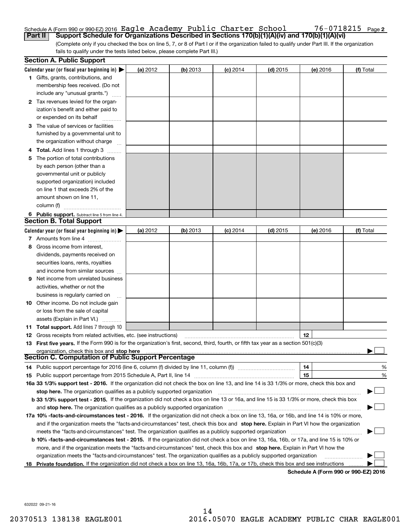### Schedule A (Form 990 or 990-EZ) 2016  $\verb|Eagle Academy Public Chapter School 76-0718215$   $\verb|Page 201602|$

(Complete only if you checked the box on line 5, 7, or 8 of Part I or if the organization failed to qualify under Part III. If the organization fails to qualify under the tests listed below, please complete Part III.) **Part II Support Schedule for Organizations Described in Sections 170(b)(1)(A)(iv) and 170(b)(1)(A)(vi)**

| <b>Section A. Public Support</b>                                                                                                                                                                                   |          |            |            |            |          |           |
|--------------------------------------------------------------------------------------------------------------------------------------------------------------------------------------------------------------------|----------|------------|------------|------------|----------|-----------|
| Calendar year (or fiscal year beginning in) $\blacktriangleright$                                                                                                                                                  | (a) 2012 | $(b)$ 2013 | $(c)$ 2014 | $(d)$ 2015 | (e) 2016 | (f) Total |
| 1 Gifts, grants, contributions, and                                                                                                                                                                                |          |            |            |            |          |           |
| membership fees received. (Do not                                                                                                                                                                                  |          |            |            |            |          |           |
| include any "unusual grants.")                                                                                                                                                                                     |          |            |            |            |          |           |
| 2 Tax revenues levied for the organ-                                                                                                                                                                               |          |            |            |            |          |           |
| ization's benefit and either paid to                                                                                                                                                                               |          |            |            |            |          |           |
| or expended on its behalf                                                                                                                                                                                          |          |            |            |            |          |           |
| 3 The value of services or facilities                                                                                                                                                                              |          |            |            |            |          |           |
| furnished by a governmental unit to                                                                                                                                                                                |          |            |            |            |          |           |
| the organization without charge                                                                                                                                                                                    |          |            |            |            |          |           |
| 4 Total. Add lines 1 through 3<br>.                                                                                                                                                                                |          |            |            |            |          |           |
| 5 The portion of total contributions                                                                                                                                                                               |          |            |            |            |          |           |
| by each person (other than a                                                                                                                                                                                       |          |            |            |            |          |           |
| governmental unit or publicly                                                                                                                                                                                      |          |            |            |            |          |           |
| supported organization) included                                                                                                                                                                                   |          |            |            |            |          |           |
| on line 1 that exceeds 2% of the                                                                                                                                                                                   |          |            |            |            |          |           |
| amount shown on line 11,                                                                                                                                                                                           |          |            |            |            |          |           |
| column (f)                                                                                                                                                                                                         |          |            |            |            |          |           |
| 6 Public support. Subtract line 5 from line 4.                                                                                                                                                                     |          |            |            |            |          |           |
| <b>Section B. Total Support</b>                                                                                                                                                                                    |          |            |            |            |          |           |
| Calendar year (or fiscal year beginning in) $\blacktriangleright$                                                                                                                                                  | (a) 2012 | $(b)$ 2013 | $(c)$ 2014 | $(d)$ 2015 | (e) 2016 | (f) Total |
| 7 Amounts from line 4                                                                                                                                                                                              |          |            |            |            |          |           |
| 8 Gross income from interest,                                                                                                                                                                                      |          |            |            |            |          |           |
| dividends, payments received on                                                                                                                                                                                    |          |            |            |            |          |           |
| securities loans, rents, royalties                                                                                                                                                                                 |          |            |            |            |          |           |
| and income from similar sources                                                                                                                                                                                    |          |            |            |            |          |           |
| <b>9</b> Net income from unrelated business                                                                                                                                                                        |          |            |            |            |          |           |
| activities, whether or not the                                                                                                                                                                                     |          |            |            |            |          |           |
| business is regularly carried on                                                                                                                                                                                   |          |            |            |            |          |           |
| <b>10</b> Other income. Do not include gain                                                                                                                                                                        |          |            |            |            |          |           |
| or loss from the sale of capital                                                                                                                                                                                   |          |            |            |            |          |           |
| assets (Explain in Part VI.)                                                                                                                                                                                       |          |            |            |            |          |           |
| <b>11 Total support.</b> Add lines 7 through 10                                                                                                                                                                    |          |            |            |            |          |           |
|                                                                                                                                                                                                                    |          |            |            |            | 12       |           |
| <b>12</b> Gross receipts from related activities, etc. (see instructions)<br>13 First five years. If the Form 990 is for the organization's first, second, third, fourth, or fifth tax year as a section 501(c)(3) |          |            |            |            |          |           |
| organization, check this box and stop here                                                                                                                                                                         |          |            |            |            |          |           |
| <b>Section C. Computation of Public Support Percentage</b>                                                                                                                                                         |          |            |            |            |          |           |
| 14 Public support percentage for 2016 (line 6, column (f) divided by line 11, column (f) <i>marrourcommum</i>                                                                                                      |          |            |            |            | 14       | %         |
|                                                                                                                                                                                                                    |          |            |            |            | 15       | %         |
| 16a 33 1/3% support test - 2016. If the organization did not check the box on line 13, and line 14 is 33 1/3% or more, check this box and                                                                          |          |            |            |            |          |           |
| stop here. The organization qualifies as a publicly supported organization                                                                                                                                         |          |            |            |            |          | <u>_</u>  |
| b 33 1/3% support test - 2015. If the organization did not check a box on line 13 or 16a, and line 15 is 33 1/3% or more, check this box                                                                           |          |            |            |            |          |           |
| and stop here. The organization qualifies as a publicly supported organization                                                                                                                                     |          |            |            |            |          |           |
|                                                                                                                                                                                                                    |          |            |            |            |          |           |
| 17a 10% -facts-and-circumstances test - 2016. If the organization did not check a box on line 13, 16a, or 16b, and line 14 is 10% or more,                                                                         |          |            |            |            |          |           |
| and if the organization meets the "facts-and-circumstances" test, check this box and stop here. Explain in Part VI how the organization                                                                            |          |            |            |            |          |           |
| meets the "facts-and-circumstances" test. The organization qualifies as a publicly supported organization                                                                                                          |          |            |            |            |          |           |
| <b>b 10% -facts-and-circumstances test - 2015.</b> If the organization did not check a box on line 13, 16a, 16b, or 17a, and line 15 is 10% or                                                                     |          |            |            |            |          |           |
| more, and if the organization meets the "facts-and-circumstances" test, check this box and stop here. Explain in Part VI how the                                                                                   |          |            |            |            |          |           |
| organization meets the "facts-and-circumstances" test. The organization qualifies as a publicly supported organization                                                                                             |          |            |            |            |          |           |
| 18 Private foundation. If the organization did not check a box on line 13, 16a, 16b, 17a, or 17b, check this box and see instructions                                                                              |          |            |            |            |          |           |

**Schedule A (Form 990 or 990-EZ) 2016**

632022 09-21-16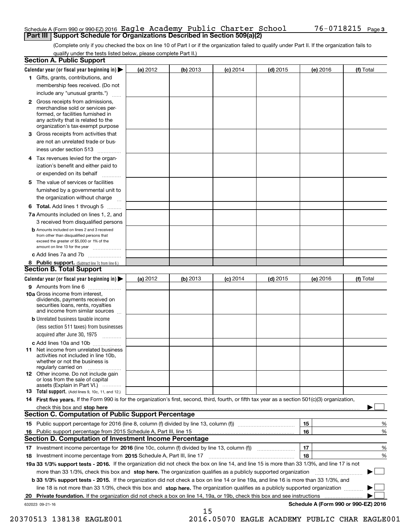#### Schedule A (Form 990 or 990-EZ) 2016  $\verb|Eagle Academy Public Chapter School 76-0718215$   $\verb|Page 201602|$ **Part III Support Schedule for Organizations Described in Section 509(a)(2)**

(Complete only if you checked the box on line 10 of Part I or if the organization failed to qualify under Part II. If the organization fails to qualify under the tests listed below, please complete Part II.)

|    | <b>Section A. Public Support</b>                                                                                                                                                                                                                                   |          |          |                 |            |          |                                           |
|----|--------------------------------------------------------------------------------------------------------------------------------------------------------------------------------------------------------------------------------------------------------------------|----------|----------|-----------------|------------|----------|-------------------------------------------|
|    | Calendar year (or fiscal year beginning in) $\blacktriangleright$                                                                                                                                                                                                  | (a) 2012 | (b) 2013 | <b>(c)</b> 2014 | $(d)$ 2015 | (e) 2016 | (f) Total                                 |
|    | 1 Gifts, grants, contributions, and                                                                                                                                                                                                                                |          |          |                 |            |          |                                           |
|    | membership fees received. (Do not                                                                                                                                                                                                                                  |          |          |                 |            |          |                                           |
|    | include any "unusual grants.")                                                                                                                                                                                                                                     |          |          |                 |            |          |                                           |
|    | <b>2</b> Gross receipts from admissions,<br>merchandise sold or services per-<br>formed, or facilities furnished in<br>any activity that is related to the<br>organization's tax-exempt purpose                                                                    |          |          |                 |            |          |                                           |
|    | 3 Gross receipts from activities that<br>are not an unrelated trade or bus-                                                                                                                                                                                        |          |          |                 |            |          |                                           |
|    | iness under section 513                                                                                                                                                                                                                                            |          |          |                 |            |          |                                           |
|    | 4 Tax revenues levied for the organ-<br>ization's benefit and either paid to                                                                                                                                                                                       |          |          |                 |            |          |                                           |
|    | or expended on its behalf                                                                                                                                                                                                                                          |          |          |                 |            |          |                                           |
|    | 5 The value of services or facilities<br>furnished by a governmental unit to                                                                                                                                                                                       |          |          |                 |            |          |                                           |
|    | the organization without charge                                                                                                                                                                                                                                    |          |          |                 |            |          |                                           |
|    | <b>6 Total.</b> Add lines 1 through 5                                                                                                                                                                                                                              |          |          |                 |            |          |                                           |
|    | 7a Amounts included on lines 1, 2, and<br>3 received from disqualified persons                                                                                                                                                                                     |          |          |                 |            |          |                                           |
|    | <b>b</b> Amounts included on lines 2 and 3 received<br>from other than disqualified persons that<br>exceed the greater of \$5,000 or 1% of the<br>amount on line 13 for the year                                                                                   |          |          |                 |            |          |                                           |
|    | c Add lines 7a and 7b                                                                                                                                                                                                                                              |          |          |                 |            |          |                                           |
|    | 8 Public support. (Subtract line 7c from line 6.)<br><b>Section B. Total Support</b>                                                                                                                                                                               |          |          |                 |            |          |                                           |
|    | Calendar year (or fiscal year beginning in)                                                                                                                                                                                                                        | (a) 2012 | (b) 2013 | $(c)$ 2014      | $(d)$ 2015 | (e) 2016 | (f) Total                                 |
|    | 9 Amounts from line 6                                                                                                                                                                                                                                              |          |          |                 |            |          |                                           |
|    | <b>10a</b> Gross income from interest,<br>dividends, payments received on<br>securities loans, rents, royalties<br>and income from similar sources                                                                                                                 |          |          |                 |            |          |                                           |
|    | <b>b</b> Unrelated business taxable income<br>(less section 511 taxes) from businesses                                                                                                                                                                             |          |          |                 |            |          |                                           |
|    | acquired after June 30, 1975                                                                                                                                                                                                                                       |          |          |                 |            |          |                                           |
|    | c Add lines 10a and 10b                                                                                                                                                                                                                                            |          |          |                 |            |          |                                           |
|    | 11 Net income from unrelated business<br>activities not included in line 10b,<br>whether or not the business is<br>regularly carried on                                                                                                                            |          |          |                 |            |          |                                           |
|    | 12 Other income. Do not include gain<br>or loss from the sale of capital<br>assets (Explain in Part VI.)                                                                                                                                                           |          |          |                 |            |          |                                           |
|    | 13 Total support. (Add lines 9, 10c, 11, and 12.)                                                                                                                                                                                                                  |          |          |                 |            |          |                                           |
|    | 14 First five years. If the Form 990 is for the organization's first, second, third, fourth, or fifth tax year as a section 501(c)(3) organization,                                                                                                                |          |          |                 |            |          |                                           |
|    | check this box and stop here measurements and stop here are constructed and the measurement of the state of the                                                                                                                                                    |          |          |                 |            |          |                                           |
|    | <b>Section C. Computation of Public Support Percentage</b>                                                                                                                                                                                                         |          |          |                 |            |          |                                           |
|    |                                                                                                                                                                                                                                                                    |          |          |                 |            | 15       | %                                         |
| 16 | Public support percentage from 2015 Schedule A, Part III, line 15                                                                                                                                                                                                  |          |          |                 |            | 16       | %                                         |
|    | <b>Section D. Computation of Investment Income Percentage</b>                                                                                                                                                                                                      |          |          |                 |            |          |                                           |
|    | 17 Investment income percentage for 2016 (line 10c, column (f) divided by line 13, column (f))                                                                                                                                                                     |          |          |                 |            | 17       | %                                         |
|    | 18 Investment income percentage from 2015 Schedule A, Part III, line 17                                                                                                                                                                                            |          |          |                 |            | 18       | %                                         |
|    | 19a 33 1/3% support tests - 2016. If the organization did not check the box on line 14, and line 15 is more than 33 1/3%, and line 17 is not                                                                                                                       |          |          |                 |            |          |                                           |
|    | more than 33 1/3%, check this box and stop here. The organization qualifies as a publicly supported organization                                                                                                                                                   |          |          |                 |            |          | ▶                                         |
|    | b 33 1/3% support tests - 2015. If the organization did not check a box on line 14 or line 19a, and line 16 is more than 33 1/3%, and                                                                                                                              |          |          |                 |            |          |                                           |
|    | line 18 is not more than 33 1/3%, check this box and stop here. The organization qualifies as a publicly supported organization<br><b>Private foundation.</b> If the organization did not check a box on line 14, 19a, or 19b, check this box and see instructions |          |          |                 |            |          |                                           |
| 20 | 632023 09-21-16                                                                                                                                                                                                                                                    |          |          |                 |            |          | .<br>Schedule A (Form 990 or 990-EZ) 2016 |
|    |                                                                                                                                                                                                                                                                    |          | 15       |                 |            |          |                                           |

 <sup>20370513 138138</sup> EAGLE001 2016.05070 EAGLE ACADEMY PUBLIC CHAR EAGLE001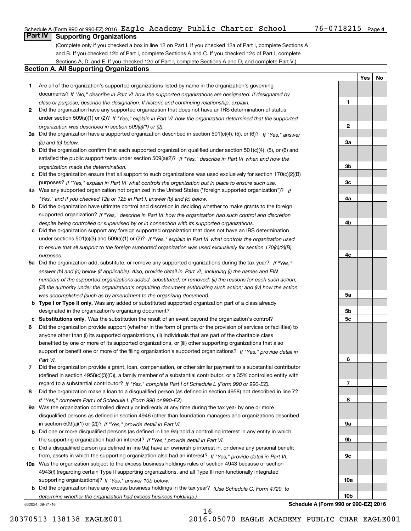#### Schedule A (Form 990 or 990-EZ) 2016  $\verb|Eagle Academy Public Chapter School 76-0718215$   $\verb|Page 201602|$

**1**

**2**

**3a**

**3b**

**3c**

**4a**

**4b**

**4c**

**5a**

**5b5c**

**6**

**7**

**8**

**9a**

**9b**

**9c**

**10a**

**10b**

**YesNo**

## **Part IV Supporting Organizations**

(Complete only if you checked a box in line 12 on Part I. If you checked 12a of Part I, complete Sections A and B. If you checked 12b of Part I, complete Sections A and C. If you checked 12c of Part I, complete Sections A, D, and E. If you checked 12d of Part I, complete Sections A and D, and complete Part V.)

#### **Section A. All Supporting Organizations**

- **1** Are all of the organization's supported organizations listed by name in the organization's governing documents? If "No," describe in Part VI how the supported organizations are designated. If designated by *class or purpose, describe the designation. If historic and continuing relationship, explain.*
- **2** Did the organization have any supported organization that does not have an IRS determination of status under section 509(a)(1) or (2)? If "Yes," explain in Part VI how the organization determined that the supported *organization was described in section 509(a)(1) or (2).*
- **3a** Did the organization have a supported organization described in section 501(c)(4), (5), or (6)? If "Yes," answer *(b) and (c) below.*
- **b** Did the organization confirm that each supported organization qualified under section 501(c)(4), (5), or (6) and satisfied the public support tests under section 509(a)(2)? If "Yes," describe in Part VI when and how the *organization made the determination.*
- **c**Did the organization ensure that all support to such organizations was used exclusively for section 170(c)(2)(B) purposes? If "Yes," explain in Part VI what controls the organization put in place to ensure such use.
- **4a***If* Was any supported organization not organized in the United States ("foreign supported organization")? *"Yes," and if you checked 12a or 12b in Part I, answer (b) and (c) below.*
- **b** Did the organization have ultimate control and discretion in deciding whether to make grants to the foreign supported organization? If "Yes," describe in Part VI how the organization had such control and discretion *despite being controlled or supervised by or in connection with its supported organizations.*
- **c** Did the organization support any foreign supported organization that does not have an IRS determination under sections 501(c)(3) and 509(a)(1) or (2)? If "Yes," explain in Part VI what controls the organization used *to ensure that all support to the foreign supported organization was used exclusively for section 170(c)(2)(B) purposes.*
- **5a** Did the organization add, substitute, or remove any supported organizations during the tax year? If "Yes," answer (b) and (c) below (if applicable). Also, provide detail in Part VI, including (i) the names and EIN *numbers of the supported organizations added, substituted, or removed; (ii) the reasons for each such action; (iii) the authority under the organization's organizing document authorizing such action; and (iv) how the action was accomplished (such as by amendment to the organizing document).*
- **b** Type I or Type II only. Was any added or substituted supported organization part of a class already designated in the organization's organizing document?
- **cSubstitutions only.**  Was the substitution the result of an event beyond the organization's control?
- **6** Did the organization provide support (whether in the form of grants or the provision of services or facilities) to *If "Yes," provide detail in* support or benefit one or more of the filing organization's supported organizations? anyone other than (i) its supported organizations, (ii) individuals that are part of the charitable class benefited by one or more of its supported organizations, or (iii) other supporting organizations that also *Part VI.*
- **7**Did the organization provide a grant, loan, compensation, or other similar payment to a substantial contributor *If "Yes," complete Part I of Schedule L (Form 990 or 990-EZ).* regard to a substantial contributor? (defined in section 4958(c)(3)(C)), a family member of a substantial contributor, or a 35% controlled entity with
- **8** Did the organization make a loan to a disqualified person (as defined in section 4958) not described in line 7? *If "Yes," complete Part I of Schedule L (Form 990 or 990-EZ).*
- **9a** Was the organization controlled directly or indirectly at any time during the tax year by one or more in section 509(a)(1) or (2))? If "Yes," *provide detail in Part VI.* disqualified persons as defined in section 4946 (other than foundation managers and organizations described
- **b** Did one or more disqualified persons (as defined in line 9a) hold a controlling interest in any entity in which the supporting organization had an interest? If "Yes," provide detail in Part VI.
- **c**Did a disqualified person (as defined in line 9a) have an ownership interest in, or derive any personal benefit from, assets in which the supporting organization also had an interest? If "Yes," provide detail in Part VI.
- **10a** Was the organization subject to the excess business holdings rules of section 4943 because of section supporting organizations)? If "Yes," answer 10b below. 4943(f) (regarding certain Type II supporting organizations, and all Type III non-functionally integrated
- **b** Did the organization have any excess business holdings in the tax year? (Use Schedule C, Form 4720, to *determine whether the organization had excess business holdings.)*

16

632024 09-21-16

**Schedule A (Form 990 or 990-EZ) 2016**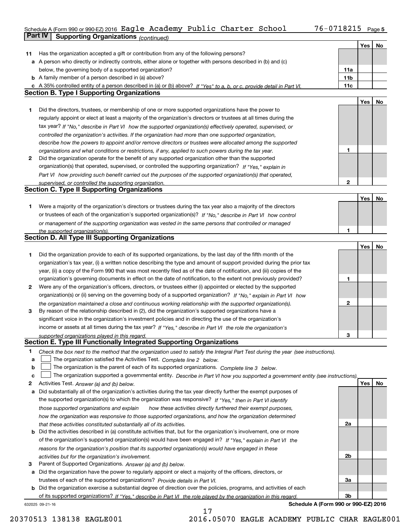#### Schedule A (Form 990 or 990-EZ) 2016 <code>Eagle Academy Public Charter School 76-0718215 Page 5</code> **Part IV** Supporting Organizations  $(continued)$

| Has the organization accepted a gift or contribution from any of the following persons?<br>11<br>a A person who directly or indirectly controls, either alone or together with persons described in (b) and (c)<br>below, the governing body of a supported organization?<br>11a<br><b>b</b> A family member of a person described in (a) above?<br>11 <sub>b</sub><br>11c<br>c A 35% controlled entity of a person described in (a) or (b) above? If "Yes" to a, b, or c, provide detail in Part VI.<br><b>Section B. Type I Supporting Organizations</b><br>Yes<br>No<br>Did the directors, trustees, or membership of one or more supported organizations have the power to<br>1<br>regularly appoint or elect at least a majority of the organization's directors or trustees at all times during the<br>tax year? If "No," describe in Part VI how the supported organization(s) effectively operated, supervised, or<br>controlled the organization's activities. If the organization had more than one supported organization,<br>describe how the powers to appoint and/or remove directors or trustees were allocated among the supported<br>1<br>organizations and what conditions or restrictions, if any, applied to such powers during the tax year.<br>Did the organization operate for the benefit of any supported organization other than the supported<br>2<br>organization(s) that operated, supervised, or controlled the supporting organization? If "Yes," explain in<br>Part VI how providing such benefit carried out the purposes of the supported organization(s) that operated,<br>$\mathbf 2$<br>supervised, or controlled the supporting organization.<br><b>Section C. Type II Supporting Organizations</b><br>Yes<br>No<br>Were a majority of the organization's directors or trustees during the tax year also a majority of the directors<br>1.<br>or trustees of each of the organization's supported organization(s)? If "No," describe in Part VI how control<br>or management of the supporting organization was vested in the same persons that controlled or managed<br>1<br>the supported organization(s).<br><b>Section D. All Type III Supporting Organizations</b><br>Yes<br>No<br>Did the organization provide to each of its supported organizations, by the last day of the fifth month of the<br>1<br>organization's tax year, (i) a written notice describing the type and amount of support provided during the prior tax<br>year, (ii) a copy of the Form 990 that was most recently filed as of the date of notification, and (iii) copies of the<br>organization's governing documents in effect on the date of notification, to the extent not previously provided?<br>1<br>Were any of the organization's officers, directors, or trustees either (i) appointed or elected by the supported<br>2<br>organization(s) or (ii) serving on the governing body of a supported organization? If "No," explain in Part VI how<br>2<br>the organization maintained a close and continuous working relationship with the supported organization(s).<br>By reason of the relationship described in (2), did the organization's supported organizations have a<br>3<br>significant voice in the organization's investment policies and in directing the use of the organization's<br>income or assets at all times during the tax year? If "Yes," describe in Part VI the role the organization's<br>3<br>supported organizations played in this regard.<br>Section E. Type III Functionally Integrated Supporting Organizations<br>1<br>Check the box next to the method that the organization used to satisfy the Integral Part Test during the year (see instructions).<br>The organization satisfied the Activities Test. Complete line 2 below.<br>a<br>The organization is the parent of each of its supported organizations. Complete line 3 below.<br>b<br>The organization supported a governmental entity. Describe in Part VI how you supported a government entity (see instructions).<br>c<br>Yes<br>No<br>Activities Test. Answer (a) and (b) below.<br>2<br>Did substantially all of the organization's activities during the tax year directly further the exempt purposes of<br>а<br>the supported organization(s) to which the organization was responsive? If "Yes," then in Part VI identify<br>those supported organizations and explain<br>how these activities directly furthered their exempt purposes,<br>how the organization was responsive to those supported organizations, and how the organization determined<br>2a<br>that these activities constituted substantially all of its activities.<br><b>b</b> Did the activities described in (a) constitute activities that, but for the organization's involvement, one or more<br>of the organization's supported organization(s) would have been engaged in? If "Yes," explain in Part VI the<br>reasons for the organization's position that its supported organization(s) would have engaged in these<br>2b<br>activities but for the organization's involvement.<br>Parent of Supported Organizations. Answer (a) and (b) below.<br>3<br>a Did the organization have the power to regularly appoint or elect a majority of the officers, directors, or<br>trustees of each of the supported organizations? Provide details in Part VI.<br>За<br><b>b</b> Did the organization exercise a substantial degree of direction over the policies, programs, and activities of each<br>3b<br>of its supported organizations? If "Yes." describe in Part VI the role played by the organization in this regard. |  | Yes | <b>No</b> |
|--------------------------------------------------------------------------------------------------------------------------------------------------------------------------------------------------------------------------------------------------------------------------------------------------------------------------------------------------------------------------------------------------------------------------------------------------------------------------------------------------------------------------------------------------------------------------------------------------------------------------------------------------------------------------------------------------------------------------------------------------------------------------------------------------------------------------------------------------------------------------------------------------------------------------------------------------------------------------------------------------------------------------------------------------------------------------------------------------------------------------------------------------------------------------------------------------------------------------------------------------------------------------------------------------------------------------------------------------------------------------------------------------------------------------------------------------------------------------------------------------------------------------------------------------------------------------------------------------------------------------------------------------------------------------------------------------------------------------------------------------------------------------------------------------------------------------------------------------------------------------------------------------------------------------------------------------------------------------------------------------------------------------------------------------------------------------------------------------------------------------------------------------------------------------------------------------------------------------------------------------------------------------------------------------------------------------------------------------------------------------------------------------------------------------------------------------------------------------------------------------------------------------------------------------------------------------------------------------------------------------------------------------------------------------------------------------------------------------------------------------------------------------------------------------------------------------------------------------------------------------------------------------------------------------------------------------------------------------------------------------------------------------------------------------------------------------------------------------------------------------------------------------------------------------------------------------------------------------------------------------------------------------------------------------------------------------------------------------------------------------------------------------------------------------------------------------------------------------------------------------------------------------------------------------------------------------------------------------------------------------------------------------------------------------------------------------------------------------------------------------------------------------------------------------------------------------------------------------------------------------------------------------------------------------------------------------------------------------------------------------------------------------------------------------------------------------------------------------------------------------------------------------------------------------------------------------------------------------------------------------------------------------------------------------------------------------------------------------------------------------------------------------------------------------------------------------------------------------------------------------------------------------------------------------------------------------------------------------------------------------------------------------------------------------------------------------------------------------------------------------------------------------------------------------------------------------------------------------------------------------------------------------------------------------------------------------------------------------------------------------------------------------------------------------------------------------------------------------------------------------------------------------------------------------------------------------------------------------------------------------------------------------------------------------------------------------------------------------------------------------------------------------------------------------------------------------------------------------------------------------------------------------------------------------------------------------------------------------------------------------------------|--|-----|-----------|
|                                                                                                                                                                                                                                                                                                                                                                                                                                                                                                                                                                                                                                                                                                                                                                                                                                                                                                                                                                                                                                                                                                                                                                                                                                                                                                                                                                                                                                                                                                                                                                                                                                                                                                                                                                                                                                                                                                                                                                                                                                                                                                                                                                                                                                                                                                                                                                                                                                                                                                                                                                                                                                                                                                                                                                                                                                                                                                                                                                                                                                                                                                                                                                                                                                                                                                                                                                                                                                                                                                                                                                                                                                                                                                                                                                                                                                                                                                                                                                                                                                                                                                                                                                                                                                                                                                                                                                                                                                                                                                                                                                                                                                                                                                                                                                                                                                                                                                                                                                                                                                                                                                                                                                                                                                                                                                                                                                                                                                                                                                                                                                                                                                      |  |     |           |
|                                                                                                                                                                                                                                                                                                                                                                                                                                                                                                                                                                                                                                                                                                                                                                                                                                                                                                                                                                                                                                                                                                                                                                                                                                                                                                                                                                                                                                                                                                                                                                                                                                                                                                                                                                                                                                                                                                                                                                                                                                                                                                                                                                                                                                                                                                                                                                                                                                                                                                                                                                                                                                                                                                                                                                                                                                                                                                                                                                                                                                                                                                                                                                                                                                                                                                                                                                                                                                                                                                                                                                                                                                                                                                                                                                                                                                                                                                                                                                                                                                                                                                                                                                                                                                                                                                                                                                                                                                                                                                                                                                                                                                                                                                                                                                                                                                                                                                                                                                                                                                                                                                                                                                                                                                                                                                                                                                                                                                                                                                                                                                                                                                      |  |     |           |
|                                                                                                                                                                                                                                                                                                                                                                                                                                                                                                                                                                                                                                                                                                                                                                                                                                                                                                                                                                                                                                                                                                                                                                                                                                                                                                                                                                                                                                                                                                                                                                                                                                                                                                                                                                                                                                                                                                                                                                                                                                                                                                                                                                                                                                                                                                                                                                                                                                                                                                                                                                                                                                                                                                                                                                                                                                                                                                                                                                                                                                                                                                                                                                                                                                                                                                                                                                                                                                                                                                                                                                                                                                                                                                                                                                                                                                                                                                                                                                                                                                                                                                                                                                                                                                                                                                                                                                                                                                                                                                                                                                                                                                                                                                                                                                                                                                                                                                                                                                                                                                                                                                                                                                                                                                                                                                                                                                                                                                                                                                                                                                                                                                      |  |     |           |
|                                                                                                                                                                                                                                                                                                                                                                                                                                                                                                                                                                                                                                                                                                                                                                                                                                                                                                                                                                                                                                                                                                                                                                                                                                                                                                                                                                                                                                                                                                                                                                                                                                                                                                                                                                                                                                                                                                                                                                                                                                                                                                                                                                                                                                                                                                                                                                                                                                                                                                                                                                                                                                                                                                                                                                                                                                                                                                                                                                                                                                                                                                                                                                                                                                                                                                                                                                                                                                                                                                                                                                                                                                                                                                                                                                                                                                                                                                                                                                                                                                                                                                                                                                                                                                                                                                                                                                                                                                                                                                                                                                                                                                                                                                                                                                                                                                                                                                                                                                                                                                                                                                                                                                                                                                                                                                                                                                                                                                                                                                                                                                                                                                      |  |     |           |
|                                                                                                                                                                                                                                                                                                                                                                                                                                                                                                                                                                                                                                                                                                                                                                                                                                                                                                                                                                                                                                                                                                                                                                                                                                                                                                                                                                                                                                                                                                                                                                                                                                                                                                                                                                                                                                                                                                                                                                                                                                                                                                                                                                                                                                                                                                                                                                                                                                                                                                                                                                                                                                                                                                                                                                                                                                                                                                                                                                                                                                                                                                                                                                                                                                                                                                                                                                                                                                                                                                                                                                                                                                                                                                                                                                                                                                                                                                                                                                                                                                                                                                                                                                                                                                                                                                                                                                                                                                                                                                                                                                                                                                                                                                                                                                                                                                                                                                                                                                                                                                                                                                                                                                                                                                                                                                                                                                                                                                                                                                                                                                                                                                      |  |     |           |
|                                                                                                                                                                                                                                                                                                                                                                                                                                                                                                                                                                                                                                                                                                                                                                                                                                                                                                                                                                                                                                                                                                                                                                                                                                                                                                                                                                                                                                                                                                                                                                                                                                                                                                                                                                                                                                                                                                                                                                                                                                                                                                                                                                                                                                                                                                                                                                                                                                                                                                                                                                                                                                                                                                                                                                                                                                                                                                                                                                                                                                                                                                                                                                                                                                                                                                                                                                                                                                                                                                                                                                                                                                                                                                                                                                                                                                                                                                                                                                                                                                                                                                                                                                                                                                                                                                                                                                                                                                                                                                                                                                                                                                                                                                                                                                                                                                                                                                                                                                                                                                                                                                                                                                                                                                                                                                                                                                                                                                                                                                                                                                                                                                      |  |     |           |
|                                                                                                                                                                                                                                                                                                                                                                                                                                                                                                                                                                                                                                                                                                                                                                                                                                                                                                                                                                                                                                                                                                                                                                                                                                                                                                                                                                                                                                                                                                                                                                                                                                                                                                                                                                                                                                                                                                                                                                                                                                                                                                                                                                                                                                                                                                                                                                                                                                                                                                                                                                                                                                                                                                                                                                                                                                                                                                                                                                                                                                                                                                                                                                                                                                                                                                                                                                                                                                                                                                                                                                                                                                                                                                                                                                                                                                                                                                                                                                                                                                                                                                                                                                                                                                                                                                                                                                                                                                                                                                                                                                                                                                                                                                                                                                                                                                                                                                                                                                                                                                                                                                                                                                                                                                                                                                                                                                                                                                                                                                                                                                                                                                      |  |     |           |
|                                                                                                                                                                                                                                                                                                                                                                                                                                                                                                                                                                                                                                                                                                                                                                                                                                                                                                                                                                                                                                                                                                                                                                                                                                                                                                                                                                                                                                                                                                                                                                                                                                                                                                                                                                                                                                                                                                                                                                                                                                                                                                                                                                                                                                                                                                                                                                                                                                                                                                                                                                                                                                                                                                                                                                                                                                                                                                                                                                                                                                                                                                                                                                                                                                                                                                                                                                                                                                                                                                                                                                                                                                                                                                                                                                                                                                                                                                                                                                                                                                                                                                                                                                                                                                                                                                                                                                                                                                                                                                                                                                                                                                                                                                                                                                                                                                                                                                                                                                                                                                                                                                                                                                                                                                                                                                                                                                                                                                                                                                                                                                                                                                      |  |     |           |
|                                                                                                                                                                                                                                                                                                                                                                                                                                                                                                                                                                                                                                                                                                                                                                                                                                                                                                                                                                                                                                                                                                                                                                                                                                                                                                                                                                                                                                                                                                                                                                                                                                                                                                                                                                                                                                                                                                                                                                                                                                                                                                                                                                                                                                                                                                                                                                                                                                                                                                                                                                                                                                                                                                                                                                                                                                                                                                                                                                                                                                                                                                                                                                                                                                                                                                                                                                                                                                                                                                                                                                                                                                                                                                                                                                                                                                                                                                                                                                                                                                                                                                                                                                                                                                                                                                                                                                                                                                                                                                                                                                                                                                                                                                                                                                                                                                                                                                                                                                                                                                                                                                                                                                                                                                                                                                                                                                                                                                                                                                                                                                                                                                      |  |     |           |
|                                                                                                                                                                                                                                                                                                                                                                                                                                                                                                                                                                                                                                                                                                                                                                                                                                                                                                                                                                                                                                                                                                                                                                                                                                                                                                                                                                                                                                                                                                                                                                                                                                                                                                                                                                                                                                                                                                                                                                                                                                                                                                                                                                                                                                                                                                                                                                                                                                                                                                                                                                                                                                                                                                                                                                                                                                                                                                                                                                                                                                                                                                                                                                                                                                                                                                                                                                                                                                                                                                                                                                                                                                                                                                                                                                                                                                                                                                                                                                                                                                                                                                                                                                                                                                                                                                                                                                                                                                                                                                                                                                                                                                                                                                                                                                                                                                                                                                                                                                                                                                                                                                                                                                                                                                                                                                                                                                                                                                                                                                                                                                                                                                      |  |     |           |
|                                                                                                                                                                                                                                                                                                                                                                                                                                                                                                                                                                                                                                                                                                                                                                                                                                                                                                                                                                                                                                                                                                                                                                                                                                                                                                                                                                                                                                                                                                                                                                                                                                                                                                                                                                                                                                                                                                                                                                                                                                                                                                                                                                                                                                                                                                                                                                                                                                                                                                                                                                                                                                                                                                                                                                                                                                                                                                                                                                                                                                                                                                                                                                                                                                                                                                                                                                                                                                                                                                                                                                                                                                                                                                                                                                                                                                                                                                                                                                                                                                                                                                                                                                                                                                                                                                                                                                                                                                                                                                                                                                                                                                                                                                                                                                                                                                                                                                                                                                                                                                                                                                                                                                                                                                                                                                                                                                                                                                                                                                                                                                                                                                      |  |     |           |
|                                                                                                                                                                                                                                                                                                                                                                                                                                                                                                                                                                                                                                                                                                                                                                                                                                                                                                                                                                                                                                                                                                                                                                                                                                                                                                                                                                                                                                                                                                                                                                                                                                                                                                                                                                                                                                                                                                                                                                                                                                                                                                                                                                                                                                                                                                                                                                                                                                                                                                                                                                                                                                                                                                                                                                                                                                                                                                                                                                                                                                                                                                                                                                                                                                                                                                                                                                                                                                                                                                                                                                                                                                                                                                                                                                                                                                                                                                                                                                                                                                                                                                                                                                                                                                                                                                                                                                                                                                                                                                                                                                                                                                                                                                                                                                                                                                                                                                                                                                                                                                                                                                                                                                                                                                                                                                                                                                                                                                                                                                                                                                                                                                      |  |     |           |
|                                                                                                                                                                                                                                                                                                                                                                                                                                                                                                                                                                                                                                                                                                                                                                                                                                                                                                                                                                                                                                                                                                                                                                                                                                                                                                                                                                                                                                                                                                                                                                                                                                                                                                                                                                                                                                                                                                                                                                                                                                                                                                                                                                                                                                                                                                                                                                                                                                                                                                                                                                                                                                                                                                                                                                                                                                                                                                                                                                                                                                                                                                                                                                                                                                                                                                                                                                                                                                                                                                                                                                                                                                                                                                                                                                                                                                                                                                                                                                                                                                                                                                                                                                                                                                                                                                                                                                                                                                                                                                                                                                                                                                                                                                                                                                                                                                                                                                                                                                                                                                                                                                                                                                                                                                                                                                                                                                                                                                                                                                                                                                                                                                      |  |     |           |
|                                                                                                                                                                                                                                                                                                                                                                                                                                                                                                                                                                                                                                                                                                                                                                                                                                                                                                                                                                                                                                                                                                                                                                                                                                                                                                                                                                                                                                                                                                                                                                                                                                                                                                                                                                                                                                                                                                                                                                                                                                                                                                                                                                                                                                                                                                                                                                                                                                                                                                                                                                                                                                                                                                                                                                                                                                                                                                                                                                                                                                                                                                                                                                                                                                                                                                                                                                                                                                                                                                                                                                                                                                                                                                                                                                                                                                                                                                                                                                                                                                                                                                                                                                                                                                                                                                                                                                                                                                                                                                                                                                                                                                                                                                                                                                                                                                                                                                                                                                                                                                                                                                                                                                                                                                                                                                                                                                                                                                                                                                                                                                                                                                      |  |     |           |
|                                                                                                                                                                                                                                                                                                                                                                                                                                                                                                                                                                                                                                                                                                                                                                                                                                                                                                                                                                                                                                                                                                                                                                                                                                                                                                                                                                                                                                                                                                                                                                                                                                                                                                                                                                                                                                                                                                                                                                                                                                                                                                                                                                                                                                                                                                                                                                                                                                                                                                                                                                                                                                                                                                                                                                                                                                                                                                                                                                                                                                                                                                                                                                                                                                                                                                                                                                                                                                                                                                                                                                                                                                                                                                                                                                                                                                                                                                                                                                                                                                                                                                                                                                                                                                                                                                                                                                                                                                                                                                                                                                                                                                                                                                                                                                                                                                                                                                                                                                                                                                                                                                                                                                                                                                                                                                                                                                                                                                                                                                                                                                                                                                      |  |     |           |
|                                                                                                                                                                                                                                                                                                                                                                                                                                                                                                                                                                                                                                                                                                                                                                                                                                                                                                                                                                                                                                                                                                                                                                                                                                                                                                                                                                                                                                                                                                                                                                                                                                                                                                                                                                                                                                                                                                                                                                                                                                                                                                                                                                                                                                                                                                                                                                                                                                                                                                                                                                                                                                                                                                                                                                                                                                                                                                                                                                                                                                                                                                                                                                                                                                                                                                                                                                                                                                                                                                                                                                                                                                                                                                                                                                                                                                                                                                                                                                                                                                                                                                                                                                                                                                                                                                                                                                                                                                                                                                                                                                                                                                                                                                                                                                                                                                                                                                                                                                                                                                                                                                                                                                                                                                                                                                                                                                                                                                                                                                                                                                                                                                      |  |     |           |
|                                                                                                                                                                                                                                                                                                                                                                                                                                                                                                                                                                                                                                                                                                                                                                                                                                                                                                                                                                                                                                                                                                                                                                                                                                                                                                                                                                                                                                                                                                                                                                                                                                                                                                                                                                                                                                                                                                                                                                                                                                                                                                                                                                                                                                                                                                                                                                                                                                                                                                                                                                                                                                                                                                                                                                                                                                                                                                                                                                                                                                                                                                                                                                                                                                                                                                                                                                                                                                                                                                                                                                                                                                                                                                                                                                                                                                                                                                                                                                                                                                                                                                                                                                                                                                                                                                                                                                                                                                                                                                                                                                                                                                                                                                                                                                                                                                                                                                                                                                                                                                                                                                                                                                                                                                                                                                                                                                                                                                                                                                                                                                                                                                      |  |     |           |
|                                                                                                                                                                                                                                                                                                                                                                                                                                                                                                                                                                                                                                                                                                                                                                                                                                                                                                                                                                                                                                                                                                                                                                                                                                                                                                                                                                                                                                                                                                                                                                                                                                                                                                                                                                                                                                                                                                                                                                                                                                                                                                                                                                                                                                                                                                                                                                                                                                                                                                                                                                                                                                                                                                                                                                                                                                                                                                                                                                                                                                                                                                                                                                                                                                                                                                                                                                                                                                                                                                                                                                                                                                                                                                                                                                                                                                                                                                                                                                                                                                                                                                                                                                                                                                                                                                                                                                                                                                                                                                                                                                                                                                                                                                                                                                                                                                                                                                                                                                                                                                                                                                                                                                                                                                                                                                                                                                                                                                                                                                                                                                                                                                      |  |     |           |
|                                                                                                                                                                                                                                                                                                                                                                                                                                                                                                                                                                                                                                                                                                                                                                                                                                                                                                                                                                                                                                                                                                                                                                                                                                                                                                                                                                                                                                                                                                                                                                                                                                                                                                                                                                                                                                                                                                                                                                                                                                                                                                                                                                                                                                                                                                                                                                                                                                                                                                                                                                                                                                                                                                                                                                                                                                                                                                                                                                                                                                                                                                                                                                                                                                                                                                                                                                                                                                                                                                                                                                                                                                                                                                                                                                                                                                                                                                                                                                                                                                                                                                                                                                                                                                                                                                                                                                                                                                                                                                                                                                                                                                                                                                                                                                                                                                                                                                                                                                                                                                                                                                                                                                                                                                                                                                                                                                                                                                                                                                                                                                                                                                      |  |     |           |
|                                                                                                                                                                                                                                                                                                                                                                                                                                                                                                                                                                                                                                                                                                                                                                                                                                                                                                                                                                                                                                                                                                                                                                                                                                                                                                                                                                                                                                                                                                                                                                                                                                                                                                                                                                                                                                                                                                                                                                                                                                                                                                                                                                                                                                                                                                                                                                                                                                                                                                                                                                                                                                                                                                                                                                                                                                                                                                                                                                                                                                                                                                                                                                                                                                                                                                                                                                                                                                                                                                                                                                                                                                                                                                                                                                                                                                                                                                                                                                                                                                                                                                                                                                                                                                                                                                                                                                                                                                                                                                                                                                                                                                                                                                                                                                                                                                                                                                                                                                                                                                                                                                                                                                                                                                                                                                                                                                                                                                                                                                                                                                                                                                      |  |     |           |
|                                                                                                                                                                                                                                                                                                                                                                                                                                                                                                                                                                                                                                                                                                                                                                                                                                                                                                                                                                                                                                                                                                                                                                                                                                                                                                                                                                                                                                                                                                                                                                                                                                                                                                                                                                                                                                                                                                                                                                                                                                                                                                                                                                                                                                                                                                                                                                                                                                                                                                                                                                                                                                                                                                                                                                                                                                                                                                                                                                                                                                                                                                                                                                                                                                                                                                                                                                                                                                                                                                                                                                                                                                                                                                                                                                                                                                                                                                                                                                                                                                                                                                                                                                                                                                                                                                                                                                                                                                                                                                                                                                                                                                                                                                                                                                                                                                                                                                                                                                                                                                                                                                                                                                                                                                                                                                                                                                                                                                                                                                                                                                                                                                      |  |     |           |
|                                                                                                                                                                                                                                                                                                                                                                                                                                                                                                                                                                                                                                                                                                                                                                                                                                                                                                                                                                                                                                                                                                                                                                                                                                                                                                                                                                                                                                                                                                                                                                                                                                                                                                                                                                                                                                                                                                                                                                                                                                                                                                                                                                                                                                                                                                                                                                                                                                                                                                                                                                                                                                                                                                                                                                                                                                                                                                                                                                                                                                                                                                                                                                                                                                                                                                                                                                                                                                                                                                                                                                                                                                                                                                                                                                                                                                                                                                                                                                                                                                                                                                                                                                                                                                                                                                                                                                                                                                                                                                                                                                                                                                                                                                                                                                                                                                                                                                                                                                                                                                                                                                                                                                                                                                                                                                                                                                                                                                                                                                                                                                                                                                      |  |     |           |
|                                                                                                                                                                                                                                                                                                                                                                                                                                                                                                                                                                                                                                                                                                                                                                                                                                                                                                                                                                                                                                                                                                                                                                                                                                                                                                                                                                                                                                                                                                                                                                                                                                                                                                                                                                                                                                                                                                                                                                                                                                                                                                                                                                                                                                                                                                                                                                                                                                                                                                                                                                                                                                                                                                                                                                                                                                                                                                                                                                                                                                                                                                                                                                                                                                                                                                                                                                                                                                                                                                                                                                                                                                                                                                                                                                                                                                                                                                                                                                                                                                                                                                                                                                                                                                                                                                                                                                                                                                                                                                                                                                                                                                                                                                                                                                                                                                                                                                                                                                                                                                                                                                                                                                                                                                                                                                                                                                                                                                                                                                                                                                                                                                      |  |     |           |
|                                                                                                                                                                                                                                                                                                                                                                                                                                                                                                                                                                                                                                                                                                                                                                                                                                                                                                                                                                                                                                                                                                                                                                                                                                                                                                                                                                                                                                                                                                                                                                                                                                                                                                                                                                                                                                                                                                                                                                                                                                                                                                                                                                                                                                                                                                                                                                                                                                                                                                                                                                                                                                                                                                                                                                                                                                                                                                                                                                                                                                                                                                                                                                                                                                                                                                                                                                                                                                                                                                                                                                                                                                                                                                                                                                                                                                                                                                                                                                                                                                                                                                                                                                                                                                                                                                                                                                                                                                                                                                                                                                                                                                                                                                                                                                                                                                                                                                                                                                                                                                                                                                                                                                                                                                                                                                                                                                                                                                                                                                                                                                                                                                      |  |     |           |
|                                                                                                                                                                                                                                                                                                                                                                                                                                                                                                                                                                                                                                                                                                                                                                                                                                                                                                                                                                                                                                                                                                                                                                                                                                                                                                                                                                                                                                                                                                                                                                                                                                                                                                                                                                                                                                                                                                                                                                                                                                                                                                                                                                                                                                                                                                                                                                                                                                                                                                                                                                                                                                                                                                                                                                                                                                                                                                                                                                                                                                                                                                                                                                                                                                                                                                                                                                                                                                                                                                                                                                                                                                                                                                                                                                                                                                                                                                                                                                                                                                                                                                                                                                                                                                                                                                                                                                                                                                                                                                                                                                                                                                                                                                                                                                                                                                                                                                                                                                                                                                                                                                                                                                                                                                                                                                                                                                                                                                                                                                                                                                                                                                      |  |     |           |
|                                                                                                                                                                                                                                                                                                                                                                                                                                                                                                                                                                                                                                                                                                                                                                                                                                                                                                                                                                                                                                                                                                                                                                                                                                                                                                                                                                                                                                                                                                                                                                                                                                                                                                                                                                                                                                                                                                                                                                                                                                                                                                                                                                                                                                                                                                                                                                                                                                                                                                                                                                                                                                                                                                                                                                                                                                                                                                                                                                                                                                                                                                                                                                                                                                                                                                                                                                                                                                                                                                                                                                                                                                                                                                                                                                                                                                                                                                                                                                                                                                                                                                                                                                                                                                                                                                                                                                                                                                                                                                                                                                                                                                                                                                                                                                                                                                                                                                                                                                                                                                                                                                                                                                                                                                                                                                                                                                                                                                                                                                                                                                                                                                      |  |     |           |
|                                                                                                                                                                                                                                                                                                                                                                                                                                                                                                                                                                                                                                                                                                                                                                                                                                                                                                                                                                                                                                                                                                                                                                                                                                                                                                                                                                                                                                                                                                                                                                                                                                                                                                                                                                                                                                                                                                                                                                                                                                                                                                                                                                                                                                                                                                                                                                                                                                                                                                                                                                                                                                                                                                                                                                                                                                                                                                                                                                                                                                                                                                                                                                                                                                                                                                                                                                                                                                                                                                                                                                                                                                                                                                                                                                                                                                                                                                                                                                                                                                                                                                                                                                                                                                                                                                                                                                                                                                                                                                                                                                                                                                                                                                                                                                                                                                                                                                                                                                                                                                                                                                                                                                                                                                                                                                                                                                                                                                                                                                                                                                                                                                      |  |     |           |
|                                                                                                                                                                                                                                                                                                                                                                                                                                                                                                                                                                                                                                                                                                                                                                                                                                                                                                                                                                                                                                                                                                                                                                                                                                                                                                                                                                                                                                                                                                                                                                                                                                                                                                                                                                                                                                                                                                                                                                                                                                                                                                                                                                                                                                                                                                                                                                                                                                                                                                                                                                                                                                                                                                                                                                                                                                                                                                                                                                                                                                                                                                                                                                                                                                                                                                                                                                                                                                                                                                                                                                                                                                                                                                                                                                                                                                                                                                                                                                                                                                                                                                                                                                                                                                                                                                                                                                                                                                                                                                                                                                                                                                                                                                                                                                                                                                                                                                                                                                                                                                                                                                                                                                                                                                                                                                                                                                                                                                                                                                                                                                                                                                      |  |     |           |
|                                                                                                                                                                                                                                                                                                                                                                                                                                                                                                                                                                                                                                                                                                                                                                                                                                                                                                                                                                                                                                                                                                                                                                                                                                                                                                                                                                                                                                                                                                                                                                                                                                                                                                                                                                                                                                                                                                                                                                                                                                                                                                                                                                                                                                                                                                                                                                                                                                                                                                                                                                                                                                                                                                                                                                                                                                                                                                                                                                                                                                                                                                                                                                                                                                                                                                                                                                                                                                                                                                                                                                                                                                                                                                                                                                                                                                                                                                                                                                                                                                                                                                                                                                                                                                                                                                                                                                                                                                                                                                                                                                                                                                                                                                                                                                                                                                                                                                                                                                                                                                                                                                                                                                                                                                                                                                                                                                                                                                                                                                                                                                                                                                      |  |     |           |
|                                                                                                                                                                                                                                                                                                                                                                                                                                                                                                                                                                                                                                                                                                                                                                                                                                                                                                                                                                                                                                                                                                                                                                                                                                                                                                                                                                                                                                                                                                                                                                                                                                                                                                                                                                                                                                                                                                                                                                                                                                                                                                                                                                                                                                                                                                                                                                                                                                                                                                                                                                                                                                                                                                                                                                                                                                                                                                                                                                                                                                                                                                                                                                                                                                                                                                                                                                                                                                                                                                                                                                                                                                                                                                                                                                                                                                                                                                                                                                                                                                                                                                                                                                                                                                                                                                                                                                                                                                                                                                                                                                                                                                                                                                                                                                                                                                                                                                                                                                                                                                                                                                                                                                                                                                                                                                                                                                                                                                                                                                                                                                                                                                      |  |     |           |
|                                                                                                                                                                                                                                                                                                                                                                                                                                                                                                                                                                                                                                                                                                                                                                                                                                                                                                                                                                                                                                                                                                                                                                                                                                                                                                                                                                                                                                                                                                                                                                                                                                                                                                                                                                                                                                                                                                                                                                                                                                                                                                                                                                                                                                                                                                                                                                                                                                                                                                                                                                                                                                                                                                                                                                                                                                                                                                                                                                                                                                                                                                                                                                                                                                                                                                                                                                                                                                                                                                                                                                                                                                                                                                                                                                                                                                                                                                                                                                                                                                                                                                                                                                                                                                                                                                                                                                                                                                                                                                                                                                                                                                                                                                                                                                                                                                                                                                                                                                                                                                                                                                                                                                                                                                                                                                                                                                                                                                                                                                                                                                                                                                      |  |     |           |
|                                                                                                                                                                                                                                                                                                                                                                                                                                                                                                                                                                                                                                                                                                                                                                                                                                                                                                                                                                                                                                                                                                                                                                                                                                                                                                                                                                                                                                                                                                                                                                                                                                                                                                                                                                                                                                                                                                                                                                                                                                                                                                                                                                                                                                                                                                                                                                                                                                                                                                                                                                                                                                                                                                                                                                                                                                                                                                                                                                                                                                                                                                                                                                                                                                                                                                                                                                                                                                                                                                                                                                                                                                                                                                                                                                                                                                                                                                                                                                                                                                                                                                                                                                                                                                                                                                                                                                                                                                                                                                                                                                                                                                                                                                                                                                                                                                                                                                                                                                                                                                                                                                                                                                                                                                                                                                                                                                                                                                                                                                                                                                                                                                      |  |     |           |
|                                                                                                                                                                                                                                                                                                                                                                                                                                                                                                                                                                                                                                                                                                                                                                                                                                                                                                                                                                                                                                                                                                                                                                                                                                                                                                                                                                                                                                                                                                                                                                                                                                                                                                                                                                                                                                                                                                                                                                                                                                                                                                                                                                                                                                                                                                                                                                                                                                                                                                                                                                                                                                                                                                                                                                                                                                                                                                                                                                                                                                                                                                                                                                                                                                                                                                                                                                                                                                                                                                                                                                                                                                                                                                                                                                                                                                                                                                                                                                                                                                                                                                                                                                                                                                                                                                                                                                                                                                                                                                                                                                                                                                                                                                                                                                                                                                                                                                                                                                                                                                                                                                                                                                                                                                                                                                                                                                                                                                                                                                                                                                                                                                      |  |     |           |
|                                                                                                                                                                                                                                                                                                                                                                                                                                                                                                                                                                                                                                                                                                                                                                                                                                                                                                                                                                                                                                                                                                                                                                                                                                                                                                                                                                                                                                                                                                                                                                                                                                                                                                                                                                                                                                                                                                                                                                                                                                                                                                                                                                                                                                                                                                                                                                                                                                                                                                                                                                                                                                                                                                                                                                                                                                                                                                                                                                                                                                                                                                                                                                                                                                                                                                                                                                                                                                                                                                                                                                                                                                                                                                                                                                                                                                                                                                                                                                                                                                                                                                                                                                                                                                                                                                                                                                                                                                                                                                                                                                                                                                                                                                                                                                                                                                                                                                                                                                                                                                                                                                                                                                                                                                                                                                                                                                                                                                                                                                                                                                                                                                      |  |     |           |
|                                                                                                                                                                                                                                                                                                                                                                                                                                                                                                                                                                                                                                                                                                                                                                                                                                                                                                                                                                                                                                                                                                                                                                                                                                                                                                                                                                                                                                                                                                                                                                                                                                                                                                                                                                                                                                                                                                                                                                                                                                                                                                                                                                                                                                                                                                                                                                                                                                                                                                                                                                                                                                                                                                                                                                                                                                                                                                                                                                                                                                                                                                                                                                                                                                                                                                                                                                                                                                                                                                                                                                                                                                                                                                                                                                                                                                                                                                                                                                                                                                                                                                                                                                                                                                                                                                                                                                                                                                                                                                                                                                                                                                                                                                                                                                                                                                                                                                                                                                                                                                                                                                                                                                                                                                                                                                                                                                                                                                                                                                                                                                                                                                      |  |     |           |
|                                                                                                                                                                                                                                                                                                                                                                                                                                                                                                                                                                                                                                                                                                                                                                                                                                                                                                                                                                                                                                                                                                                                                                                                                                                                                                                                                                                                                                                                                                                                                                                                                                                                                                                                                                                                                                                                                                                                                                                                                                                                                                                                                                                                                                                                                                                                                                                                                                                                                                                                                                                                                                                                                                                                                                                                                                                                                                                                                                                                                                                                                                                                                                                                                                                                                                                                                                                                                                                                                                                                                                                                                                                                                                                                                                                                                                                                                                                                                                                                                                                                                                                                                                                                                                                                                                                                                                                                                                                                                                                                                                                                                                                                                                                                                                                                                                                                                                                                                                                                                                                                                                                                                                                                                                                                                                                                                                                                                                                                                                                                                                                                                                      |  |     |           |
|                                                                                                                                                                                                                                                                                                                                                                                                                                                                                                                                                                                                                                                                                                                                                                                                                                                                                                                                                                                                                                                                                                                                                                                                                                                                                                                                                                                                                                                                                                                                                                                                                                                                                                                                                                                                                                                                                                                                                                                                                                                                                                                                                                                                                                                                                                                                                                                                                                                                                                                                                                                                                                                                                                                                                                                                                                                                                                                                                                                                                                                                                                                                                                                                                                                                                                                                                                                                                                                                                                                                                                                                                                                                                                                                                                                                                                                                                                                                                                                                                                                                                                                                                                                                                                                                                                                                                                                                                                                                                                                                                                                                                                                                                                                                                                                                                                                                                                                                                                                                                                                                                                                                                                                                                                                                                                                                                                                                                                                                                                                                                                                                                                      |  |     |           |
|                                                                                                                                                                                                                                                                                                                                                                                                                                                                                                                                                                                                                                                                                                                                                                                                                                                                                                                                                                                                                                                                                                                                                                                                                                                                                                                                                                                                                                                                                                                                                                                                                                                                                                                                                                                                                                                                                                                                                                                                                                                                                                                                                                                                                                                                                                                                                                                                                                                                                                                                                                                                                                                                                                                                                                                                                                                                                                                                                                                                                                                                                                                                                                                                                                                                                                                                                                                                                                                                                                                                                                                                                                                                                                                                                                                                                                                                                                                                                                                                                                                                                                                                                                                                                                                                                                                                                                                                                                                                                                                                                                                                                                                                                                                                                                                                                                                                                                                                                                                                                                                                                                                                                                                                                                                                                                                                                                                                                                                                                                                                                                                                                                      |  |     |           |
|                                                                                                                                                                                                                                                                                                                                                                                                                                                                                                                                                                                                                                                                                                                                                                                                                                                                                                                                                                                                                                                                                                                                                                                                                                                                                                                                                                                                                                                                                                                                                                                                                                                                                                                                                                                                                                                                                                                                                                                                                                                                                                                                                                                                                                                                                                                                                                                                                                                                                                                                                                                                                                                                                                                                                                                                                                                                                                                                                                                                                                                                                                                                                                                                                                                                                                                                                                                                                                                                                                                                                                                                                                                                                                                                                                                                                                                                                                                                                                                                                                                                                                                                                                                                                                                                                                                                                                                                                                                                                                                                                                                                                                                                                                                                                                                                                                                                                                                                                                                                                                                                                                                                                                                                                                                                                                                                                                                                                                                                                                                                                                                                                                      |  |     |           |
|                                                                                                                                                                                                                                                                                                                                                                                                                                                                                                                                                                                                                                                                                                                                                                                                                                                                                                                                                                                                                                                                                                                                                                                                                                                                                                                                                                                                                                                                                                                                                                                                                                                                                                                                                                                                                                                                                                                                                                                                                                                                                                                                                                                                                                                                                                                                                                                                                                                                                                                                                                                                                                                                                                                                                                                                                                                                                                                                                                                                                                                                                                                                                                                                                                                                                                                                                                                                                                                                                                                                                                                                                                                                                                                                                                                                                                                                                                                                                                                                                                                                                                                                                                                                                                                                                                                                                                                                                                                                                                                                                                                                                                                                                                                                                                                                                                                                                                                                                                                                                                                                                                                                                                                                                                                                                                                                                                                                                                                                                                                                                                                                                                      |  |     |           |
|                                                                                                                                                                                                                                                                                                                                                                                                                                                                                                                                                                                                                                                                                                                                                                                                                                                                                                                                                                                                                                                                                                                                                                                                                                                                                                                                                                                                                                                                                                                                                                                                                                                                                                                                                                                                                                                                                                                                                                                                                                                                                                                                                                                                                                                                                                                                                                                                                                                                                                                                                                                                                                                                                                                                                                                                                                                                                                                                                                                                                                                                                                                                                                                                                                                                                                                                                                                                                                                                                                                                                                                                                                                                                                                                                                                                                                                                                                                                                                                                                                                                                                                                                                                                                                                                                                                                                                                                                                                                                                                                                                                                                                                                                                                                                                                                                                                                                                                                                                                                                                                                                                                                                                                                                                                                                                                                                                                                                                                                                                                                                                                                                                      |  |     |           |
|                                                                                                                                                                                                                                                                                                                                                                                                                                                                                                                                                                                                                                                                                                                                                                                                                                                                                                                                                                                                                                                                                                                                                                                                                                                                                                                                                                                                                                                                                                                                                                                                                                                                                                                                                                                                                                                                                                                                                                                                                                                                                                                                                                                                                                                                                                                                                                                                                                                                                                                                                                                                                                                                                                                                                                                                                                                                                                                                                                                                                                                                                                                                                                                                                                                                                                                                                                                                                                                                                                                                                                                                                                                                                                                                                                                                                                                                                                                                                                                                                                                                                                                                                                                                                                                                                                                                                                                                                                                                                                                                                                                                                                                                                                                                                                                                                                                                                                                                                                                                                                                                                                                                                                                                                                                                                                                                                                                                                                                                                                                                                                                                                                      |  |     |           |
|                                                                                                                                                                                                                                                                                                                                                                                                                                                                                                                                                                                                                                                                                                                                                                                                                                                                                                                                                                                                                                                                                                                                                                                                                                                                                                                                                                                                                                                                                                                                                                                                                                                                                                                                                                                                                                                                                                                                                                                                                                                                                                                                                                                                                                                                                                                                                                                                                                                                                                                                                                                                                                                                                                                                                                                                                                                                                                                                                                                                                                                                                                                                                                                                                                                                                                                                                                                                                                                                                                                                                                                                                                                                                                                                                                                                                                                                                                                                                                                                                                                                                                                                                                                                                                                                                                                                                                                                                                                                                                                                                                                                                                                                                                                                                                                                                                                                                                                                                                                                                                                                                                                                                                                                                                                                                                                                                                                                                                                                                                                                                                                                                                      |  |     |           |
|                                                                                                                                                                                                                                                                                                                                                                                                                                                                                                                                                                                                                                                                                                                                                                                                                                                                                                                                                                                                                                                                                                                                                                                                                                                                                                                                                                                                                                                                                                                                                                                                                                                                                                                                                                                                                                                                                                                                                                                                                                                                                                                                                                                                                                                                                                                                                                                                                                                                                                                                                                                                                                                                                                                                                                                                                                                                                                                                                                                                                                                                                                                                                                                                                                                                                                                                                                                                                                                                                                                                                                                                                                                                                                                                                                                                                                                                                                                                                                                                                                                                                                                                                                                                                                                                                                                                                                                                                                                                                                                                                                                                                                                                                                                                                                                                                                                                                                                                                                                                                                                                                                                                                                                                                                                                                                                                                                                                                                                                                                                                                                                                                                      |  |     |           |
|                                                                                                                                                                                                                                                                                                                                                                                                                                                                                                                                                                                                                                                                                                                                                                                                                                                                                                                                                                                                                                                                                                                                                                                                                                                                                                                                                                                                                                                                                                                                                                                                                                                                                                                                                                                                                                                                                                                                                                                                                                                                                                                                                                                                                                                                                                                                                                                                                                                                                                                                                                                                                                                                                                                                                                                                                                                                                                                                                                                                                                                                                                                                                                                                                                                                                                                                                                                                                                                                                                                                                                                                                                                                                                                                                                                                                                                                                                                                                                                                                                                                                                                                                                                                                                                                                                                                                                                                                                                                                                                                                                                                                                                                                                                                                                                                                                                                                                                                                                                                                                                                                                                                                                                                                                                                                                                                                                                                                                                                                                                                                                                                                                      |  |     |           |
|                                                                                                                                                                                                                                                                                                                                                                                                                                                                                                                                                                                                                                                                                                                                                                                                                                                                                                                                                                                                                                                                                                                                                                                                                                                                                                                                                                                                                                                                                                                                                                                                                                                                                                                                                                                                                                                                                                                                                                                                                                                                                                                                                                                                                                                                                                                                                                                                                                                                                                                                                                                                                                                                                                                                                                                                                                                                                                                                                                                                                                                                                                                                                                                                                                                                                                                                                                                                                                                                                                                                                                                                                                                                                                                                                                                                                                                                                                                                                                                                                                                                                                                                                                                                                                                                                                                                                                                                                                                                                                                                                                                                                                                                                                                                                                                                                                                                                                                                                                                                                                                                                                                                                                                                                                                                                                                                                                                                                                                                                                                                                                                                                                      |  |     |           |
|                                                                                                                                                                                                                                                                                                                                                                                                                                                                                                                                                                                                                                                                                                                                                                                                                                                                                                                                                                                                                                                                                                                                                                                                                                                                                                                                                                                                                                                                                                                                                                                                                                                                                                                                                                                                                                                                                                                                                                                                                                                                                                                                                                                                                                                                                                                                                                                                                                                                                                                                                                                                                                                                                                                                                                                                                                                                                                                                                                                                                                                                                                                                                                                                                                                                                                                                                                                                                                                                                                                                                                                                                                                                                                                                                                                                                                                                                                                                                                                                                                                                                                                                                                                                                                                                                                                                                                                                                                                                                                                                                                                                                                                                                                                                                                                                                                                                                                                                                                                                                                                                                                                                                                                                                                                                                                                                                                                                                                                                                                                                                                                                                                      |  |     |           |
|                                                                                                                                                                                                                                                                                                                                                                                                                                                                                                                                                                                                                                                                                                                                                                                                                                                                                                                                                                                                                                                                                                                                                                                                                                                                                                                                                                                                                                                                                                                                                                                                                                                                                                                                                                                                                                                                                                                                                                                                                                                                                                                                                                                                                                                                                                                                                                                                                                                                                                                                                                                                                                                                                                                                                                                                                                                                                                                                                                                                                                                                                                                                                                                                                                                                                                                                                                                                                                                                                                                                                                                                                                                                                                                                                                                                                                                                                                                                                                                                                                                                                                                                                                                                                                                                                                                                                                                                                                                                                                                                                                                                                                                                                                                                                                                                                                                                                                                                                                                                                                                                                                                                                                                                                                                                                                                                                                                                                                                                                                                                                                                                                                      |  |     |           |
|                                                                                                                                                                                                                                                                                                                                                                                                                                                                                                                                                                                                                                                                                                                                                                                                                                                                                                                                                                                                                                                                                                                                                                                                                                                                                                                                                                                                                                                                                                                                                                                                                                                                                                                                                                                                                                                                                                                                                                                                                                                                                                                                                                                                                                                                                                                                                                                                                                                                                                                                                                                                                                                                                                                                                                                                                                                                                                                                                                                                                                                                                                                                                                                                                                                                                                                                                                                                                                                                                                                                                                                                                                                                                                                                                                                                                                                                                                                                                                                                                                                                                                                                                                                                                                                                                                                                                                                                                                                                                                                                                                                                                                                                                                                                                                                                                                                                                                                                                                                                                                                                                                                                                                                                                                                                                                                                                                                                                                                                                                                                                                                                                                      |  |     |           |
|                                                                                                                                                                                                                                                                                                                                                                                                                                                                                                                                                                                                                                                                                                                                                                                                                                                                                                                                                                                                                                                                                                                                                                                                                                                                                                                                                                                                                                                                                                                                                                                                                                                                                                                                                                                                                                                                                                                                                                                                                                                                                                                                                                                                                                                                                                                                                                                                                                                                                                                                                                                                                                                                                                                                                                                                                                                                                                                                                                                                                                                                                                                                                                                                                                                                                                                                                                                                                                                                                                                                                                                                                                                                                                                                                                                                                                                                                                                                                                                                                                                                                                                                                                                                                                                                                                                                                                                                                                                                                                                                                                                                                                                                                                                                                                                                                                                                                                                                                                                                                                                                                                                                                                                                                                                                                                                                                                                                                                                                                                                                                                                                                                      |  |     |           |
|                                                                                                                                                                                                                                                                                                                                                                                                                                                                                                                                                                                                                                                                                                                                                                                                                                                                                                                                                                                                                                                                                                                                                                                                                                                                                                                                                                                                                                                                                                                                                                                                                                                                                                                                                                                                                                                                                                                                                                                                                                                                                                                                                                                                                                                                                                                                                                                                                                                                                                                                                                                                                                                                                                                                                                                                                                                                                                                                                                                                                                                                                                                                                                                                                                                                                                                                                                                                                                                                                                                                                                                                                                                                                                                                                                                                                                                                                                                                                                                                                                                                                                                                                                                                                                                                                                                                                                                                                                                                                                                                                                                                                                                                                                                                                                                                                                                                                                                                                                                                                                                                                                                                                                                                                                                                                                                                                                                                                                                                                                                                                                                                                                      |  |     |           |
|                                                                                                                                                                                                                                                                                                                                                                                                                                                                                                                                                                                                                                                                                                                                                                                                                                                                                                                                                                                                                                                                                                                                                                                                                                                                                                                                                                                                                                                                                                                                                                                                                                                                                                                                                                                                                                                                                                                                                                                                                                                                                                                                                                                                                                                                                                                                                                                                                                                                                                                                                                                                                                                                                                                                                                                                                                                                                                                                                                                                                                                                                                                                                                                                                                                                                                                                                                                                                                                                                                                                                                                                                                                                                                                                                                                                                                                                                                                                                                                                                                                                                                                                                                                                                                                                                                                                                                                                                                                                                                                                                                                                                                                                                                                                                                                                                                                                                                                                                                                                                                                                                                                                                                                                                                                                                                                                                                                                                                                                                                                                                                                                                                      |  |     |           |
|                                                                                                                                                                                                                                                                                                                                                                                                                                                                                                                                                                                                                                                                                                                                                                                                                                                                                                                                                                                                                                                                                                                                                                                                                                                                                                                                                                                                                                                                                                                                                                                                                                                                                                                                                                                                                                                                                                                                                                                                                                                                                                                                                                                                                                                                                                                                                                                                                                                                                                                                                                                                                                                                                                                                                                                                                                                                                                                                                                                                                                                                                                                                                                                                                                                                                                                                                                                                                                                                                                                                                                                                                                                                                                                                                                                                                                                                                                                                                                                                                                                                                                                                                                                                                                                                                                                                                                                                                                                                                                                                                                                                                                                                                                                                                                                                                                                                                                                                                                                                                                                                                                                                                                                                                                                                                                                                                                                                                                                                                                                                                                                                                                      |  |     |           |
|                                                                                                                                                                                                                                                                                                                                                                                                                                                                                                                                                                                                                                                                                                                                                                                                                                                                                                                                                                                                                                                                                                                                                                                                                                                                                                                                                                                                                                                                                                                                                                                                                                                                                                                                                                                                                                                                                                                                                                                                                                                                                                                                                                                                                                                                                                                                                                                                                                                                                                                                                                                                                                                                                                                                                                                                                                                                                                                                                                                                                                                                                                                                                                                                                                                                                                                                                                                                                                                                                                                                                                                                                                                                                                                                                                                                                                                                                                                                                                                                                                                                                                                                                                                                                                                                                                                                                                                                                                                                                                                                                                                                                                                                                                                                                                                                                                                                                                                                                                                                                                                                                                                                                                                                                                                                                                                                                                                                                                                                                                                                                                                                                                      |  |     |           |
|                                                                                                                                                                                                                                                                                                                                                                                                                                                                                                                                                                                                                                                                                                                                                                                                                                                                                                                                                                                                                                                                                                                                                                                                                                                                                                                                                                                                                                                                                                                                                                                                                                                                                                                                                                                                                                                                                                                                                                                                                                                                                                                                                                                                                                                                                                                                                                                                                                                                                                                                                                                                                                                                                                                                                                                                                                                                                                                                                                                                                                                                                                                                                                                                                                                                                                                                                                                                                                                                                                                                                                                                                                                                                                                                                                                                                                                                                                                                                                                                                                                                                                                                                                                                                                                                                                                                                                                                                                                                                                                                                                                                                                                                                                                                                                                                                                                                                                                                                                                                                                                                                                                                                                                                                                                                                                                                                                                                                                                                                                                                                                                                                                      |  |     |           |
|                                                                                                                                                                                                                                                                                                                                                                                                                                                                                                                                                                                                                                                                                                                                                                                                                                                                                                                                                                                                                                                                                                                                                                                                                                                                                                                                                                                                                                                                                                                                                                                                                                                                                                                                                                                                                                                                                                                                                                                                                                                                                                                                                                                                                                                                                                                                                                                                                                                                                                                                                                                                                                                                                                                                                                                                                                                                                                                                                                                                                                                                                                                                                                                                                                                                                                                                                                                                                                                                                                                                                                                                                                                                                                                                                                                                                                                                                                                                                                                                                                                                                                                                                                                                                                                                                                                                                                                                                                                                                                                                                                                                                                                                                                                                                                                                                                                                                                                                                                                                                                                                                                                                                                                                                                                                                                                                                                                                                                                                                                                                                                                                                                      |  |     |           |
|                                                                                                                                                                                                                                                                                                                                                                                                                                                                                                                                                                                                                                                                                                                                                                                                                                                                                                                                                                                                                                                                                                                                                                                                                                                                                                                                                                                                                                                                                                                                                                                                                                                                                                                                                                                                                                                                                                                                                                                                                                                                                                                                                                                                                                                                                                                                                                                                                                                                                                                                                                                                                                                                                                                                                                                                                                                                                                                                                                                                                                                                                                                                                                                                                                                                                                                                                                                                                                                                                                                                                                                                                                                                                                                                                                                                                                                                                                                                                                                                                                                                                                                                                                                                                                                                                                                                                                                                                                                                                                                                                                                                                                                                                                                                                                                                                                                                                                                                                                                                                                                                                                                                                                                                                                                                                                                                                                                                                                                                                                                                                                                                                                      |  |     |           |

17

632025 09-21-16

**Schedule A (Form 990 or 990-EZ) 2016**

20370513 138138 EAGLE001 2016.05070 EAGLE ACADEMY PUBLIC CHAR EAGLE001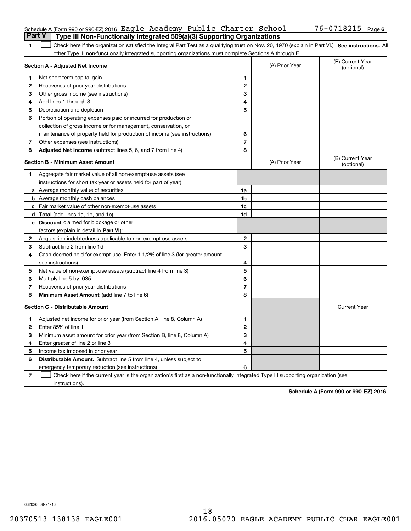|              | Schedule A (Form 990 or 990-EZ) 2016 Eagle Academy Public Charter School<br><b>Part V</b><br>Type III Non-Functionally Integrated 509(a)(3) Supporting Organizations |                |                | 76-0718215 Page 6              |
|--------------|----------------------------------------------------------------------------------------------------------------------------------------------------------------------|----------------|----------------|--------------------------------|
|              |                                                                                                                                                                      |                |                |                                |
| 1.           | Check here if the organization satisfied the Integral Part Test as a qualifying trust on Nov. 20, 1970 (explain in Part VI.) See instructions. All                   |                |                |                                |
|              | other Type III non-functionally integrated supporting organizations must complete Sections A through E.<br>Section A - Adjusted Net Income                           |                | (A) Prior Year | (B) Current Year<br>(optional) |
| 1            | Net short-term capital gain                                                                                                                                          | 1.             |                |                                |
| 2            | Recoveries of prior-year distributions                                                                                                                               | $\mathbf 2$    |                |                                |
| 3            | Other gross income (see instructions)                                                                                                                                | 3              |                |                                |
| 4            | Add lines 1 through 3                                                                                                                                                | 4              |                |                                |
| 5.           | Depreciation and depletion                                                                                                                                           | 5              |                |                                |
| 6            | Portion of operating expenses paid or incurred for production or                                                                                                     |                |                |                                |
|              | collection of gross income or for management, conservation, or                                                                                                       |                |                |                                |
|              | maintenance of property held for production of income (see instructions)                                                                                             | 6              |                |                                |
| $\mathbf{7}$ | Other expenses (see instructions)                                                                                                                                    | $\overline{7}$ |                |                                |
| 8            | Adjusted Net Income (subtract lines 5, 6, and 7 from line 4)                                                                                                         | 8              |                |                                |
|              | <b>Section B - Minimum Asset Amount</b>                                                                                                                              |                | (A) Prior Year | (B) Current Year<br>(optional) |
| 1            | Aggregate fair market value of all non-exempt-use assets (see                                                                                                        |                |                |                                |
|              | instructions for short tax year or assets held for part of year):                                                                                                    |                |                |                                |
|              | <b>a</b> Average monthly value of securities                                                                                                                         | 1a             |                |                                |
|              | <b>b</b> Average monthly cash balances                                                                                                                               | 1b             |                |                                |
|              | c Fair market value of other non-exempt-use assets                                                                                                                   | 1c             |                |                                |
|              | <b>d</b> Total (add lines 1a, 1b, and 1c)                                                                                                                            | 1d             |                |                                |
|              | e Discount claimed for blockage or other                                                                                                                             |                |                |                                |
|              | factors (explain in detail in <b>Part VI</b> ):                                                                                                                      |                |                |                                |
|              | 2 Acquisition indebtedness applicable to non-exempt-use assets                                                                                                       | $\mathbf{2}$   |                |                                |
| З.           | Subtract line 2 from line 1d                                                                                                                                         | 3              |                |                                |
| 4            | Cash deemed held for exempt use. Enter 1-1/2% of line 3 (for greater amount,                                                                                         |                |                |                                |
|              | see instructions)                                                                                                                                                    | 4              |                |                                |
| 5.           | Net value of non-exempt-use assets (subtract line 4 from line 3)                                                                                                     | 5              |                |                                |
| 6            | Multiply line 5 by .035                                                                                                                                              | 6              |                |                                |
| 7            | Recoveries of prior-year distributions                                                                                                                               | $\overline{7}$ |                |                                |
| 8            | Minimum Asset Amount (add line 7 to line 6)                                                                                                                          | 8              |                |                                |
|              | <b>Section C - Distributable Amount</b>                                                                                                                              |                |                | <b>Current Year</b>            |
| 1.           | Adjusted net income for prior year (from Section A, line 8, Column A)                                                                                                | 1              |                |                                |
| 2            | Enter 85% of line 1                                                                                                                                                  | 2              |                |                                |
| 3            | Minimum asset amount for prior year (from Section B, line 8, Column A)                                                                                               | 3              |                |                                |
| 4            | Enter greater of line 2 or line 3                                                                                                                                    | 4              |                |                                |
| 5            | Income tax imposed in prior year                                                                                                                                     | 5              |                |                                |
| 6            | Distributable Amount. Subtract line 5 from line 4, unless subject to                                                                                                 |                |                |                                |
|              | emergency temporary reduction (see instructions)                                                                                                                     | 6              |                |                                |
| 7            | Check here if the current year is the organization's first as a non-functionally integrated Type III supporting organization (see                                    |                |                |                                |

instructions).

**Schedule A (Form 990 or 990-EZ) 2016**

632026 09-21-16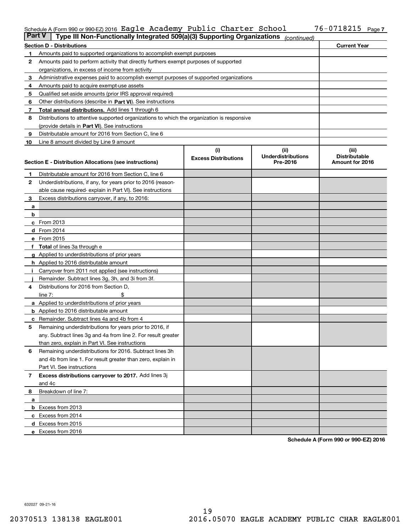#### Schedule A (Form 990 or 990-EZ)2016 Eagle Academy Public Charter School 76-0718215 Page Eagle Academy Public Charter School 76-0718215

| <b>Part V</b> | Type III Non-Functionally Integrated 509(a)(3) Supporting Organizations                    |                             | (continued)                        |                               |  |  |  |  |
|---------------|--------------------------------------------------------------------------------------------|-----------------------------|------------------------------------|-------------------------------|--|--|--|--|
|               | <b>Section D - Distributions</b>                                                           |                             |                                    | <b>Current Year</b>           |  |  |  |  |
| 1             | Amounts paid to supported organizations to accomplish exempt purposes                      |                             |                                    |                               |  |  |  |  |
| 2             | Amounts paid to perform activity that directly furthers exempt purposes of supported       |                             |                                    |                               |  |  |  |  |
|               | organizations, in excess of income from activity                                           |                             |                                    |                               |  |  |  |  |
| 3             | Administrative expenses paid to accomplish exempt purposes of supported organizations      |                             |                                    |                               |  |  |  |  |
| 4             | Amounts paid to acquire exempt-use assets                                                  |                             |                                    |                               |  |  |  |  |
| 5             | Qualified set-aside amounts (prior IRS approval required)                                  |                             |                                    |                               |  |  |  |  |
| 6             | Other distributions (describe in Part VI). See instructions                                |                             |                                    |                               |  |  |  |  |
| 7             | Total annual distributions. Add lines 1 through 6                                          |                             |                                    |                               |  |  |  |  |
| 8             | Distributions to attentive supported organizations to which the organization is responsive |                             |                                    |                               |  |  |  |  |
|               | (provide details in Part VI). See instructions                                             |                             |                                    |                               |  |  |  |  |
| 9             | Distributable amount for 2016 from Section C, line 6                                       |                             |                                    |                               |  |  |  |  |
| 10            | Line 8 amount divided by Line 9 amount                                                     |                             |                                    |                               |  |  |  |  |
|               |                                                                                            | (i)                         | (iii)<br><b>Underdistributions</b> | (iii)<br><b>Distributable</b> |  |  |  |  |
|               | Section E - Distribution Allocations (see instructions)                                    | <b>Excess Distributions</b> | Pre-2016                           | Amount for 2016               |  |  |  |  |
| 1             | Distributable amount for 2016 from Section C, line 6                                       |                             |                                    |                               |  |  |  |  |
| 2             | Underdistributions, if any, for years prior to 2016 (reason-                               |                             |                                    |                               |  |  |  |  |
|               | able cause required-explain in Part VI). See instructions                                  |                             |                                    |                               |  |  |  |  |
| 3             | Excess distributions carryover, if any, to 2016:                                           |                             |                                    |                               |  |  |  |  |
| а             |                                                                                            |                             |                                    |                               |  |  |  |  |
| b             |                                                                                            |                             |                                    |                               |  |  |  |  |
|               | $c$ From 2013                                                                              |                             |                                    |                               |  |  |  |  |
|               | d From 2014                                                                                |                             |                                    |                               |  |  |  |  |
|               | e From 2015                                                                                |                             |                                    |                               |  |  |  |  |
|               | <b>Total</b> of lines 3a through e                                                         |                             |                                    |                               |  |  |  |  |
|               | <b>g</b> Applied to underdistributions of prior years                                      |                             |                                    |                               |  |  |  |  |
|               | h Applied to 2016 distributable amount                                                     |                             |                                    |                               |  |  |  |  |
|               | Carryover from 2011 not applied (see instructions)                                         |                             |                                    |                               |  |  |  |  |
|               | Remainder. Subtract lines 3g, 3h, and 3i from 3f.                                          |                             |                                    |                               |  |  |  |  |
| 4             | Distributions for 2016 from Section D,                                                     |                             |                                    |                               |  |  |  |  |
|               | line $7:$                                                                                  |                             |                                    |                               |  |  |  |  |
|               | <b>a</b> Applied to underdistributions of prior years                                      |                             |                                    |                               |  |  |  |  |
|               | <b>b</b> Applied to 2016 distributable amount                                              |                             |                                    |                               |  |  |  |  |
|               | c Remainder. Subtract lines 4a and 4b from 4                                               |                             |                                    |                               |  |  |  |  |
| 5             | Remaining underdistributions for years prior to 2016, if                                   |                             |                                    |                               |  |  |  |  |
|               | any. Subtract lines 3g and 4a from line 2. For result greater                              |                             |                                    |                               |  |  |  |  |
|               | than zero, explain in Part VI. See instructions                                            |                             |                                    |                               |  |  |  |  |
| 6             | Remaining underdistributions for 2016. Subtract lines 3h                                   |                             |                                    |                               |  |  |  |  |
|               | and 4b from line 1. For result greater than zero, explain in                               |                             |                                    |                               |  |  |  |  |
|               | Part VI. See instructions                                                                  |                             |                                    |                               |  |  |  |  |
| 7             | Excess distributions carryover to 2017. Add lines 3j<br>and 4c                             |                             |                                    |                               |  |  |  |  |
| 8             | Breakdown of line 7:                                                                       |                             |                                    |                               |  |  |  |  |
| а             |                                                                                            |                             |                                    |                               |  |  |  |  |
|               | <b>b</b> Excess from 2013                                                                  |                             |                                    |                               |  |  |  |  |
|               | c Excess from 2014                                                                         |                             |                                    |                               |  |  |  |  |
|               | d Excess from 2015                                                                         |                             |                                    |                               |  |  |  |  |
|               | e Excess from 2016                                                                         |                             |                                    |                               |  |  |  |  |

**Schedule A (Form 990 or 990-EZ) 2016**

632027 09-21-16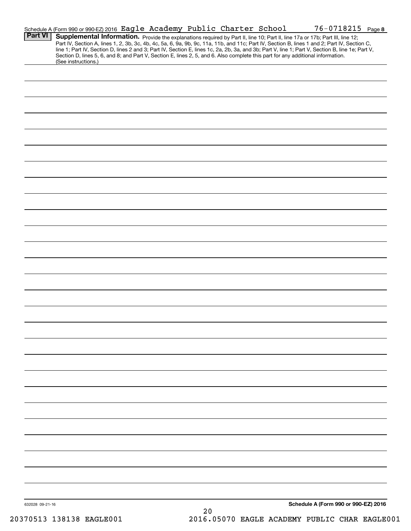|                 | Schedule A (Form 990 or 990-EZ) 2016 Eagle Academy Public Charter School                                                                               |  |    |  | $76 - 0718215$ Page 8                                                                                                                            |  |
|-----------------|--------------------------------------------------------------------------------------------------------------------------------------------------------|--|----|--|--------------------------------------------------------------------------------------------------------------------------------------------------|--|
| <b>Part VI</b>  | Supplemental Information. Provide the explanations required by Part II, line 10; Part II, line 17a or 17b; Part III, line 12;                          |  |    |  | Part IV, Section A, lines 1, 2, 3b, 3c, 4b, 4c, 5a, 6, 9a, 9b, 9c, 11a, 11b, and 11c; Part IV, Section B, lines 1 and 2; Part IV, Section C,     |  |
|                 | Section D, lines 5, 6, and 8; and Part V, Section E, lines 2, 5, and 6. Also complete this part for any additional information.<br>(See instructions.) |  |    |  | line 1; Part IV, Section D, lines 2 and 3; Part IV, Section E, lines 1c, 2a, 2b, 3a, and 3b; Part V, line 1; Part V, Section B, line 1e; Part V, |  |
|                 |                                                                                                                                                        |  |    |  |                                                                                                                                                  |  |
|                 |                                                                                                                                                        |  |    |  |                                                                                                                                                  |  |
|                 |                                                                                                                                                        |  |    |  |                                                                                                                                                  |  |
|                 |                                                                                                                                                        |  |    |  |                                                                                                                                                  |  |
|                 |                                                                                                                                                        |  |    |  |                                                                                                                                                  |  |
|                 |                                                                                                                                                        |  |    |  |                                                                                                                                                  |  |
|                 |                                                                                                                                                        |  |    |  |                                                                                                                                                  |  |
|                 |                                                                                                                                                        |  |    |  |                                                                                                                                                  |  |
|                 |                                                                                                                                                        |  |    |  |                                                                                                                                                  |  |
|                 |                                                                                                                                                        |  |    |  |                                                                                                                                                  |  |
|                 |                                                                                                                                                        |  |    |  |                                                                                                                                                  |  |
|                 |                                                                                                                                                        |  |    |  |                                                                                                                                                  |  |
|                 |                                                                                                                                                        |  |    |  |                                                                                                                                                  |  |
|                 |                                                                                                                                                        |  |    |  |                                                                                                                                                  |  |
|                 |                                                                                                                                                        |  |    |  |                                                                                                                                                  |  |
|                 |                                                                                                                                                        |  |    |  |                                                                                                                                                  |  |
|                 |                                                                                                                                                        |  |    |  |                                                                                                                                                  |  |
|                 |                                                                                                                                                        |  |    |  |                                                                                                                                                  |  |
|                 |                                                                                                                                                        |  |    |  |                                                                                                                                                  |  |
|                 |                                                                                                                                                        |  |    |  |                                                                                                                                                  |  |
|                 |                                                                                                                                                        |  |    |  |                                                                                                                                                  |  |
|                 |                                                                                                                                                        |  |    |  |                                                                                                                                                  |  |
|                 |                                                                                                                                                        |  |    |  |                                                                                                                                                  |  |
|                 |                                                                                                                                                        |  |    |  |                                                                                                                                                  |  |
|                 |                                                                                                                                                        |  |    |  |                                                                                                                                                  |  |
|                 |                                                                                                                                                        |  |    |  |                                                                                                                                                  |  |
|                 |                                                                                                                                                        |  |    |  |                                                                                                                                                  |  |
|                 |                                                                                                                                                        |  |    |  |                                                                                                                                                  |  |
|                 |                                                                                                                                                        |  |    |  |                                                                                                                                                  |  |
|                 |                                                                                                                                                        |  |    |  |                                                                                                                                                  |  |
| 632028 09-21-16 |                                                                                                                                                        |  | 20 |  | Schedule A (Form 990 or 990-EZ) 2016                                                                                                             |  |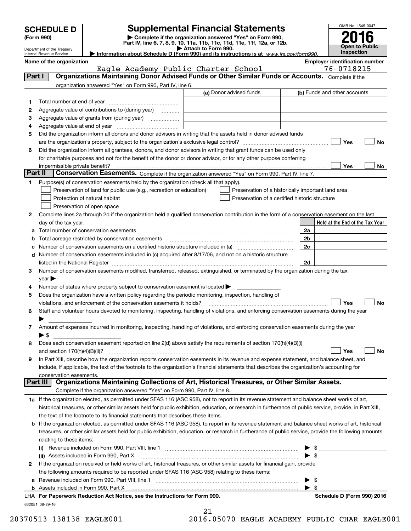| <b>SCHEDULE D</b> |  |
|-------------------|--|
|-------------------|--|

## **Supplemental Financial Statements**

(Form 990)<br>
Pepartment of the Treasury<br>
Department of the Treasury<br>
Department of the Treasury<br>
Information about Schedule D (Form 990) and its instructions is at www.irs.gov/form990.



|         | Department of the Treasury<br>Internal Revenue Service                                                             |                                                                                                        | Attach to Form 990.<br>Information about Schedule D (Form 990) and its instructions is at www.irs.gov/form990.                                                                                                                |                          | Open to Public<br><b>Inspection</b>   |  |
|---------|--------------------------------------------------------------------------------------------------------------------|--------------------------------------------------------------------------------------------------------|-------------------------------------------------------------------------------------------------------------------------------------------------------------------------------------------------------------------------------|--------------------------|---------------------------------------|--|
|         | Name of the organization                                                                                           |                                                                                                        |                                                                                                                                                                                                                               |                          | <b>Employer identification number</b> |  |
|         |                                                                                                                    | Eagle Academy Public Charter School                                                                    |                                                                                                                                                                                                                               |                          | 76-0718215                            |  |
| Part I  |                                                                                                                    |                                                                                                        | Organizations Maintaining Donor Advised Funds or Other Similar Funds or Accounts. Complete if the                                                                                                                             |                          |                                       |  |
|         |                                                                                                                    | organization answered "Yes" on Form 990, Part IV, line 6.                                              |                                                                                                                                                                                                                               |                          |                                       |  |
|         |                                                                                                                    |                                                                                                        | (a) Donor advised funds                                                                                                                                                                                                       |                          | (b) Funds and other accounts          |  |
| 1       |                                                                                                                    |                                                                                                        |                                                                                                                                                                                                                               |                          |                                       |  |
| 2       |                                                                                                                    | Aggregate value of contributions to (during year)                                                      |                                                                                                                                                                                                                               |                          |                                       |  |
| 3       |                                                                                                                    | Aggregate value of grants from (during year)                                                           |                                                                                                                                                                                                                               |                          |                                       |  |
| 4       |                                                                                                                    |                                                                                                        |                                                                                                                                                                                                                               |                          |                                       |  |
| 5       |                                                                                                                    |                                                                                                        | Did the organization inform all donors and donor advisors in writing that the assets held in donor advised funds                                                                                                              |                          |                                       |  |
|         |                                                                                                                    |                                                                                                        |                                                                                                                                                                                                                               |                          | Yes<br>No                             |  |
| 6       | Did the organization inform all grantees, donors, and donor advisors in writing that grant funds can be used only  |                                                                                                        |                                                                                                                                                                                                                               |                          |                                       |  |
|         | for charitable purposes and not for the benefit of the donor or donor advisor, or for any other purpose conferring |                                                                                                        |                                                                                                                                                                                                                               |                          |                                       |  |
|         | impermissible private benefit?                                                                                     |                                                                                                        |                                                                                                                                                                                                                               |                          | Yes<br>No                             |  |
| Part II |                                                                                                                    |                                                                                                        | Conservation Easements. Complete if the organization answered "Yes" on Form 990, Part IV, line 7.                                                                                                                             |                          |                                       |  |
| 1       |                                                                                                                    | Purpose(s) of conservation easements held by the organization (check all that apply).                  |                                                                                                                                                                                                                               |                          |                                       |  |
|         |                                                                                                                    | Preservation of land for public use (e.g., recreation or education)                                    | Preservation of a historically important land area                                                                                                                                                                            |                          |                                       |  |
|         |                                                                                                                    | Protection of natural habitat                                                                          | Preservation of a certified historic structure                                                                                                                                                                                |                          |                                       |  |
|         |                                                                                                                    | Preservation of open space                                                                             |                                                                                                                                                                                                                               |                          |                                       |  |
| 2       |                                                                                                                    |                                                                                                        | Complete lines 2a through 2d if the organization held a qualified conservation contribution in the form of a conservation easement on the last                                                                                |                          |                                       |  |
|         | day of the tax year.                                                                                               |                                                                                                        |                                                                                                                                                                                                                               |                          | Held at the End of the Tax Year       |  |
| a       |                                                                                                                    | Total number of conservation easements                                                                 |                                                                                                                                                                                                                               | 2a                       |                                       |  |
| b       |                                                                                                                    | Total acreage restricted by conservation easements                                                     |                                                                                                                                                                                                                               | 2b                       |                                       |  |
| с       |                                                                                                                    |                                                                                                        |                                                                                                                                                                                                                               | 2c                       |                                       |  |
| d       |                                                                                                                    |                                                                                                        | Number of conservation easements included in (c) acquired after 8/17/06, and not on a historic structure                                                                                                                      |                          |                                       |  |
|         |                                                                                                                    |                                                                                                        | listed in the National Register [111] Marshall Register [11] Marshall Register [11] Marshall Register [11] Marshall Register [11] Marshall Register [11] Marshall Register [11] Marshall Register [11] Marshall Register [11] | 2d                       |                                       |  |
| 3       |                                                                                                                    |                                                                                                        | Number of conservation easements modified, transferred, released, extinguished, or terminated by the organization during the tax                                                                                              |                          |                                       |  |
|         | year $\blacktriangleright$                                                                                         |                                                                                                        |                                                                                                                                                                                                                               |                          |                                       |  |
| 4       |                                                                                                                    | Number of states where property subject to conservation easement is located >                          |                                                                                                                                                                                                                               |                          |                                       |  |
| 5       |                                                                                                                    | Does the organization have a written policy regarding the periodic monitoring, inspection, handling of |                                                                                                                                                                                                                               |                          |                                       |  |
|         |                                                                                                                    | violations, and enforcement of the conservation easements it holds?                                    |                                                                                                                                                                                                                               |                          | No<br>Yes                             |  |
| 6       |                                                                                                                    |                                                                                                        | Staff and volunteer hours devoted to monitoring, inspecting, handling of violations, and enforcing conservation easements during the year                                                                                     |                          |                                       |  |
|         |                                                                                                                    |                                                                                                        |                                                                                                                                                                                                                               |                          |                                       |  |
| 7       |                                                                                                                    |                                                                                                        | Amount of expenses incurred in monitoring, inspecting, handling of violations, and enforcing conservation easements during the year                                                                                           |                          |                                       |  |
|         | $\blacktriangleright$ \$                                                                                           |                                                                                                        |                                                                                                                                                                                                                               |                          |                                       |  |
| 8       |                                                                                                                    |                                                                                                        | Does each conservation easement reported on line 2(d) above satisfy the requirements of section 170(h)(4)(B)(i)                                                                                                               |                          |                                       |  |
|         | and section $170(h)(4)(B)(ii)?$                                                                                    |                                                                                                        |                                                                                                                                                                                                                               |                          | No<br>Yes                             |  |
| 9       |                                                                                                                    |                                                                                                        | In Part XIII, describe how the organization reports conservation easements in its revenue and expense statement, and balance sheet, and                                                                                       |                          |                                       |  |
|         |                                                                                                                    |                                                                                                        | include, if applicable, the text of the footnote to the organization's financial statements that describes the organization's accounting for                                                                                  |                          |                                       |  |
|         | conservation easements.                                                                                            |                                                                                                        |                                                                                                                                                                                                                               |                          |                                       |  |
|         | Part III                                                                                                           |                                                                                                        | Organizations Maintaining Collections of Art, Historical Treasures, or Other Similar Assets.                                                                                                                                  |                          |                                       |  |
|         |                                                                                                                    | Complete if the organization answered "Yes" on Form 990, Part IV, line 8.                              |                                                                                                                                                                                                                               |                          |                                       |  |
|         |                                                                                                                    |                                                                                                        | 1a If the organization elected, as permitted under SFAS 116 (ASC 958), not to report in its revenue statement and balance sheet works of art,                                                                                 |                          |                                       |  |
|         |                                                                                                                    |                                                                                                        | historical treasures, or other similar assets held for public exhibition, education, or research in furtherance of public service, provide, in Part XIII,                                                                     |                          |                                       |  |
|         |                                                                                                                    | the text of the footnote to its financial statements that describes these items.                       |                                                                                                                                                                                                                               |                          |                                       |  |
| b       |                                                                                                                    |                                                                                                        | If the organization elected, as permitted under SFAS 116 (ASC 958), to report in its revenue statement and balance sheet works of art, historical                                                                             |                          |                                       |  |
|         |                                                                                                                    |                                                                                                        | treasures, or other similar assets held for public exhibition, education, or research in furtherance of public service, provide the following amounts                                                                         |                          |                                       |  |
|         | relating to these items:                                                                                           |                                                                                                        |                                                                                                                                                                                                                               |                          |                                       |  |
|         |                                                                                                                    |                                                                                                        |                                                                                                                                                                                                                               |                          | \$                                    |  |
|         |                                                                                                                    | (ii) Assets included in Form 990, Part X                                                               |                                                                                                                                                                                                                               |                          | -\$                                   |  |
| 2       |                                                                                                                    |                                                                                                        | If the organization received or held works of art, historical treasures, or other similar assets for financial gain, provide                                                                                                  |                          |                                       |  |
|         |                                                                                                                    | the following amounts required to be reported under SFAS 116 (ASC 958) relating to these items:        |                                                                                                                                                                                                                               |                          |                                       |  |
| а       |                                                                                                                    | Revenue included on Form 990, Part VIII, line 1                                                        |                                                                                                                                                                                                                               | $\blacktriangleright$ \$ |                                       |  |

**b** Assets included in Form 990, Part X

632051 08-29-16 **For Paperwork Reduction Act Notice, see the Instructions for Form 990. Schedule D (Form 990) 2016** LHA

21

20370513 138138 EAGLE001 2016.05070 EAGLE ACADEMY PUBLIC CHAR EAGLE001

 $\blacktriangleright$  \$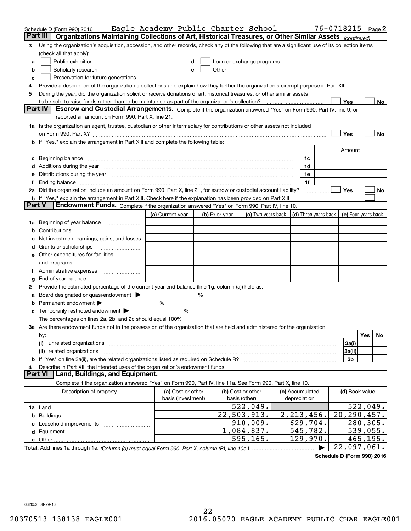|               | Schedule D (Form 990) 2016                                                                                                                                                                                                  | Eagle Academy Public Charter School |                |                                                                                                                                                                                                                                |                      | $76 - 0718215$ Page 2 |                  |
|---------------|-----------------------------------------------------------------------------------------------------------------------------------------------------------------------------------------------------------------------------|-------------------------------------|----------------|--------------------------------------------------------------------------------------------------------------------------------------------------------------------------------------------------------------------------------|----------------------|-----------------------|------------------|
| Part III      | Organizations Maintaining Collections of Art, Historical Treasures, or Other Similar Assets (continued)                                                                                                                     |                                     |                |                                                                                                                                                                                                                                |                      |                       |                  |
| 3             | Using the organization's acquisition, accession, and other records, check any of the following that are a significant use of its collection items                                                                           |                                     |                |                                                                                                                                                                                                                                |                      |                       |                  |
|               | (check all that apply):                                                                                                                                                                                                     |                                     |                |                                                                                                                                                                                                                                |                      |                       |                  |
| a             | Public exhibition                                                                                                                                                                                                           | d                                   |                | Loan or exchange programs                                                                                                                                                                                                      |                      |                       |                  |
| b             | Scholarly research                                                                                                                                                                                                          | е                                   |                | Other the contract of the contract of the contract of the contract of the contract of the contract of the contract of the contract of the contract of the contract of the contract of the contract of the contract of the cont |                      |                       |                  |
| c             | Preservation for future generations                                                                                                                                                                                         |                                     |                |                                                                                                                                                                                                                                |                      |                       |                  |
| 4             | Provide a description of the organization's collections and explain how they further the organization's exempt purpose in Part XIII.                                                                                        |                                     |                |                                                                                                                                                                                                                                |                      |                       |                  |
| 5             | During the year, did the organization solicit or receive donations of art, historical treasures, or other similar assets                                                                                                    |                                     |                |                                                                                                                                                                                                                                |                      |                       |                  |
|               |                                                                                                                                                                                                                             |                                     |                |                                                                                                                                                                                                                                |                      | Yes                   | No               |
|               | Part IV<br>Escrow and Custodial Arrangements. Complete if the organization answered "Yes" on Form 990, Part IV, line 9, or                                                                                                  |                                     |                |                                                                                                                                                                                                                                |                      |                       |                  |
|               | reported an amount on Form 990, Part X, line 21.                                                                                                                                                                            |                                     |                |                                                                                                                                                                                                                                |                      |                       |                  |
|               | 1a Is the organization an agent, trustee, custodian or other intermediary for contributions or other assets not included                                                                                                    |                                     |                |                                                                                                                                                                                                                                |                      |                       |                  |
|               |                                                                                                                                                                                                                             |                                     |                |                                                                                                                                                                                                                                |                      | Yes                   | No               |
|               | If "Yes," explain the arrangement in Part XIII and complete the following table:                                                                                                                                            |                                     |                |                                                                                                                                                                                                                                |                      |                       |                  |
|               |                                                                                                                                                                                                                             |                                     |                |                                                                                                                                                                                                                                |                      | Amount                |                  |
| c             | Beginning balance <b>contract to the contract of the contract of the contract of the contract of the contract of t</b>                                                                                                      |                                     |                |                                                                                                                                                                                                                                | 1c                   |                       |                  |
|               |                                                                                                                                                                                                                             |                                     |                |                                                                                                                                                                                                                                | 1d                   |                       |                  |
| е             | Distributions during the year manufactured and continuum and contained and the year manufactured and contained                                                                                                              |                                     |                |                                                                                                                                                                                                                                | 1e                   |                       |                  |
|               |                                                                                                                                                                                                                             |                                     |                |                                                                                                                                                                                                                                | 1f                   |                       |                  |
|               | 2a Did the organization include an amount on Form 990, Part X, line 21, for escrow or custodial account liability?                                                                                                          |                                     |                |                                                                                                                                                                                                                                |                      | Yes                   | No               |
| <b>Part V</b> | <b>b</b> If "Yes," explain the arrangement in Part XIII. Check here if the explanation has been provided on Part XIII<br><b>Endowment Funds.</b> Complete if the organization answered "Yes" on Form 990, Part IV, line 10. |                                     |                |                                                                                                                                                                                                                                |                      |                       |                  |
|               |                                                                                                                                                                                                                             | (a) Current year                    | (b) Prior year | (c) Two years back                                                                                                                                                                                                             | (d) Three years back | (e) Four years back   |                  |
|               | Beginning of year balance                                                                                                                                                                                                   |                                     |                |                                                                                                                                                                                                                                |                      |                       |                  |
| 1a            |                                                                                                                                                                                                                             |                                     |                |                                                                                                                                                                                                                                |                      |                       |                  |
|               | Net investment earnings, gains, and losses                                                                                                                                                                                  |                                     |                |                                                                                                                                                                                                                                |                      |                       |                  |
| a             |                                                                                                                                                                                                                             |                                     |                |                                                                                                                                                                                                                                |                      |                       |                  |
|               | e Other expenditures for facilities                                                                                                                                                                                         |                                     |                |                                                                                                                                                                                                                                |                      |                       |                  |
|               | and programs                                                                                                                                                                                                                |                                     |                |                                                                                                                                                                                                                                |                      |                       |                  |
| Ť.            |                                                                                                                                                                                                                             |                                     |                |                                                                                                                                                                                                                                |                      |                       |                  |
| g             | End of year balance                                                                                                                                                                                                         |                                     |                |                                                                                                                                                                                                                                |                      |                       |                  |
| 2             | Provide the estimated percentage of the current year end balance (line 1g, column (a)) held as:                                                                                                                             |                                     |                |                                                                                                                                                                                                                                |                      |                       |                  |
| а             | Board designated or quasi-endowment > _____                                                                                                                                                                                 |                                     |                |                                                                                                                                                                                                                                |                      |                       |                  |
| b             | Permanent endowment                                                                                                                                                                                                         | %                                   |                |                                                                                                                                                                                                                                |                      |                       |                  |
| c             | Temporarily restricted endowment > ____                                                                                                                                                                                     | %                                   |                |                                                                                                                                                                                                                                |                      |                       |                  |
|               | The percentages on lines 2a, 2b, and 2c should equal 100%.                                                                                                                                                                  |                                     |                |                                                                                                                                                                                                                                |                      |                       |                  |
|               | 3a Are there endowment funds not in the possession of the organization that are held and administered for the organization                                                                                                  |                                     |                |                                                                                                                                                                                                                                |                      |                       |                  |
|               | by:                                                                                                                                                                                                                         |                                     |                |                                                                                                                                                                                                                                |                      |                       | <b>Yes</b><br>No |
|               | (i)                                                                                                                                                                                                                         |                                     |                |                                                                                                                                                                                                                                |                      | 3a(i)                 |                  |
|               | related organizations<br>(ii)                                                                                                                                                                                               |                                     |                |                                                                                                                                                                                                                                |                      | 3a(ii)                |                  |
|               |                                                                                                                                                                                                                             |                                     |                |                                                                                                                                                                                                                                |                      | 3b                    |                  |
| 4             | Describe in Part XIII the intended uses of the organization's endowment funds.                                                                                                                                              |                                     |                |                                                                                                                                                                                                                                |                      |                       |                  |
|               | <b>Part VI</b><br>Land, Buildings, and Equipment.                                                                                                                                                                           |                                     |                |                                                                                                                                                                                                                                |                      |                       |                  |
|               | Complete if the organization answered "Yes" on Form 990, Part IV, line 11a. See Form 990, Part X, line 10.                                                                                                                  |                                     |                |                                                                                                                                                                                                                                |                      |                       |                  |
|               | Description of property                                                                                                                                                                                                     | (a) Cost or other                   |                | (b) Cost or other                                                                                                                                                                                                              | (c) Accumulated      | (d) Book value        |                  |
|               |                                                                                                                                                                                                                             | basis (investment)                  |                | basis (other)                                                                                                                                                                                                                  | depreciation         |                       |                  |
|               |                                                                                                                                                                                                                             |                                     |                | 522,049.                                                                                                                                                                                                                       |                      |                       | 522,049.         |
|               |                                                                                                                                                                                                                             |                                     |                | 22,503,913.                                                                                                                                                                                                                    | 2, 213, 456.         | 20, 290, 457.         |                  |
|               |                                                                                                                                                                                                                             |                                     |                | 910,009.                                                                                                                                                                                                                       | 629,704.             |                       | 280,305.         |
|               |                                                                                                                                                                                                                             |                                     |                | 1,084,837.                                                                                                                                                                                                                     | 545,782.             |                       | 539,055.         |
|               |                                                                                                                                                                                                                             |                                     |                | $\overline{595, 165}$ .                                                                                                                                                                                                        | 129,970.             |                       | 465,195.         |
|               |                                                                                                                                                                                                                             |                                     |                |                                                                                                                                                                                                                                |                      | 22,097,061.           |                  |

**Schedule D (Form 990) 2016**

632052 08-29-16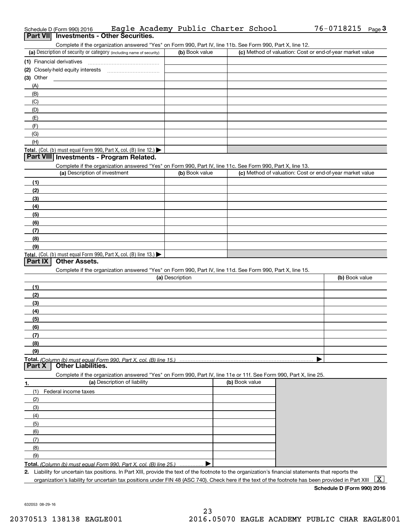|                | Schedule D (Form 990) 2016                                                                                        | Eagle Academy Public Charter School |                | 76-0718215<br>Page $3$                                    |
|----------------|-------------------------------------------------------------------------------------------------------------------|-------------------------------------|----------------|-----------------------------------------------------------|
|                | Part VII Investments - Other Securities.                                                                          |                                     |                |                                                           |
|                | Complete if the organization answered "Yes" on Form 990, Part IV, line 11b. See Form 990, Part X, line 12.        |                                     |                |                                                           |
|                | (a) Description of security or category (including name of security)                                              | (b) Book value                      |                | (c) Method of valuation: Cost or end-of-year market value |
|                |                                                                                                                   |                                     |                |                                                           |
|                |                                                                                                                   |                                     |                |                                                           |
| (3) Other      |                                                                                                                   |                                     |                |                                                           |
| (A)            |                                                                                                                   |                                     |                |                                                           |
| (B)            |                                                                                                                   |                                     |                |                                                           |
| (C)            |                                                                                                                   |                                     |                |                                                           |
| (D)            |                                                                                                                   |                                     |                |                                                           |
| (E)            |                                                                                                                   |                                     |                |                                                           |
| (F)            |                                                                                                                   |                                     |                |                                                           |
| (G)            |                                                                                                                   |                                     |                |                                                           |
| (H)            |                                                                                                                   |                                     |                |                                                           |
|                | Total. (Col. (b) must equal Form 990, Part X, col. (B) line 12.)                                                  |                                     |                |                                                           |
|                | Part VIII Investments - Program Related.                                                                          |                                     |                |                                                           |
|                | Complete if the organization answered "Yes" on Form 990, Part IV, line 11c. See Form 990, Part X, line 13.        |                                     |                |                                                           |
|                | (a) Description of investment                                                                                     | (b) Book value                      |                | (c) Method of valuation: Cost or end-of-year market value |
| (1)            |                                                                                                                   |                                     |                |                                                           |
| (2)            |                                                                                                                   |                                     |                |                                                           |
| (3)            |                                                                                                                   |                                     |                |                                                           |
| (4)            |                                                                                                                   |                                     |                |                                                           |
| (5)            |                                                                                                                   |                                     |                |                                                           |
| (6)            |                                                                                                                   |                                     |                |                                                           |
| (7)            |                                                                                                                   |                                     |                |                                                           |
| (8)            |                                                                                                                   |                                     |                |                                                           |
| (9)            |                                                                                                                   |                                     |                |                                                           |
|                | Total. (Col. (b) must equal Form 990, Part X, col. (B) line 13.)                                                  |                                     |                |                                                           |
| <b>Part IX</b> | <b>Other Assets.</b>                                                                                              |                                     |                |                                                           |
|                | Complete if the organization answered "Yes" on Form 990, Part IV, line 11d. See Form 990, Part X, line 15.        |                                     |                |                                                           |
|                |                                                                                                                   | (a) Description                     |                | (b) Book value                                            |
| (1)            |                                                                                                                   |                                     |                |                                                           |
| (2)            |                                                                                                                   |                                     |                |                                                           |
| (3)            |                                                                                                                   |                                     |                |                                                           |
| (4)            |                                                                                                                   |                                     |                |                                                           |
| (5)            |                                                                                                                   |                                     |                |                                                           |
| (6)            |                                                                                                                   |                                     |                |                                                           |
| (7)            |                                                                                                                   |                                     |                |                                                           |
| (8)            |                                                                                                                   |                                     |                |                                                           |
| (9)            |                                                                                                                   |                                     |                |                                                           |
|                | Total. (Column (b) must equal Form 990. Part X, col. (B) line 15.)                                                |                                     |                |                                                           |
| <b>Part X</b>  | <b>Other Liabilities.</b>                                                                                         |                                     |                |                                                           |
|                | Complete if the organization answered "Yes" on Form 990, Part IV, line 11e or 11f. See Form 990, Part X, line 25. |                                     |                |                                                           |
| 1.             | (a) Description of liability                                                                                      |                                     | (b) Book value |                                                           |
| (1)            | Federal income taxes                                                                                              |                                     |                |                                                           |
| (2)            |                                                                                                                   |                                     |                |                                                           |
| (3)            |                                                                                                                   |                                     |                |                                                           |
| (4)            |                                                                                                                   |                                     |                |                                                           |
| (5)            |                                                                                                                   |                                     |                |                                                           |
| (6)            |                                                                                                                   |                                     |                |                                                           |
|                |                                                                                                                   |                                     |                |                                                           |
| (7)            |                                                                                                                   |                                     |                |                                                           |
|                |                                                                                                                   |                                     |                |                                                           |
| (8)            |                                                                                                                   |                                     |                |                                                           |
| (9)            | Total. (Column (b) must equal Form 990, Part X, col. (B) line 25.)                                                |                                     |                |                                                           |

organization's liability for uncertain tax positions under FIN 48 (ASC 740). Check here if the text of the footnote has been provided in Part XIII  $~\boxed{\rm X}$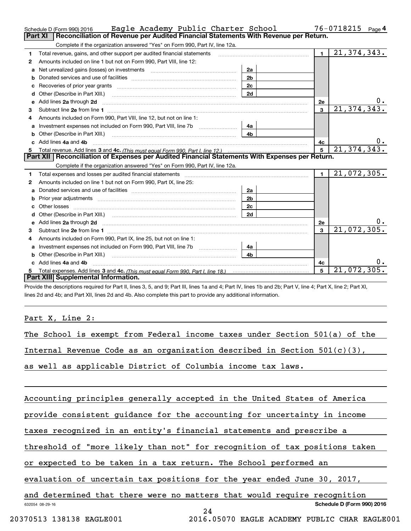|   | Eagle Academy Public Charter School<br>Schedule D (Form 990) 2016                                                                                                                                                              |                |                | 76-0718215<br>Page 4 |
|---|--------------------------------------------------------------------------------------------------------------------------------------------------------------------------------------------------------------------------------|----------------|----------------|----------------------|
|   | Reconciliation of Revenue per Audited Financial Statements With Revenue per Return.<br><b>Part XI</b>                                                                                                                          |                |                |                      |
|   | Complete if the organization answered "Yes" on Form 990, Part IV, line 12a.                                                                                                                                                    |                |                |                      |
| 1 | Total revenue, gains, and other support per audited financial statements                                                                                                                                                       |                | $\blacksquare$ | 21, 374, 343.        |
| 2 | Amounts included on line 1 but not on Form 990, Part VIII, line 12:                                                                                                                                                            |                |                |                      |
| a | Net unrealized gains (losses) on investments [11] [11] Met unrealized gains (losses) on investments                                                                                                                            | 2a             |                |                      |
| b |                                                                                                                                                                                                                                | 2 <sub>b</sub> |                |                      |
| с |                                                                                                                                                                                                                                | 2c             |                |                      |
| d |                                                                                                                                                                                                                                | 2d             |                |                      |
|   | e Add lines 2a through 2d                                                                                                                                                                                                      |                | 2e             |                      |
| 3 |                                                                                                                                                                                                                                |                | 3              | 21, 374, 343.        |
| 4 | Amounts included on Form 990, Part VIII, line 12, but not on line 1:                                                                                                                                                           |                |                |                      |
| a | Investment expenses not included on Form 990, Part VIII, line 7b [1000000000000000000000000000000000                                                                                                                           | 4a             |                |                      |
| b |                                                                                                                                                                                                                                | 4b             |                |                      |
|   | c Add lines 4a and 4b                                                                                                                                                                                                          |                | 4c             | υ.                   |
|   |                                                                                                                                                                                                                                |                | 5              | 21, 374, 343.        |
|   | Part XII   Reconciliation of Expenses per Audited Financial Statements With Expenses per Return.                                                                                                                               |                |                |                      |
|   | Complete if the organization answered "Yes" on Form 990, Part IV, line 12a.                                                                                                                                                    |                |                |                      |
| 1 | Total expenses and losses per audited financial statements [11] [12] manuscription and contract the statements [13] manuscription and the statements [13] manuscription and the statements and the statements and the statemen |                | $\blacksquare$ | 21,072,305.          |
| 2 | Amounts included on line 1 but not on Form 990, Part IX, line 25:                                                                                                                                                              |                |                |                      |
| a |                                                                                                                                                                                                                                | 2a             |                |                      |
| b |                                                                                                                                                                                                                                | 2 <sub>b</sub> |                |                      |
|   |                                                                                                                                                                                                                                | 2c             |                |                      |
| d |                                                                                                                                                                                                                                | 2d             |                |                      |
| e | Add lines 2a through 2d <b>contract and a contract and a contract a</b> contract a contract and a contract a contract a                                                                                                        |                | <b>2e</b>      | υ.                   |
| 3 |                                                                                                                                                                                                                                |                | 3              | 21,072,305.          |
| 4 | Amounts included on Form 990, Part IX, line 25, but not on line 1:                                                                                                                                                             |                |                |                      |
| a |                                                                                                                                                                                                                                | 4a             |                |                      |
| b |                                                                                                                                                                                                                                | 4 <sub>b</sub> |                |                      |
|   | Add lines 4a and 4b                                                                                                                                                                                                            |                | 4c             | 0.                   |
| 5 |                                                                                                                                                                                                                                |                | 5              | 21,072,305.          |
|   | Part XIII Supplemental Information.                                                                                                                                                                                            |                |                |                      |
|   | Provide the descriptions required for Part II, lines 3, 5, and 9; Part III, lines 1a and 4; Part IV, lines 1b and 2b; Part V, line 4; Part X, line 2; Part XI,                                                                 |                |                |                      |

lines 2d and 4b; and Part XII, lines 2d and 4b. Also complete this part to provide any additional information.

#### Part X, Line 2:

|  |  |  |  | The School is exempt from Federal income taxes under Section 501(a) of the |  |  |
|--|--|--|--|----------------------------------------------------------------------------|--|--|
|  |  |  |  |                                                                            |  |  |

Internal Revenue Code as an organization described in Section 501(c)(3),

as well as applicable District of Columbia income tax laws.

Accounting principles generally accepted in the United States of America

provide consistent guidance for the accounting for uncertainty in income

taxes recognized in an entity's financial statements and prescribe a

threshold of "more likely than not" for recognition of tax positions taken

or expected to be taken in a tax return. The School performed an

evaluation of uncertain tax positions for the year ended June 30, 2017,

632054 08-29-16 **Schedule D (Form 990) 2016** and determined that there were no matters that would require recognition

24

20370513 138138 EAGLE001 2016.05070 EAGLE ACADEMY PUBLIC CHAR EAGLE001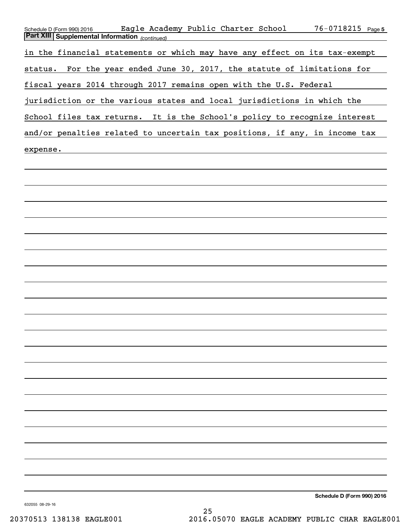| Eagle Academy Public Charter School<br>76-0718215 Page 5<br>Schedule D (Form 990) 2016<br><b>Part XIII Supplemental Information</b> (continued) |
|-------------------------------------------------------------------------------------------------------------------------------------------------|
| in the financial statements or which may have any effect on its tax-exempt                                                                      |
| For the year ended June 30, 2017, the statute of limitations for<br>status.                                                                     |
| fiscal years 2014 through 2017 remains open with the U.S. Federal                                                                               |
| jurisdiction or the various states and local jurisdictions in which the                                                                         |
| School files tax returns.<br>It is the School's policy to recognize interest                                                                    |
| and/or penalties related to uncertain tax positions, if any, in income tax                                                                      |
| expense.                                                                                                                                        |
|                                                                                                                                                 |
|                                                                                                                                                 |
|                                                                                                                                                 |
|                                                                                                                                                 |
|                                                                                                                                                 |
|                                                                                                                                                 |
|                                                                                                                                                 |
|                                                                                                                                                 |
|                                                                                                                                                 |
|                                                                                                                                                 |
|                                                                                                                                                 |
|                                                                                                                                                 |
|                                                                                                                                                 |
|                                                                                                                                                 |
|                                                                                                                                                 |
|                                                                                                                                                 |
|                                                                                                                                                 |
|                                                                                                                                                 |
|                                                                                                                                                 |
|                                                                                                                                                 |
| Schedule D (Form 990) 2016                                                                                                                      |

632055 08-29-16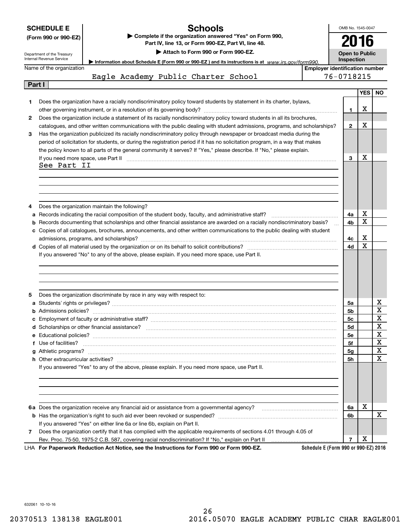|        | <b>SCHEDULE E</b><br>(Form 990 or 990-EZ)<br>Department of the Treasury<br>Internal Revenue Service | <b>Schools</b><br>Complete if the organization answered "Yes" on Form 990,<br>Part IV, line 13, or Form 990-EZ, Part VI, line 48.<br>Attach to Form 990 or Form 990-EZ.<br>Information about Schedule E (Form 990 or 990-EZ) and its instructions is at www.irs.gov/form990.                                                                                                    |                                       |            |                 |             |  |
|--------|-----------------------------------------------------------------------------------------------------|---------------------------------------------------------------------------------------------------------------------------------------------------------------------------------------------------------------------------------------------------------------------------------------------------------------------------------------------------------------------------------|---------------------------------------|------------|-----------------|-------------|--|
|        | Name of the organization                                                                            |                                                                                                                                                                                                                                                                                                                                                                                 | <b>Employer identification number</b> | Inspection |                 |             |  |
|        |                                                                                                     | Eagle Academy Public Charter School                                                                                                                                                                                                                                                                                                                                             |                                       | 76-0718215 |                 |             |  |
| Part I |                                                                                                     |                                                                                                                                                                                                                                                                                                                                                                                 |                                       |            |                 |             |  |
| 1      |                                                                                                     | Does the organization have a racially nondiscriminatory policy toward students by statement in its charter, bylaws,                                                                                                                                                                                                                                                             |                                       | 1.         | <b>YES</b><br>х | <b>NO</b>   |  |
| 2      |                                                                                                     | Does the organization include a statement of its racially nondiscriminatory policy toward students in all its brochures,<br>catalogues, and other written communications with the public dealing with student admissions, programs, and scholarships?                                                                                                                           |                                       | 2          | x               |             |  |
| 3      |                                                                                                     | Has the organization publicized its racially nondiscriminatory policy through newspaper or broadcast media during the<br>period of solicitation for students, or during the registration period if it has no solicitation program, in a way that makes<br>the policy known to all parts of the general community it serves? If "Yes," please describe. If "No," please explain. |                                       |            |                 |             |  |
|        |                                                                                                     | If you need more space, use Part II <b>manufacture and continuum and continuum and continuum and continuum and continuum</b>                                                                                                                                                                                                                                                    |                                       | 3          | х               |             |  |
|        | See Part II                                                                                         |                                                                                                                                                                                                                                                                                                                                                                                 |                                       |            |                 |             |  |
|        |                                                                                                     |                                                                                                                                                                                                                                                                                                                                                                                 |                                       |            |                 |             |  |
|        |                                                                                                     |                                                                                                                                                                                                                                                                                                                                                                                 |                                       |            |                 |             |  |
|        |                                                                                                     |                                                                                                                                                                                                                                                                                                                                                                                 |                                       |            |                 |             |  |
| 4      |                                                                                                     | Does the organization maintain the following?                                                                                                                                                                                                                                                                                                                                   |                                       |            |                 |             |  |
|        |                                                                                                     |                                                                                                                                                                                                                                                                                                                                                                                 |                                       | 4a         | x               |             |  |
|        |                                                                                                     | <b>b</b> Records documenting that scholarships and other financial assistance are awarded on a racially nondiscriminatory basis?                                                                                                                                                                                                                                                |                                       | 4b         | $\mathbf X$     |             |  |
|        |                                                                                                     | c Copies of all catalogues, brochures, announcements, and other written communications to the public dealing with student                                                                                                                                                                                                                                                       |                                       |            |                 |             |  |
|        |                                                                                                     |                                                                                                                                                                                                                                                                                                                                                                                 |                                       | 4с         | х               |             |  |
|        |                                                                                                     |                                                                                                                                                                                                                                                                                                                                                                                 |                                       | 4d         | X               |             |  |
|        |                                                                                                     | If you answered "No" to any of the above, please explain. If you need more space, use Part II.                                                                                                                                                                                                                                                                                  |                                       |            |                 |             |  |
|        |                                                                                                     |                                                                                                                                                                                                                                                                                                                                                                                 |                                       |            |                 |             |  |
|        |                                                                                                     |                                                                                                                                                                                                                                                                                                                                                                                 |                                       |            |                 |             |  |
|        |                                                                                                     |                                                                                                                                                                                                                                                                                                                                                                                 |                                       |            |                 |             |  |
|        |                                                                                                     |                                                                                                                                                                                                                                                                                                                                                                                 |                                       |            |                 |             |  |
| 5      |                                                                                                     | Does the organization discriminate by race in any way with respect to:                                                                                                                                                                                                                                                                                                          |                                       |            |                 |             |  |
|        |                                                                                                     |                                                                                                                                                                                                                                                                                                                                                                                 |                                       | 5a         |                 | x           |  |
|        |                                                                                                     |                                                                                                                                                                                                                                                                                                                                                                                 |                                       | 5b         |                 | X           |  |
|        |                                                                                                     | c Employment of faculty or administrative staff?                                                                                                                                                                                                                                                                                                                                |                                       | 5c         |                 | X           |  |
|        |                                                                                                     |                                                                                                                                                                                                                                                                                                                                                                                 |                                       | 5d         |                 | х           |  |
|        |                                                                                                     |                                                                                                                                                                                                                                                                                                                                                                                 |                                       | 5е         |                 | X           |  |
|        | f Use of facilities?                                                                                |                                                                                                                                                                                                                                                                                                                                                                                 |                                       | 5f         |                 | X           |  |
|        |                                                                                                     |                                                                                                                                                                                                                                                                                                                                                                                 |                                       | 5g         |                 | X           |  |
|        |                                                                                                     |                                                                                                                                                                                                                                                                                                                                                                                 |                                       | 5h         |                 | $\mathbf X$ |  |
|        |                                                                                                     | If you answered "Yes" to any of the above, please explain. If you need more space, use Part II.                                                                                                                                                                                                                                                                                 |                                       |            |                 |             |  |
|        |                                                                                                     |                                                                                                                                                                                                                                                                                                                                                                                 |                                       |            |                 |             |  |
|        |                                                                                                     |                                                                                                                                                                                                                                                                                                                                                                                 |                                       |            |                 |             |  |
|        |                                                                                                     |                                                                                                                                                                                                                                                                                                                                                                                 |                                       |            |                 |             |  |
|        |                                                                                                     |                                                                                                                                                                                                                                                                                                                                                                                 |                                       |            |                 |             |  |
|        |                                                                                                     |                                                                                                                                                                                                                                                                                                                                                                                 |                                       | 6a         | х               |             |  |
|        |                                                                                                     |                                                                                                                                                                                                                                                                                                                                                                                 |                                       | 6b         |                 | X           |  |
|        |                                                                                                     |                                                                                                                                                                                                                                                                                                                                                                                 |                                       |            |                 |             |  |
|        |                                                                                                     | If you answered "Yes" on either line 6a or line 6b, explain on Part II.                                                                                                                                                                                                                                                                                                         |                                       |            |                 |             |  |
| 7      |                                                                                                     | Does the organization certify that it has complied with the applicable requirements of sections 4.01 through 4.05 of                                                                                                                                                                                                                                                            |                                       | 7          | х               |             |  |
|        |                                                                                                     | LHA For Paperwork Reduction Act Notice, see the Instructions for Form 990 or Form 990-EZ.                                                                                                                                                                                                                                                                                       | Schedule E (Form 990 or 990-EZ) 2016  |            |                 |             |  |

632061 10-10-16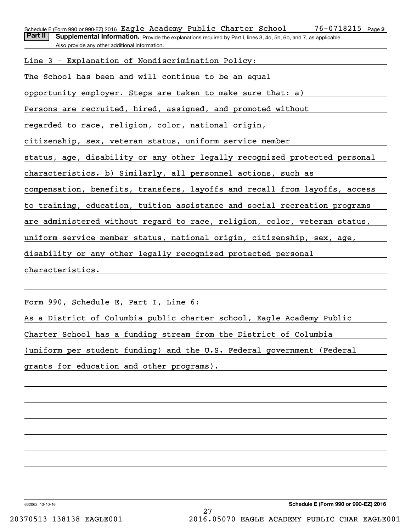76-0718215 Page 2 Schedule E(Form 990 or 990-EZ)2016 <code>Eagle Academy Public Charter School  $76\text{--}0718215$  Page</code>

Part II | Supplemental Information. Provide the explanations required by Part I, lines 3, 4d, 5h, 6b, and 7, as applicable. Also provide any other additional information.

Line 3 - Explanation of Nondiscrimination Policy:

The School has been and will continue to be an equal

opportunity employer. Steps are taken to make sure that: a)

Persons are recruited, hired, assigned, and promoted without

regarded to race, religion, color, national origin,

citizenship, sex, veteran status, uniform service member

status, age, disability or any other legally recognized protected personal

characteristics. b) Similarly, all personnel actions, such as

compensation, benefits, transfers, layoffs and recall from layoffs, access

to training, education, tuition assistance and social recreation programs

are administered without regard to race, religion, color, veteran status,

uniform service member status, national origin, citizenship, sex, age,

disability or any other legally recognized protected personal

characteristics.

Form 990, Schedule E, Part I, Line 6:

As a District of Columbia public charter school, Eagle Academy Public

Charter School has a funding stream from the District of Columbia

(uniform per student funding) and the U.S. Federal government (Federal

grants for education and other programs).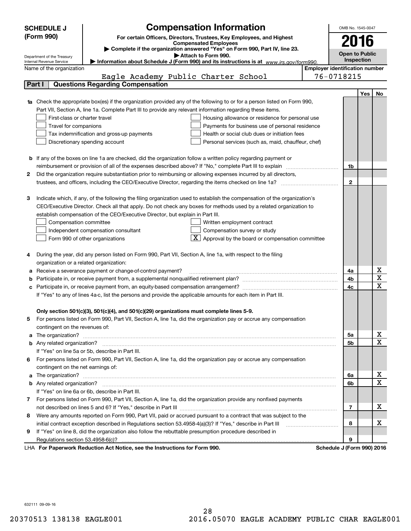| <b>Compensation Information</b><br><b>SCHEDULE J</b><br>OMB No. 1545-0047 |                                                                                                                                  |                                                                                                                |                                       |                       |            |                              |  |
|---------------------------------------------------------------------------|----------------------------------------------------------------------------------------------------------------------------------|----------------------------------------------------------------------------------------------------------------|---------------------------------------|-----------------------|------------|------------------------------|--|
|                                                                           | (Form 990)                                                                                                                       | For certain Officers, Directors, Trustees, Key Employees, and Highest                                          |                                       |                       |            |                              |  |
|                                                                           |                                                                                                                                  | <b>Compensated Employees</b>                                                                                   |                                       | 2016                  |            |                              |  |
|                                                                           |                                                                                                                                  | Complete if the organization answered "Yes" on Form 990, Part IV, line 23.                                     |                                       | <b>Open to Public</b> |            |                              |  |
|                                                                           | Department of the Treasury<br>Internal Revenue Service                                                                           | Attach to Form 990.<br>Information about Schedule J (Form 990) and its instructions is at www.irs.gov/form990. |                                       | Inspection            |            |                              |  |
|                                                                           | Name of the organization                                                                                                         |                                                                                                                | <b>Employer identification number</b> |                       |            |                              |  |
|                                                                           | Eagle Academy Public Charter School                                                                                              |                                                                                                                | 76-0718215                            |                       |            |                              |  |
|                                                                           | <b>Questions Regarding Compensation</b><br>Part I                                                                                |                                                                                                                |                                       |                       |            |                              |  |
|                                                                           |                                                                                                                                  |                                                                                                                |                                       |                       | <b>Yes</b> | No                           |  |
|                                                                           | <b>1a</b> Check the appropriate box(es) if the organization provided any of the following to or for a person listed on Form 990, |                                                                                                                |                                       |                       |            |                              |  |
|                                                                           | Part VII, Section A, line 1a. Complete Part III to provide any relevant information regarding these items.                       |                                                                                                                |                                       |                       |            |                              |  |
|                                                                           | First-class or charter travel                                                                                                    | Housing allowance or residence for personal use                                                                |                                       |                       |            |                              |  |
|                                                                           | Travel for companions                                                                                                            | Payments for business use of personal residence                                                                |                                       |                       |            |                              |  |
|                                                                           | Tax indemnification and gross-up payments                                                                                        | Health or social club dues or initiation fees                                                                  |                                       |                       |            |                              |  |
|                                                                           | Discretionary spending account                                                                                                   | Personal services (such as, maid, chauffeur, chef)                                                             |                                       |                       |            |                              |  |
|                                                                           |                                                                                                                                  |                                                                                                                |                                       |                       |            |                              |  |
|                                                                           | <b>b</b> If any of the boxes on line 1a are checked, did the organization follow a written policy regarding payment or           |                                                                                                                |                                       |                       |            |                              |  |
|                                                                           | reimbursement or provision of all of the expenses described above? If "No," complete Part III to explain                         |                                                                                                                |                                       | 1b                    |            |                              |  |
| 2                                                                         | Did the organization require substantiation prior to reimbursing or allowing expenses incurred by all directors,                 |                                                                                                                |                                       |                       |            |                              |  |
|                                                                           |                                                                                                                                  |                                                                                                                |                                       | $\mathbf{2}$          |            |                              |  |
|                                                                           |                                                                                                                                  |                                                                                                                |                                       |                       |            |                              |  |
| З                                                                         | Indicate which, if any, of the following the filing organization used to establish the compensation of the organization's        |                                                                                                                |                                       |                       |            |                              |  |
|                                                                           | CEO/Executive Director. Check all that apply. Do not check any boxes for methods used by a related organization to               |                                                                                                                |                                       |                       |            |                              |  |
|                                                                           | establish compensation of the CEO/Executive Director, but explain in Part III.                                                   |                                                                                                                |                                       |                       |            |                              |  |
|                                                                           | Compensation committee                                                                                                           | Written employment contract                                                                                    |                                       |                       |            |                              |  |
|                                                                           | Independent compensation consultant                                                                                              | Compensation survey or study                                                                                   |                                       |                       |            |                              |  |
|                                                                           | Form 990 of other organizations                                                                                                  | $\boxed{\textbf{X}}$ Approval by the board or compensation committee                                           |                                       |                       |            |                              |  |
|                                                                           |                                                                                                                                  |                                                                                                                |                                       |                       |            |                              |  |
|                                                                           | During the year, did any person listed on Form 990, Part VII, Section A, line 1a, with respect to the filing                     |                                                                                                                |                                       |                       |            |                              |  |
|                                                                           | organization or a related organization:                                                                                          |                                                                                                                |                                       |                       |            |                              |  |
| а                                                                         | Receive a severance payment or change-of-control payment?                                                                        |                                                                                                                |                                       | 4a                    |            | х                            |  |
| b                                                                         |                                                                                                                                  |                                                                                                                |                                       | 4b                    |            | $\overline{\mathbf{x}}$      |  |
| с                                                                         |                                                                                                                                  |                                                                                                                |                                       | 4c                    |            | $\overline{\mathbf{x}}$      |  |
|                                                                           | If "Yes" to any of lines 4a-c, list the persons and provide the applicable amounts for each item in Part III.                    |                                                                                                                |                                       |                       |            |                              |  |
|                                                                           |                                                                                                                                  |                                                                                                                |                                       |                       |            |                              |  |
|                                                                           | Only section 501(c)(3), 501(c)(4), and 501(c)(29) organizations must complete lines 5-9.                                         |                                                                                                                |                                       |                       |            |                              |  |
|                                                                           | For persons listed on Form 990, Part VII, Section A, line 1a, did the organization pay or accrue any compensation                |                                                                                                                |                                       |                       |            |                              |  |
|                                                                           | contingent on the revenues of:                                                                                                   |                                                                                                                |                                       |                       |            |                              |  |
| a                                                                         |                                                                                                                                  |                                                                                                                |                                       | 5a                    |            | x                            |  |
|                                                                           |                                                                                                                                  |                                                                                                                |                                       | 5b                    |            | $\overline{\mathbf{x}}$      |  |
|                                                                           | If "Yes" on line 5a or 5b, describe in Part III.                                                                                 |                                                                                                                |                                       |                       |            |                              |  |
| 6.                                                                        | For persons listed on Form 990, Part VII, Section A, line 1a, did the organization pay or accrue any compensation                |                                                                                                                |                                       |                       |            |                              |  |
|                                                                           | contingent on the net earnings of:                                                                                               |                                                                                                                |                                       |                       |            |                              |  |
| a                                                                         |                                                                                                                                  |                                                                                                                |                                       | 6a                    |            | х<br>$\overline{\mathbf{x}}$ |  |
|                                                                           |                                                                                                                                  |                                                                                                                |                                       | 6b                    |            |                              |  |
|                                                                           | If "Yes" on line 6a or 6b, describe in Part III.                                                                                 |                                                                                                                |                                       |                       |            |                              |  |
|                                                                           | 7 For persons listed on Form 990, Part VII, Section A, line 1a, did the organization provide any nonfixed payments               |                                                                                                                |                                       |                       |            |                              |  |
|                                                                           |                                                                                                                                  |                                                                                                                |                                       | 7                     |            | х                            |  |
| 8                                                                         | Were any amounts reported on Form 990, Part VII, paid or accrued pursuant to a contract that was subject to the                  |                                                                                                                |                                       |                       |            |                              |  |
|                                                                           | initial contract exception described in Regulations section 53.4958-4(a)(3)? If "Yes," describe in Part III                      |                                                                                                                |                                       | 8                     |            | х                            |  |
| 9                                                                         | If "Yes" on line 8, did the organization also follow the rebuttable presumption procedure described in                           |                                                                                                                |                                       |                       |            |                              |  |
|                                                                           | Regulations section 53.4958-6(c)?<br><b>Departments Reduction Act Notice, can the Instructions for Form 000</b>                  |                                                                                                                | Schodule I (Form 000) 2016            | 9                     |            |                              |  |

LHA For Paperwork Reduction Act Notice, see the Instructions for Form 990. Schedule J (Form 990) 2016

632111 09-09-16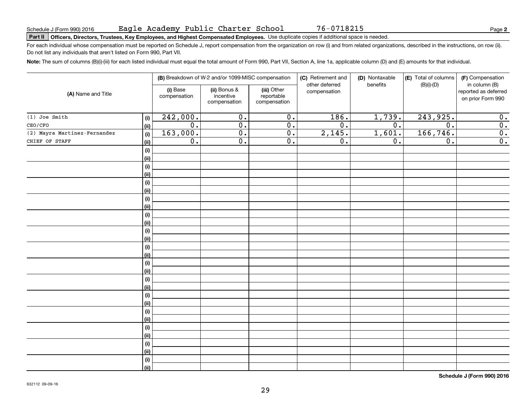# **Part II Officers, Directors, Trustees, Key Employees, and Highest Compensated Employees.**  Schedule J (Form 990) 2016 Page Use duplicate copies if additional space is needed.

For each individual whose compensation must be reported on Schedule J, report compensation from the organization on row (i) and from related organizations, described in the instructions, on row (ii). Do not list any individuals that aren't listed on Form 990, Part VII.

**Note:**  The sum of columns (B)(i)-(iii) for each listed individual must equal the total amount of Form 990, Part VII, Section A, line 1a, applicable column (D) and (E) amounts for that individual.

|                              |                              | (B) Breakdown of W-2 and/or 1099-MISC compensation |                                           | (C) Retirement and                        | (D) Nontaxable                 | (E) Total of columns | (F) Compensation |                                                            |
|------------------------------|------------------------------|----------------------------------------------------|-------------------------------------------|-------------------------------------------|--------------------------------|----------------------|------------------|------------------------------------------------------------|
| (A) Name and Title           |                              | (i) Base<br>compensation                           | (ii) Bonus &<br>incentive<br>compensation | (iii) Other<br>reportable<br>compensation | other deferred<br>compensation | benefits             | $(B)(i)-(D)$     | in column (B)<br>reported as deferred<br>on prior Form 990 |
| $(1)$ Joe Smith              | (i)                          | 242,000.                                           | $\overline{0}$ .                          | $\overline{0}$ .                          | 186.                           | 1,739.               | 243,925.         | 0.                                                         |
| CEO/CFO                      | (ii)                         | $\overline{0}$ .                                   | $\overline{0}$ .                          | $\overline{0}$ .                          | $\overline{0}$ .               | $\overline{0}$ .     | $\overline{0}$ . | $\overline{0}$ .                                           |
| (2) Mayra Martinez-Fernandez | (i)                          | 163,000.                                           | $\overline{0}$ .                          | $\overline{0}$ .                          | 2,145.                         | 1,601.               | 166,746.         | $\overline{0}$ .                                           |
| CHIEF OF STAFF               | (ii)                         | $\overline{0}$ .                                   | $\overline{0}$ .                          | $\overline{0}$ .                          | $\overline{0}$ .               | $\overline{0}$ .     | $\overline{0}$ . | $\overline{0}$ .                                           |
|                              | $\qquad \qquad \textbf{(i)}$ |                                                    |                                           |                                           |                                |                      |                  |                                                            |
|                              | (ii)                         |                                                    |                                           |                                           |                                |                      |                  |                                                            |
|                              | $\qquad \qquad \textbf{(i)}$ |                                                    |                                           |                                           |                                |                      |                  |                                                            |
|                              | (ii)                         |                                                    |                                           |                                           |                                |                      |                  |                                                            |
|                              | (i)                          |                                                    |                                           |                                           |                                |                      |                  |                                                            |
|                              | (ii)                         |                                                    |                                           |                                           |                                |                      |                  |                                                            |
|                              | (i)                          |                                                    |                                           |                                           |                                |                      |                  |                                                            |
|                              | (ii)                         |                                                    |                                           |                                           |                                |                      |                  |                                                            |
|                              | (i)                          |                                                    |                                           |                                           |                                |                      |                  |                                                            |
|                              | (ii)                         |                                                    |                                           |                                           |                                |                      |                  |                                                            |
|                              | (i)                          |                                                    |                                           |                                           |                                |                      |                  |                                                            |
|                              | (ii)                         |                                                    |                                           |                                           |                                |                      |                  |                                                            |
|                              | (i)                          |                                                    |                                           |                                           |                                |                      |                  |                                                            |
|                              | (ii)                         |                                                    |                                           |                                           |                                |                      |                  |                                                            |
|                              | (i)                          |                                                    |                                           |                                           |                                |                      |                  |                                                            |
|                              | (ii)                         |                                                    |                                           |                                           |                                |                      |                  |                                                            |
|                              | (i)                          |                                                    |                                           |                                           |                                |                      |                  |                                                            |
|                              | (ii)                         |                                                    |                                           |                                           |                                |                      |                  |                                                            |
|                              | (i)                          |                                                    |                                           |                                           |                                |                      |                  |                                                            |
|                              | (ii)                         |                                                    |                                           |                                           |                                |                      |                  |                                                            |
|                              | (i)                          |                                                    |                                           |                                           |                                |                      |                  |                                                            |
|                              | (ii)                         |                                                    |                                           |                                           |                                |                      |                  |                                                            |
|                              | (i)                          |                                                    |                                           |                                           |                                |                      |                  |                                                            |
|                              | (ii)                         |                                                    |                                           |                                           |                                |                      |                  |                                                            |
|                              | (i)                          |                                                    |                                           |                                           |                                |                      |                  |                                                            |
|                              | (ii)                         |                                                    |                                           |                                           |                                |                      |                  |                                                            |
|                              | (i)                          |                                                    |                                           |                                           |                                |                      |                  |                                                            |
|                              | (ii)                         |                                                    |                                           |                                           |                                |                      |                  |                                                            |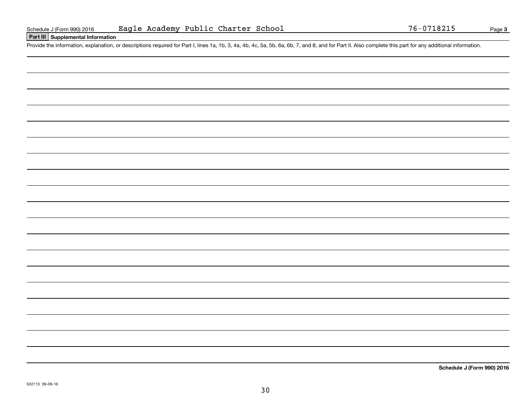#### **Part III Supplemental Information**

Schedule J (Form 990) 2016 Eagle Academy Public Charter School 76-0718215<br>Part III Supplemental Information<br>Provide the information, explanation, or descriptions required for Part I, lines 1a, 1b, 3, 4a, 4b, 4c, 5a, 5b, 6a

**Schedule J (Form 990) 2016**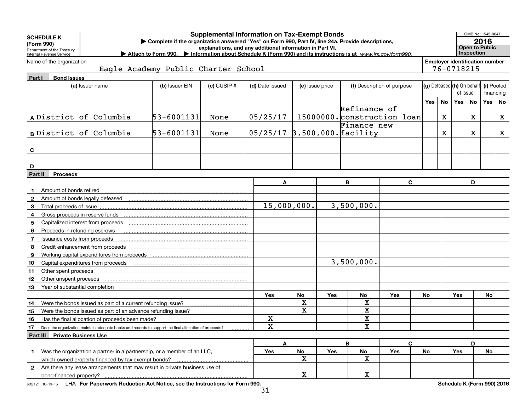|              | <b>Supplemental Information on Tax-Exempt Bonds</b><br><b>SCHEDULE K</b><br>Complete if the organization answered "Yes" on Form 990, Part IV, line 24a. Provide descriptions,<br>(Form 990)<br>explanations, and any additional information in Part VI.<br>Department of the Treasury<br>Attach to Form 990. Information about Schedule K (Form 990) and its instructions is at www.irs.gov/form990.<br>Internal Revenue Service |                                                                                                        |                                     |                 |             |                                    |         |                              |                            |                            |           |                                                     | OMB No. 1545-0047<br>2016<br><b>Open to Public</b><br>Inspection |                         |   |  |  |
|--------------|----------------------------------------------------------------------------------------------------------------------------------------------------------------------------------------------------------------------------------------------------------------------------------------------------------------------------------------------------------------------------------------------------------------------------------|--------------------------------------------------------------------------------------------------------|-------------------------------------|-----------------|-------------|------------------------------------|---------|------------------------------|----------------------------|----------------------------|-----------|-----------------------------------------------------|------------------------------------------------------------------|-------------------------|---|--|--|
|              | Name of the organization                                                                                                                                                                                                                                                                                                                                                                                                         |                                                                                                        | Eagle Academy Public Charter School |                 |             |                                    |         |                              |                            |                            |           | <b>Employer identification number</b><br>76-0718215 |                                                                  |                         |   |  |  |
| Part I       | <b>Bond Issues</b>                                                                                                                                                                                                                                                                                                                                                                                                               |                                                                                                        |                                     |                 |             |                                    |         |                              |                            |                            |           |                                                     |                                                                  |                         |   |  |  |
|              |                                                                                                                                                                                                                                                                                                                                                                                                                                  | (a) Issuer name                                                                                        | (b) Issuer EIN                      | $(c)$ CUSIP $#$ |             | (d) Date issued<br>(e) Issue price |         |                              | (f) Description of purpose | (g) Defeased (h) On behalf |           | of issuer                                           |                                                                  | (i) Pooled<br>financing |   |  |  |
|              |                                                                                                                                                                                                                                                                                                                                                                                                                                  |                                                                                                        |                                     |                 |             |                                    |         |                              |                            | Yes                        | <b>No</b> | Yes <sub>1</sub>                                    | <b>No</b>                                                        | Yes   No                |   |  |  |
|              |                                                                                                                                                                                                                                                                                                                                                                                                                                  |                                                                                                        |                                     |                 |             |                                    |         | Refinance of                 |                            |                            |           |                                                     |                                                                  |                         |   |  |  |
|              |                                                                                                                                                                                                                                                                                                                                                                                                                                  | A District of Columbia                                                                                 | 53-6001131                          | None            | 05/25/17    |                                    |         | 15000000. construction loan  |                            |                            | X         |                                                     | X                                                                |                         | X |  |  |
|              |                                                                                                                                                                                                                                                                                                                                                                                                                                  |                                                                                                        |                                     |                 |             |                                    |         | Finance new                  |                            |                            |           |                                                     |                                                                  |                         |   |  |  |
|              |                                                                                                                                                                                                                                                                                                                                                                                                                                  | B District of Columbia                                                                                 | 53-6001131                          | None            |             |                                    |         | 05/25/17 3,500,000. facility |                            |                            | х         |                                                     | x                                                                |                         | X |  |  |
|              |                                                                                                                                                                                                                                                                                                                                                                                                                                  |                                                                                                        |                                     |                 |             |                                    |         |                              |                            |                            |           |                                                     |                                                                  |                         |   |  |  |
| C            |                                                                                                                                                                                                                                                                                                                                                                                                                                  |                                                                                                        |                                     |                 |             |                                    |         |                              |                            |                            |           |                                                     |                                                                  |                         |   |  |  |
|              |                                                                                                                                                                                                                                                                                                                                                                                                                                  |                                                                                                        |                                     |                 |             |                                    |         |                              |                            |                            |           |                                                     |                                                                  |                         |   |  |  |
| D            |                                                                                                                                                                                                                                                                                                                                                                                                                                  |                                                                                                        |                                     |                 |             |                                    |         |                              |                            |                            |           |                                                     |                                                                  |                         |   |  |  |
| Part II      | <b>Proceeds</b>                                                                                                                                                                                                                                                                                                                                                                                                                  |                                                                                                        |                                     |                 |             |                                    |         |                              |                            |                            |           |                                                     |                                                                  |                         |   |  |  |
|              |                                                                                                                                                                                                                                                                                                                                                                                                                                  |                                                                                                        |                                     |                 | А           |                                    | В<br>C. |                              |                            |                            |           |                                                     | D                                                                |                         |   |  |  |
|              | Amount of bonds retired                                                                                                                                                                                                                                                                                                                                                                                                          |                                                                                                        |                                     |                 |             |                                    |         |                              |                            |                            |           |                                                     |                                                                  |                         |   |  |  |
| $\mathbf{2}$ |                                                                                                                                                                                                                                                                                                                                                                                                                                  |                                                                                                        |                                     |                 |             |                                    |         |                              |                            |                            |           |                                                     |                                                                  |                         |   |  |  |
| 3            |                                                                                                                                                                                                                                                                                                                                                                                                                                  |                                                                                                        |                                     |                 |             | 15,000,000.                        |         | 3,500,000.                   |                            |                            |           |                                                     |                                                                  |                         |   |  |  |
| 4            |                                                                                                                                                                                                                                                                                                                                                                                                                                  |                                                                                                        |                                     |                 |             |                                    |         |                              |                            |                            |           |                                                     |                                                                  |                         |   |  |  |
| 5            |                                                                                                                                                                                                                                                                                                                                                                                                                                  | Capitalized interest from proceeds                                                                     |                                     |                 |             |                                    |         |                              |                            |                            |           |                                                     |                                                                  |                         |   |  |  |
| 6            | Proceeds in refunding escrows                                                                                                                                                                                                                                                                                                                                                                                                    |                                                                                                        |                                     |                 |             |                                    |         |                              |                            |                            |           |                                                     |                                                                  |                         |   |  |  |
| -7           | Issuance costs from proceeds                                                                                                                                                                                                                                                                                                                                                                                                     |                                                                                                        |                                     |                 |             |                                    |         |                              |                            |                            |           |                                                     |                                                                  |                         |   |  |  |
| 8            |                                                                                                                                                                                                                                                                                                                                                                                                                                  | Credit enhancement from proceeds                                                                       |                                     |                 |             |                                    |         |                              |                            |                            |           |                                                     |                                                                  |                         |   |  |  |
| 9            |                                                                                                                                                                                                                                                                                                                                                                                                                                  | Capital expenditures from proceeds                                                                     |                                     |                 |             |                                    |         | 3,500,000.                   |                            |                            |           |                                                     |                                                                  |                         |   |  |  |
| 10<br>-11    | Other spent proceeds                                                                                                                                                                                                                                                                                                                                                                                                             |                                                                                                        |                                     |                 |             |                                    |         |                              |                            |                            |           |                                                     |                                                                  |                         |   |  |  |
| 12           | Other unspent proceeds                                                                                                                                                                                                                                                                                                                                                                                                           |                                                                                                        |                                     |                 |             |                                    |         |                              |                            |                            |           |                                                     |                                                                  |                         |   |  |  |
| 13.          | Year of substantial completion                                                                                                                                                                                                                                                                                                                                                                                                   |                                                                                                        |                                     |                 |             |                                    |         |                              |                            |                            |           |                                                     |                                                                  |                         |   |  |  |
|              |                                                                                                                                                                                                                                                                                                                                                                                                                                  |                                                                                                        |                                     |                 | Yes         | No                                 | Yes     | No                           | Yes                        | No                         |           | Yes                                                 |                                                                  | No                      |   |  |  |
| 14           |                                                                                                                                                                                                                                                                                                                                                                                                                                  | Were the bonds issued as part of a current refunding issue?                                            |                                     |                 |             | X                                  |         | X                            |                            |                            |           |                                                     |                                                                  |                         |   |  |  |
| 15           |                                                                                                                                                                                                                                                                                                                                                                                                                                  | Were the bonds issued as part of an advance refunding issue?                                           |                                     |                 |             | X                                  |         | X                            |                            |                            |           |                                                     |                                                                  |                         |   |  |  |
| 16           |                                                                                                                                                                                                                                                                                                                                                                                                                                  | Has the final allocation of proceeds been made?                                                        |                                     |                 | $\mathbf X$ |                                    |         | X                            |                            |                            |           |                                                     |                                                                  |                         |   |  |  |
| 17           |                                                                                                                                                                                                                                                                                                                                                                                                                                  | Does the organization maintain adequate books and records to support the final allocation of proceeds? |                                     |                 | $\mathbf X$ |                                    |         | X                            |                            |                            |           |                                                     |                                                                  |                         |   |  |  |
|              | Part III Private Business Use                                                                                                                                                                                                                                                                                                                                                                                                    |                                                                                                        |                                     |                 |             |                                    |         |                              |                            |                            |           |                                                     |                                                                  |                         |   |  |  |
|              |                                                                                                                                                                                                                                                                                                                                                                                                                                  |                                                                                                        |                                     |                 | Α           |                                    |         | B                            | C.                         |                            |           |                                                     | D                                                                |                         |   |  |  |
| $\mathbf{1}$ | Was the organization a partner in a partnership, or a member of an LLC,                                                                                                                                                                                                                                                                                                                                                          |                                                                                                        |                                     | Yes             | No          | Yes                                | No      | Yes                          | No                         |                            | Yes       |                                                     | No                                                               |                         |   |  |  |
|              |                                                                                                                                                                                                                                                                                                                                                                                                                                  | which owned property financed by tax-exempt bonds?                                                     |                                     |                 |             | $\mathbf{x}$                       |         | $\mathbf X$                  |                            |                            |           |                                                     |                                                                  |                         |   |  |  |
|              |                                                                                                                                                                                                                                                                                                                                                                                                                                  | 2 Are there any lease arrangements that may result in private business use of                          |                                     |                 |             |                                    |         |                              |                            |                            |           |                                                     |                                                                  |                         |   |  |  |
|              |                                                                                                                                                                                                                                                                                                                                                                                                                                  |                                                                                                        |                                     |                 |             | X                                  |         | X                            |                            |                            |           |                                                     |                                                                  |                         |   |  |  |

632121 10-19-16 LHA For Paperwork Reduction Act Notice, see the Instructions for Form 990. **Schedule K (Form 990) 2016**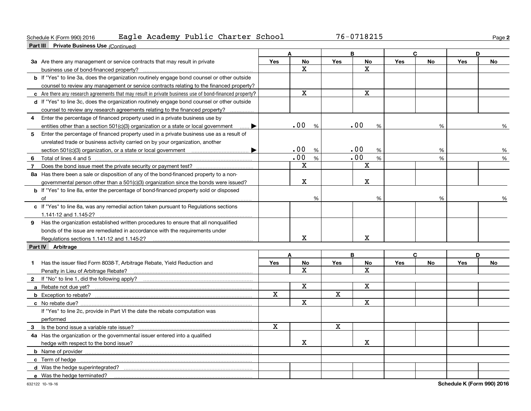#### Schedule K (Form 990) 2016 Page Eagle Academy Public Charter School 76-0718215

**2**

| <b>Part III</b> Private Business Use (Continued)                                                       |              |                         |             |                         |            |           |     |           |
|--------------------------------------------------------------------------------------------------------|--------------|-------------------------|-------------|-------------------------|------------|-----------|-----|-----------|
|                                                                                                        |              | A                       |             | B                       | C          |           |     | D         |
| 3a Are there any management or service contracts that may result in private                            | Yes          | <b>No</b>               | <b>Yes</b>  | <b>No</b>               | Yes        | No        | Yes | No        |
| business use of bond-financed property?                                                                |              | $\mathbf{x}$            |             | $\overline{\mathbf{x}}$ |            |           |     |           |
| <b>b</b> If "Yes" to line 3a, does the organization routinely engage bond counsel or other outside     |              |                         |             |                         |            |           |     |           |
| counsel to review any management or service contracts relating to the financed property?               |              |                         |             |                         |            |           |     |           |
| c Are there any research agreements that may result in private business use of bond-financed property? |              | $\mathbf X$             |             | $\mathbf X$             |            |           |     |           |
| d If "Yes" to line 3c, does the organization routinely engage bond counsel or other outside            |              |                         |             |                         |            |           |     |           |
| counsel to review any research agreements relating to the financed property?                           |              |                         |             |                         |            |           |     |           |
| Enter the percentage of financed property used in a private business use by<br>4                       |              |                         |             |                         |            |           |     |           |
| entities other than a section 501(c)(3) organization or a state or local government                    |              | .00<br>%                |             | .00<br>%                |            | %         |     | %         |
| 5<br>Enter the percentage of financed property used in a private business use as a result of           |              |                         |             |                         |            |           |     |           |
| unrelated trade or business activity carried on by your organization, another                          |              |                         |             |                         |            |           |     |           |
|                                                                                                        |              | .00<br>%                |             | .00<br>%                |            | %         |     | %         |
| Total of lines 4 and 5 <b>Commission Commission</b> Contract and Total of lines 4 and 5<br>6           |              | .00<br>%                |             | .00<br>%                |            | %         |     | %         |
| $\overline{7}$                                                                                         |              | $\mathbf x$             |             | $\mathbf X$             |            |           |     |           |
| 8a Has there been a sale or disposition of any of the bond-financed property to a non-                 |              |                         |             |                         |            |           |     |           |
| governmental person other than a $501(c)(3)$ organization since the bonds were issued?                 |              | $\mathbf x$             |             | $\mathbf X$             |            |           |     |           |
| <b>b</b> If "Yes" to line 8a, enter the percentage of bond-financed property sold or disposed          |              |                         |             |                         |            |           |     |           |
|                                                                                                        |              | %                       |             | %                       |            | %         |     | %         |
| c If "Yes" to line 8a, was any remedial action taken pursuant to Regulations sections                  |              |                         |             |                         |            |           |     |           |
| 1.141-12 and 1.145-2?                                                                                  |              |                         |             |                         |            |           |     |           |
| 9 Has the organization established written procedures to ensure that all nonqualified                  |              |                         |             |                         |            |           |     |           |
| bonds of the issue are remediated in accordance with the requirements under                            |              |                         |             |                         |            |           |     |           |
|                                                                                                        |              | $\mathbf X$             |             | X                       |            |           |     |           |
| Part IV Arbitrage                                                                                      |              |                         |             |                         |            |           |     |           |
|                                                                                                        |              | A                       |             | B                       |            | C         |     | D         |
| Has the issuer filed Form 8038-T, Arbitrage Rebate, Yield Reduction and<br>1.                          | <b>Yes</b>   | <b>No</b>               | <b>Yes</b>  | <b>No</b>               | <b>Yes</b> | <b>No</b> | Yes | <b>No</b> |
|                                                                                                        |              | X                       |             | $\mathbf{x}$            |            |           |     |           |
|                                                                                                        |              |                         |             |                         |            |           |     |           |
|                                                                                                        |              | $\mathbf X$             |             | $\mathbf X$             |            |           |     |           |
|                                                                                                        | $\mathbf{x}$ |                         | $\mathbf x$ |                         |            |           |     |           |
|                                                                                                        |              | $\overline{\mathbf{x}}$ |             | $\overline{\textbf{X}}$ |            |           |     |           |
| If "Yes" to line 2c, provide in Part VI the date the rebate computation was                            |              |                         |             |                         |            |           |     |           |
|                                                                                                        |              |                         |             |                         |            |           |     |           |
|                                                                                                        | $\mathbf x$  |                         | $\mathbf X$ |                         |            |           |     |           |
| 4a Has the organization or the governmental issuer entered into a qualified                            |              |                         |             |                         |            |           |     |           |
|                                                                                                        |              | $\mathbf x$             |             | X                       |            |           |     |           |
|                                                                                                        |              |                         |             |                         |            |           |     |           |
|                                                                                                        |              |                         |             |                         |            |           |     |           |
|                                                                                                        |              |                         |             |                         |            |           |     |           |
| e Was the hedge terminated?                                                                            |              |                         |             |                         |            |           |     |           |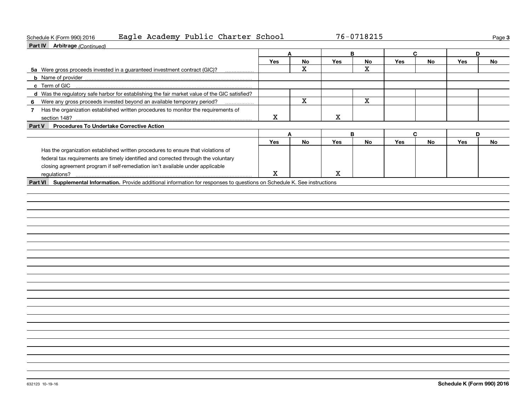| Schedule K (Form 990) 2016 |  | Eagle Academy Public Charter School | 76-0718215 | Page |
|----------------------------|--|-------------------------------------|------------|------|
|----------------------------|--|-------------------------------------|------------|------|

**3**

| <b>Part IV</b> Arbitrage (Continued)                                                          |             |                         |             |                         |     |    |     |           |
|-----------------------------------------------------------------------------------------------|-------------|-------------------------|-------------|-------------------------|-----|----|-----|-----------|
|                                                                                               | A           |                         |             | B                       | C   |    | D   |           |
|                                                                                               | Yes         | <b>No</b>               | Yes         | <b>No</b>               | Yes | No | Yes | <b>No</b> |
| 5a Were gross proceeds invested in a guaranteed investment contract (GIC)?                    |             | $\mathbf X$             |             | $\overline{\mathbf{X}}$ |     |    |     |           |
|                                                                                               |             |                         |             |                         |     |    |     |           |
| c Term of GIC                                                                                 |             |                         |             |                         |     |    |     |           |
| d Was the regulatory safe harbor for establishing the fair market value of the GIC satisfied? |             |                         |             |                         |     |    |     |           |
| 6 Were any gross proceeds invested beyond an available temporary period?                      |             | $\overline{\mathbf{x}}$ |             | $\overline{\mathbf{x}}$ |     |    |     |           |
| 7 Has the organization established written procedures to monitor the requirements of          |             |                         |             |                         |     |    |     |           |
|                                                                                               | X           |                         | $\mathbf X$ |                         |     |    |     |           |
| Part V Procedures To Undertake Corrective Action                                              |             |                         |             |                         |     |    |     |           |
|                                                                                               | A           |                         |             | B                       | C   |    | D   |           |
|                                                                                               | <b>Yes</b>  | <b>No</b>               | Yes         | No                      | Yes | No | Yes | No        |
| Has the organization established written procedures to ensure that violations of              |             |                         |             |                         |     |    |     |           |
| federal tax requirements are timely identified and corrected through the voluntary            |             |                         |             |                         |     |    |     |           |
| closing agreement program if self-remediation isn't available under applicable                |             |                         |             |                         |     |    |     |           |
| regulations?                                                                                  | $\mathbf X$ |                         | $\mathbf X$ |                         |     |    |     |           |
|                                                                                               |             |                         |             |                         |     |    |     |           |
|                                                                                               |             |                         |             |                         |     |    |     |           |
|                                                                                               |             |                         |             |                         |     |    |     |           |
|                                                                                               |             |                         |             |                         |     |    |     |           |
|                                                                                               |             |                         |             |                         |     |    |     |           |
|                                                                                               |             |                         |             |                         |     |    |     |           |
|                                                                                               |             |                         |             |                         |     |    |     |           |
|                                                                                               |             |                         |             |                         |     |    |     |           |
|                                                                                               |             |                         |             |                         |     |    |     |           |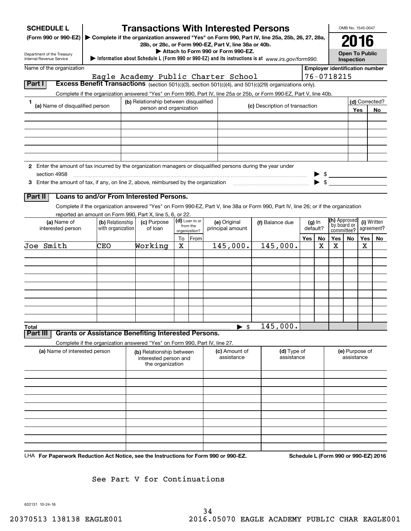| <b>SCHEDULE L</b>                                                                                             |                                                                            |                                           |         |                            | <b>Transactions With Interested Persons</b>                                                                                                              |                                |     |          |                                                     | OMB No. 1545-0047                                 |                |    |
|---------------------------------------------------------------------------------------------------------------|----------------------------------------------------------------------------|-------------------------------------------|---------|----------------------------|----------------------------------------------------------------------------------------------------------------------------------------------------------|--------------------------------|-----|----------|-----------------------------------------------------|---------------------------------------------------|----------------|----|
| (Form 990 or 990-EZ)                                                                                          |                                                                            |                                           |         |                            | ▶ Complete if the organization answered "Yes" on Form 990, Part IV, line 25a, 25b, 26, 27, 28a,<br>28b, or 28c, or Form 990-EZ, Part V, line 38a or 40b. |                                |     |          |                                                     | 2016                                              |                |    |
| Department of the Treasury                                                                                    |                                                                            |                                           |         |                            | Attach to Form 990 or Form 990-EZ.                                                                                                                       |                                |     |          |                                                     | <b>Open To Public</b>                             |                |    |
| Internal Revenue Service                                                                                      |                                                                            |                                           |         |                            | Information about Schedule L (Form 990 or 990-EZ) and its instructions is at www.irs.gov/form990.                                                        |                                |     |          |                                                     | Inspection                                        |                |    |
| Name of the organization                                                                                      |                                                                            |                                           |         |                            | Eagle Academy Public Charter School                                                                                                                      |                                |     |          | <b>Employer identification number</b><br>76-0718215 |                                                   |                |    |
| Part I                                                                                                        |                                                                            |                                           |         |                            | Excess Benefit Transactions (section 501(c)(3), section 501(c)(4), and 501(c)(29) organizations only).                                                   |                                |     |          |                                                     |                                                   |                |    |
|                                                                                                               |                                                                            |                                           |         |                            | Complete if the organization answered "Yes" on Form 990, Part IV, line 25a or 25b, or Form 990-EZ, Part V, line 40b.                                     |                                |     |          |                                                     |                                                   |                |    |
| 1<br>(a) Name of disqualified person                                                                          |                                                                            | (b) Relationship between disqualified     |         |                            |                                                                                                                                                          | (c) Description of transaction |     |          |                                                     |                                                   | (d) Corrected? |    |
|                                                                                                               |                                                                            | person and organization                   |         |                            |                                                                                                                                                          |                                |     |          |                                                     |                                                   | Yes            | No |
|                                                                                                               |                                                                            |                                           |         |                            |                                                                                                                                                          |                                |     |          |                                                     |                                                   |                |    |
|                                                                                                               |                                                                            |                                           |         |                            |                                                                                                                                                          |                                |     |          |                                                     |                                                   |                |    |
|                                                                                                               |                                                                            |                                           |         |                            |                                                                                                                                                          |                                |     |          |                                                     |                                                   |                |    |
|                                                                                                               |                                                                            |                                           |         |                            |                                                                                                                                                          |                                |     |          |                                                     |                                                   |                |    |
| 2 Enter the amount of tax incurred by the organization managers or disqualified persons during the year under |                                                                            |                                           |         |                            |                                                                                                                                                          |                                |     |          |                                                     |                                                   |                |    |
| section 4958                                                                                                  |                                                                            |                                           |         |                            |                                                                                                                                                          |                                |     |          |                                                     |                                                   |                |    |
| 3 Enter the amount of tax, if any, on line 2, above, reimbursed by the organization                           |                                                                            |                                           |         |                            |                                                                                                                                                          |                                |     |          |                                                     |                                                   |                |    |
| Part II                                                                                                       | Loans to and/or From Interested Persons.                                   |                                           |         |                            |                                                                                                                                                          |                                |     |          |                                                     |                                                   |                |    |
|                                                                                                               |                                                                            |                                           |         |                            | Complete if the organization answered "Yes" on Form 990-EZ, Part V, line 38a or Form 990, Part IV, line 26; or if the organization                       |                                |     |          |                                                     |                                                   |                |    |
|                                                                                                               | reported an amount on Form 990, Part X, line 5, 6, or 22.                  |                                           |         |                            |                                                                                                                                                          |                                |     |          |                                                     |                                                   |                |    |
| (a) Name of                                                                                                   | (b) Relationship                                                           | (c) Purpose                               |         | (d) Loan to or<br>from the | (e) Original                                                                                                                                             | (f) Balance due                |     | $(g)$ In |                                                     | <b>(h)</b> Approved<br>(i) Written<br>by board or |                |    |
| interested person                                                                                             | with organization                                                          | of loan                                   |         | organization?              | principal amount                                                                                                                                         |                                |     | default? |                                                     | committee?                                        | agreement?     |    |
| Joe Smith                                                                                                     | CEO                                                                        | Working                                   | To<br>Χ | From                       | 145,000.                                                                                                                                                 | 145,000.                       | Yes | No<br>х  | Yes  <br>Χ                                          | No                                                | Yes<br>х       | No |
|                                                                                                               |                                                                            |                                           |         |                            |                                                                                                                                                          |                                |     |          |                                                     |                                                   |                |    |
|                                                                                                               |                                                                            |                                           |         |                            |                                                                                                                                                          |                                |     |          |                                                     |                                                   |                |    |
|                                                                                                               |                                                                            |                                           |         |                            |                                                                                                                                                          |                                |     |          |                                                     |                                                   |                |    |
|                                                                                                               |                                                                            |                                           |         |                            |                                                                                                                                                          |                                |     |          |                                                     |                                                   |                |    |
|                                                                                                               |                                                                            |                                           |         |                            |                                                                                                                                                          |                                |     |          |                                                     |                                                   |                |    |
|                                                                                                               |                                                                            |                                           |         |                            |                                                                                                                                                          |                                |     |          |                                                     |                                                   |                |    |
|                                                                                                               |                                                                            |                                           |         |                            |                                                                                                                                                          |                                |     |          |                                                     |                                                   |                |    |
|                                                                                                               |                                                                            |                                           |         |                            |                                                                                                                                                          |                                |     |          |                                                     |                                                   |                |    |
| Total<br>Part III                                                                                             | <b>Grants or Assistance Benefiting Interested Persons.</b>                 |                                           |         |                            | $\blacktriangleright$ \$                                                                                                                                 | 145,000.                       |     |          |                                                     |                                                   |                |    |
|                                                                                                               | Complete if the organization answered "Yes" on Form 990, Part IV, line 27. |                                           |         |                            |                                                                                                                                                          |                                |     |          |                                                     |                                                   |                |    |
| (a) Name of interested person                                                                                 |                                                                            | (b) Relationship between                  |         |                            | (c) Amount of                                                                                                                                            | (d) Type of                    |     |          |                                                     | (e) Purpose of                                    |                |    |
|                                                                                                               |                                                                            | interested person and<br>the organization |         |                            | assistance                                                                                                                                               | assistance                     |     |          |                                                     | assistance                                        |                |    |
|                                                                                                               |                                                                            |                                           |         |                            |                                                                                                                                                          |                                |     |          |                                                     |                                                   |                |    |
|                                                                                                               |                                                                            |                                           |         |                            |                                                                                                                                                          |                                |     |          |                                                     |                                                   |                |    |
|                                                                                                               |                                                                            |                                           |         |                            |                                                                                                                                                          |                                |     |          |                                                     |                                                   |                |    |
|                                                                                                               |                                                                            |                                           |         |                            |                                                                                                                                                          |                                |     |          |                                                     |                                                   |                |    |
|                                                                                                               |                                                                            |                                           |         |                            |                                                                                                                                                          |                                |     |          |                                                     |                                                   |                |    |
|                                                                                                               |                                                                            |                                           |         |                            |                                                                                                                                                          |                                |     |          |                                                     |                                                   |                |    |
|                                                                                                               |                                                                            |                                           |         |                            |                                                                                                                                                          |                                |     |          |                                                     |                                                   |                |    |
|                                                                                                               |                                                                            |                                           |         |                            |                                                                                                                                                          |                                |     |          |                                                     |                                                   |                |    |
|                                                                                                               |                                                                            |                                           |         |                            |                                                                                                                                                          |                                |     |          |                                                     |                                                   |                |    |

See Part V for Continuations

632131 10-24-16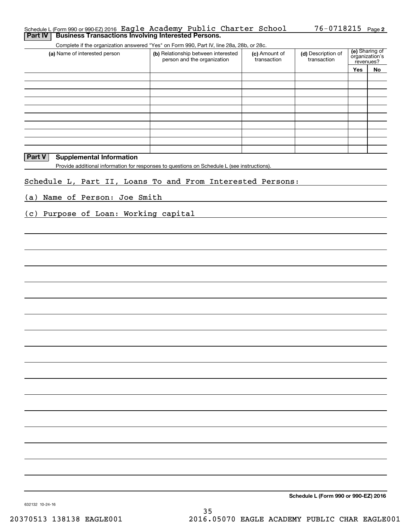| Schedule L(Form 990 or 990 EZ) 2016 Eagle Academy Public Charter School |  |  | $76 - 0718215$ Page 2 |  |
|-------------------------------------------------------------------------|--|--|-----------------------|--|
| <b>Part IV   Business Transactions Involving Interested Persons.</b>    |  |  |                       |  |

Complete if the organization answered "Yes" on Form 990, Part IV, line 28a, 28b, or 28c.

| (a) Name of interested person                                                               | (b) Relationship between interested<br>person and the organization | (c) Amount of<br>transaction | (d) Description of<br>transaction | (e) Sharing of<br>organization's<br>revenues? |    |  |
|---------------------------------------------------------------------------------------------|--------------------------------------------------------------------|------------------------------|-----------------------------------|-----------------------------------------------|----|--|
|                                                                                             |                                                                    |                              |                                   | <b>Yes</b>                                    | No |  |
|                                                                                             |                                                                    |                              |                                   |                                               |    |  |
|                                                                                             |                                                                    |                              |                                   |                                               |    |  |
|                                                                                             |                                                                    |                              |                                   |                                               |    |  |
|                                                                                             |                                                                    |                              |                                   |                                               |    |  |
|                                                                                             |                                                                    |                              |                                   |                                               |    |  |
|                                                                                             |                                                                    |                              |                                   |                                               |    |  |
|                                                                                             |                                                                    |                              |                                   |                                               |    |  |
|                                                                                             |                                                                    |                              |                                   |                                               |    |  |
|                                                                                             |                                                                    |                              |                                   |                                               |    |  |
|                                                                                             |                                                                    |                              |                                   |                                               |    |  |
| Part V<br><b>Supplemental Information</b>                                                   |                                                                    |                              |                                   |                                               |    |  |
| Provide additional information for responses to questions on Schedule L (see instructions). |                                                                    |                              |                                   |                                               |    |  |
| Schedule L, Part II, Loans To and From Interested Persons:                                  |                                                                    |                              |                                   |                                               |    |  |
| (a) Name of Person: Joe Smith                                                               |                                                                    |                              |                                   |                                               |    |  |
| (c) Purpose of Loan: Working capital                                                        |                                                                    |                              |                                   |                                               |    |  |
|                                                                                             |                                                                    |                              |                                   |                                               |    |  |
|                                                                                             |                                                                    |                              |                                   |                                               |    |  |

**Schedule L (Form 990 or 990-EZ) 2016**

632132 10-24-16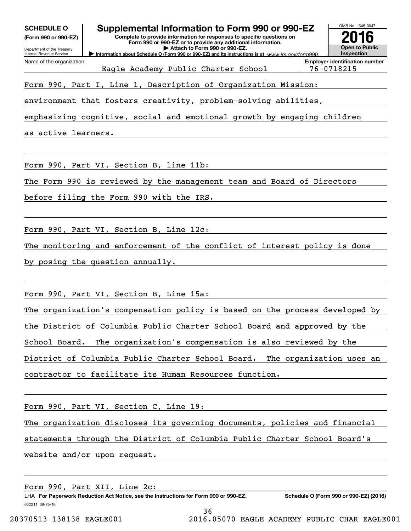| (Form 990 or 990-EZ)                                   | Supplemental Information to Form 990 or 990-EZ<br>Complete to provide information for responses to specific questions on<br>Form 990 or 990-EZ or to provide any additional information.<br>Attach to Form 990 or 990-EZ.<br>Information about Schedule O (Form 990 or 990-EZ) and its instructions is at www.irs.gov/form990. |  | OMB No. 1545-0047                                   |
|--------------------------------------------------------|--------------------------------------------------------------------------------------------------------------------------------------------------------------------------------------------------------------------------------------------------------------------------------------------------------------------------------|--|-----------------------------------------------------|
| Department of the Treasury<br>Internal Revenue Service |                                                                                                                                                                                                                                                                                                                                |  | <b>Open to Public</b><br><b>Inspection</b>          |
| Name of the organization                               | Eagle Academy Public Charter School                                                                                                                                                                                                                                                                                            |  | <b>Employer identification number</b><br>76-0718215 |
|                                                        | Form 990, Part I, Line 1, Description of Organization Mission:                                                                                                                                                                                                                                                                 |  |                                                     |
|                                                        | environment that fosters creativity, problem-solving abilities,                                                                                                                                                                                                                                                                |  |                                                     |
|                                                        | emphasizing cognitive, social and emotional growth by engaging children                                                                                                                                                                                                                                                        |  |                                                     |
| as active learners.                                    |                                                                                                                                                                                                                                                                                                                                |  |                                                     |
|                                                        |                                                                                                                                                                                                                                                                                                                                |  |                                                     |
|                                                        | Form 990, Part VI, Section B, line 11b:                                                                                                                                                                                                                                                                                        |  |                                                     |
|                                                        | The Form 990 is reviewed by the management team and Board of Directors                                                                                                                                                                                                                                                         |  |                                                     |
|                                                        | before filing the Form 990 with the IRS.                                                                                                                                                                                                                                                                                       |  |                                                     |
|                                                        |                                                                                                                                                                                                                                                                                                                                |  |                                                     |
|                                                        | Form 990, Part VI, Section B, Line 12c:                                                                                                                                                                                                                                                                                        |  |                                                     |
|                                                        | The monitoring and enforcement of the conflict of interest policy is done                                                                                                                                                                                                                                                      |  |                                                     |
|                                                        | by posing the question annually.                                                                                                                                                                                                                                                                                               |  |                                                     |
|                                                        |                                                                                                                                                                                                                                                                                                                                |  |                                                     |
|                                                        | Form 990, Part VI, Section B, Line 15a:                                                                                                                                                                                                                                                                                        |  |                                                     |
|                                                        | The organization's compensation policy is based on the process developed by                                                                                                                                                                                                                                                    |  |                                                     |
|                                                        | the District of Columbia Public Charter School Board and approved by the                                                                                                                                                                                                                                                       |  |                                                     |
|                                                        | School Board. The organization's compensation is also reviewed by the                                                                                                                                                                                                                                                          |  |                                                     |
|                                                        |                                                                                                                                                                                                                                                                                                                                |  |                                                     |
|                                                        | District of Columbia Public Charter School Board. The organization uses an                                                                                                                                                                                                                                                     |  |                                                     |

Form 990, Part VI, Section C, Line 19:

The organization discloses its governing documents, policies and financial statements through the District of Columbia Public Charter School Board's website and/or upon request.

Form 990, Part XII, Line 2c:

632211 08-25-16 LHA For Paperwork Reduction Act Notice, see the Instructions for Form 990 or 990-EZ. Schedule O (Form 990 or 990-EZ) (2016)